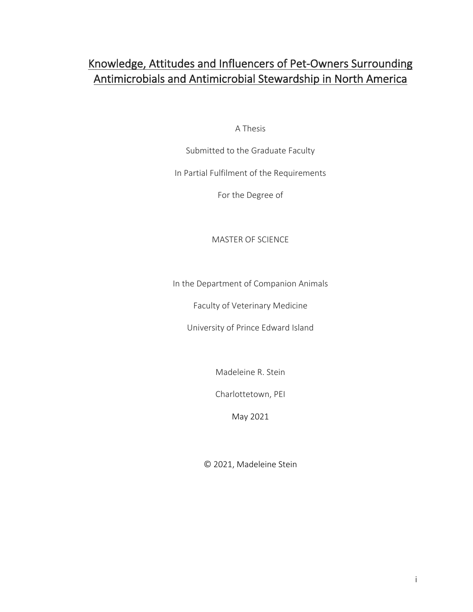# Knowledge, Attitudes and Influencers of Pet-Owners Surrounding Antimicrobials and Antimicrobial Stewardship in North America

A Thesis

Submitted to the Graduate Faculty

In Partial Fulfilment of the Requirements

For the Degree of

# MASTER OF SCIENCE

In the Department of Companion Animals

Faculty of Veterinary Medicine

University of Prince Edward Island

Madeleine R. Stein

Charlottetown, PEI

May 2021

© 2021, Madeleine Stein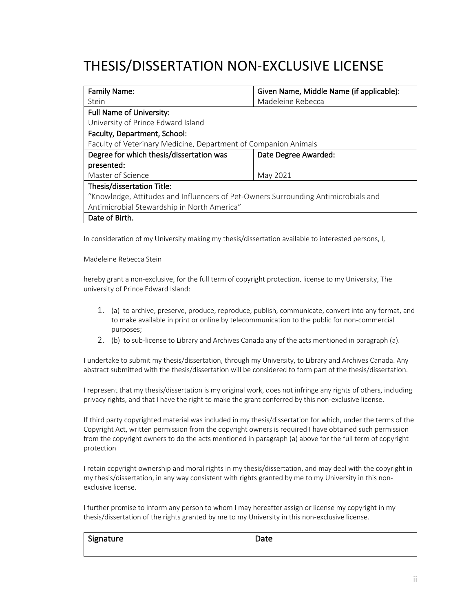# THESIS/DISSERTATION NON-EXCLUSIVE LICENSE

| <b>Family Name:</b>                                                                | Given Name, Middle Name (if applicable): |  |
|------------------------------------------------------------------------------------|------------------------------------------|--|
| Stein                                                                              | Madeleine Rebecca                        |  |
| <b>Full Name of University:</b>                                                    |                                          |  |
| University of Prince Edward Island                                                 |                                          |  |
| Faculty, Department, School:                                                       |                                          |  |
| Faculty of Veterinary Medicine, Department of Companion Animals                    |                                          |  |
| Degree for which thesis/dissertation was                                           | Date Degree Awarded:                     |  |
| presented:                                                                         |                                          |  |
| Master of Science<br>May 2021                                                      |                                          |  |
| Thesis/dissertation Title:                                                         |                                          |  |
| "Knowledge, Attitudes and Influencers of Pet-Owners Surrounding Antimicrobials and |                                          |  |
| Antimicrobial Stewardship in North America"                                        |                                          |  |
| Date of Birth.                                                                     |                                          |  |

In consideration of my University making my thesis/dissertation available to interested persons, I,

Madeleine Rebecca Stein

hereby grant a non-exclusive, for the full term of copyright protection, license to my University, The university of Prince Edward Island:

- 1. (a) to archive, preserve, produce, reproduce, publish, communicate, convert into any format, and to make available in print or online by telecommunication to the public for non-commercial purposes;
- 2. (b) to sub-license to Library and Archives Canada any of the acts mentioned in paragraph (a).

I undertake to submit my thesis/dissertation, through my University, to Library and Archives Canada. Any abstract submitted with the thesis/dissertation will be considered to form part of the thesis/dissertation.

I represent that my thesis/dissertation is my original work, does not infringe any rights of others, including privacy rights, and that I have the right to make the grant conferred by this non-exclusive license.

If third party copyrighted material was included in my thesis/dissertation for which, under the terms of the Copyright Act, written permission from the copyright owners is required I have obtained such permission from the copyright owners to do the acts mentioned in paragraph (a) above for the full term of copyright protection

I retain copyright ownership and moral rights in my thesis/dissertation, and may deal with the copyright in my thesis/dissertation, in any way consistent with rights granted by me to my University in this nonexclusive license.

I further promise to inform any person to whom I may hereafter assign or license my copyright in my thesis/dissertation of the rights granted by me to my University in this non-exclusive license.

| Signature | Date |  |
|-----------|------|--|
|           |      |  |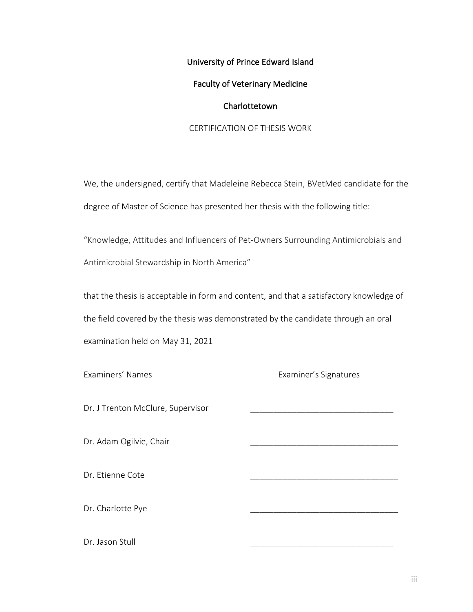University of Prince Edward Island

### Faculty of Veterinary Medicine

### Charlottetown

## CERTIFICATION OF THESIS WORK

We, the undersigned, certify that Madeleine Rebecca Stein, BVetMed candidate for the degree of Master of Science has presented her thesis with the following title:

"Knowledge, Attitudes and Influencers of Pet-Owners Surrounding Antimicrobials and Antimicrobial Stewardship in North America"

that the thesis is acceptable in form and content, and that a satisfactory knowledge of the field covered by the thesis was demonstrated by the candidate through an oral examination held on May 31, 2021

Examiners' Names Examiner's Signatures

Dr. J Trenton McClure, Supervisor

Dr. Adam Ogilvie, Chair

Dr. Etienne Cote

Dr. Charlotte Pye

Dr. Jason Stull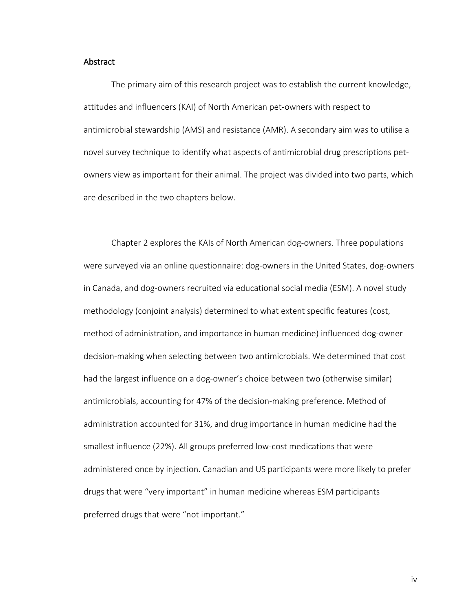#### Abstract

The primary aim of this research project was to establish the current knowledge, attitudes and influencers (KAI) of North American pet-owners with respect to antimicrobial stewardship (AMS) and resistance (AMR). A secondary aim was to utilise a novel survey technique to identify what aspects of antimicrobial drug prescriptions petowners view as important for their animal. The project was divided into two parts, which are described in the two chapters below.

Chapter 2 explores the KAIs of North American dog-owners. Three populations were surveyed via an online questionnaire: dog-owners in the United States, dog-owners in Canada, and dog-owners recruited via educational social media (ESM). A novel study methodology (conjoint analysis) determined to what extent specific features (cost, method of administration, and importance in human medicine) influenced dog-owner decision-making when selecting between two antimicrobials. We determined that cost had the largest influence on a dog-owner's choice between two (otherwise similar) antimicrobials, accounting for 47% of the decision-making preference. Method of administration accounted for 31%, and drug importance in human medicine had the smallest influence (22%). All groups preferred low-cost medications that were administered once by injection. Canadian and US participants were more likely to prefer drugs that were "very important" in human medicine whereas ESM participants preferred drugs that were "not important."

iv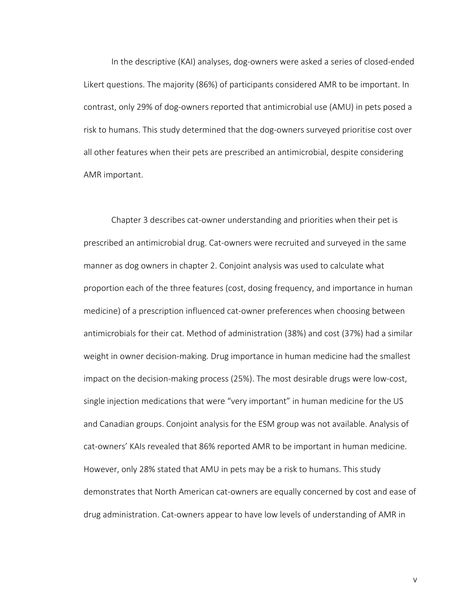In the descriptive (KAI) analyses, dog-owners were asked a series of closed-ended Likert questions. The majority (86%) of participants considered AMR to be important. In contrast, only 29% of dog-owners reported that antimicrobial use (AMU) in pets posed a risk to humans. This study determined that the dog-owners surveyed prioritise cost over all other features when their pets are prescribed an antimicrobial, despite considering AMR important.

Chapter 3 describes cat-owner understanding and priorities when their pet is prescribed an antimicrobial drug. Cat-owners were recruited and surveyed in the same manner as dog owners in chapter 2. Conjoint analysis was used to calculate what proportion each of the three features (cost, dosing frequency, and importance in human medicine) of a prescription influenced cat-owner preferences when choosing between antimicrobials for their cat. Method of administration (38%) and cost (37%) had a similar weight in owner decision-making. Drug importance in human medicine had the smallest impact on the decision-making process (25%). The most desirable drugs were low-cost, single injection medications that were "very important" in human medicine for the US and Canadian groups. Conjoint analysis for the ESM group was not available. Analysis of cat-owners' KAIs revealed that 86% reported AMR to be important in human medicine. However, only 28% stated that AMU in pets may be a risk to humans. This study demonstrates that North American cat-owners are equally concerned by cost and ease of drug administration. Cat-owners appear to have low levels of understanding of AMR in

v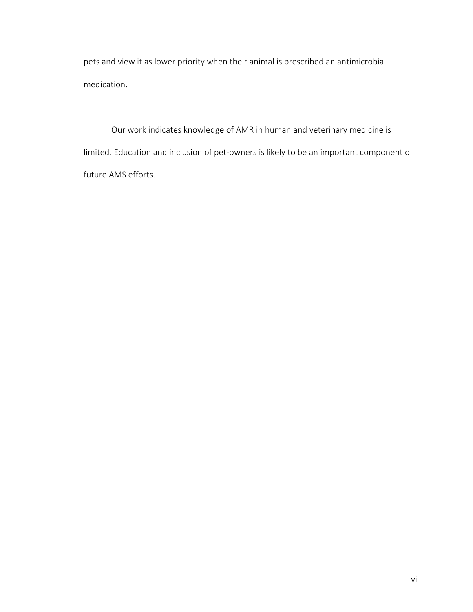pets and view it as lower priority when their animal is prescribed an antimicrobial medication.

Our work indicates knowledge of AMR in human and veterinary medicine is limited. Education and inclusion of pet-owners is likely to be an important component of future AMS efforts.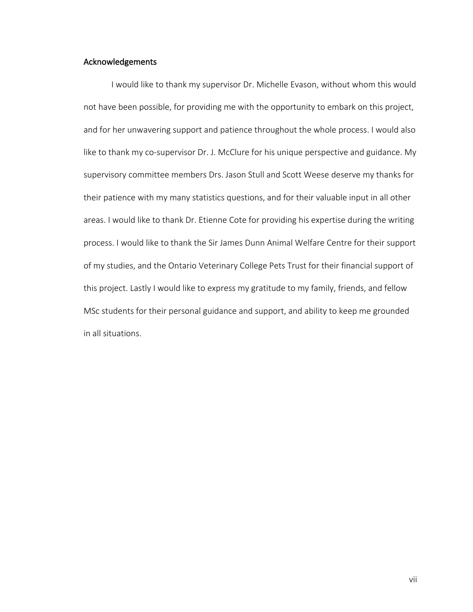## Acknowledgements

I would like to thank my supervisor Dr. Michelle Evason, without whom this would not have been possible, for providing me with the opportunity to embark on this project, and for her unwavering support and patience throughout the whole process. I would also like to thank my co-supervisor Dr. J. McClure for his unique perspective and guidance. My supervisory committee members Drs. Jason Stull and Scott Weese deserve my thanks for their patience with my many statistics questions, and for their valuable input in all other areas. I would like to thank Dr. Etienne Cote for providing his expertise during the writing process. I would like to thank the Sir James Dunn Animal Welfare Centre for their support of my studies, and the Ontario Veterinary College Pets Trust for their financial support of this project. Lastly I would like to express my gratitude to my family, friends, and fellow MSc students for their personal guidance and support, and ability to keep me grounded in all situations.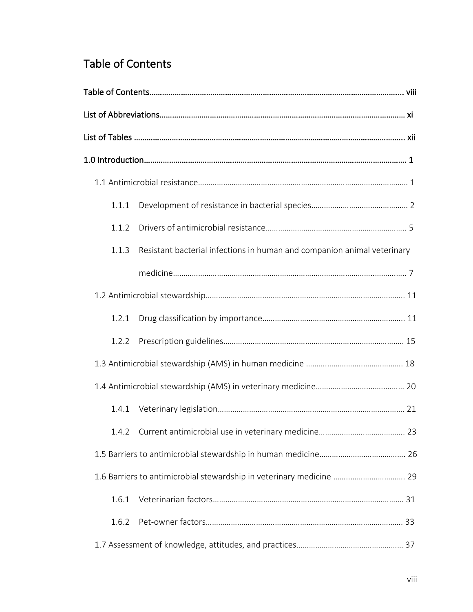# Table of Contents

| 1.1.1 |                                                                         |  |
|-------|-------------------------------------------------------------------------|--|
| 1.1.2 |                                                                         |  |
| 1.1.3 | Resistant bacterial infections in human and companion animal veterinary |  |
|       |                                                                         |  |
|       |                                                                         |  |
| 1.2.1 |                                                                         |  |
| 1.2.2 |                                                                         |  |
|       |                                                                         |  |
|       |                                                                         |  |
| 1.4.1 |                                                                         |  |
|       |                                                                         |  |
|       |                                                                         |  |
|       | 1.6 Barriers to antimicrobial stewardship in veterinary medicine  29    |  |
| 1.6.1 |                                                                         |  |
| 1.6.2 |                                                                         |  |
|       |                                                                         |  |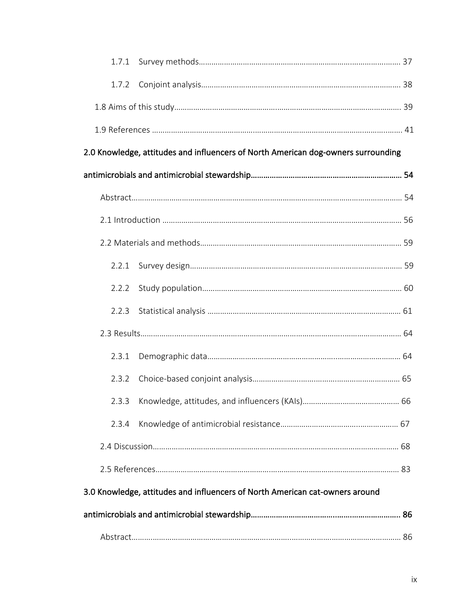| 1.7.2                                                                        |                                                                                   |  |
|------------------------------------------------------------------------------|-----------------------------------------------------------------------------------|--|
|                                                                              |                                                                                   |  |
|                                                                              |                                                                                   |  |
|                                                                              | 2.0 Knowledge, attitudes and influencers of North American dog-owners surrounding |  |
|                                                                              |                                                                                   |  |
|                                                                              |                                                                                   |  |
|                                                                              |                                                                                   |  |
|                                                                              |                                                                                   |  |
| 2.2.1                                                                        |                                                                                   |  |
| 2.2.2                                                                        |                                                                                   |  |
| 2.2.3                                                                        |                                                                                   |  |
|                                                                              |                                                                                   |  |
| 2.3.1                                                                        |                                                                                   |  |
| 2.3.2                                                                        |                                                                                   |  |
|                                                                              |                                                                                   |  |
| 2.3.4                                                                        |                                                                                   |  |
|                                                                              |                                                                                   |  |
|                                                                              |                                                                                   |  |
| 3.0 Knowledge, attitudes and influencers of North American cat-owners around |                                                                                   |  |
|                                                                              |                                                                                   |  |
|                                                                              |                                                                                   |  |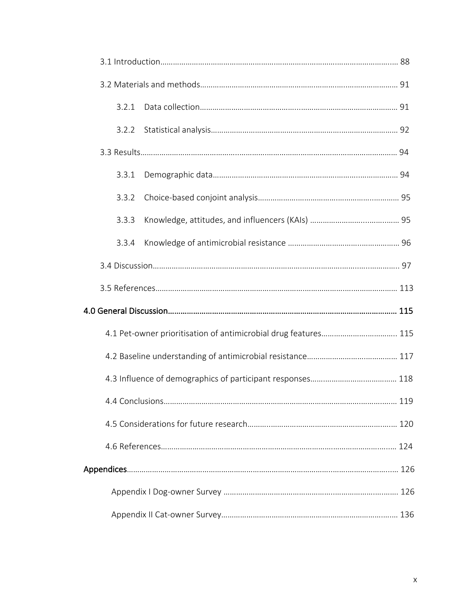|  | 3.2.1 |                                                                 |       |
|--|-------|-----------------------------------------------------------------|-------|
|  | 3.2.2 |                                                                 |       |
|  |       |                                                                 |       |
|  | 3.3.1 |                                                                 |       |
|  | 3.3.2 |                                                                 |       |
|  | 3.3.3 |                                                                 |       |
|  | 3.3.4 |                                                                 |       |
|  |       |                                                                 |       |
|  |       |                                                                 |       |
|  |       |                                                                 |       |
|  |       | 4.1 Pet-owner prioritisation of antimicrobial drug features 115 |       |
|  |       |                                                                 |       |
|  |       |                                                                 |       |
|  |       |                                                                 | . 119 |
|  |       |                                                                 |       |
|  |       |                                                                 |       |
|  |       |                                                                 |       |
|  |       |                                                                 |       |
|  |       |                                                                 |       |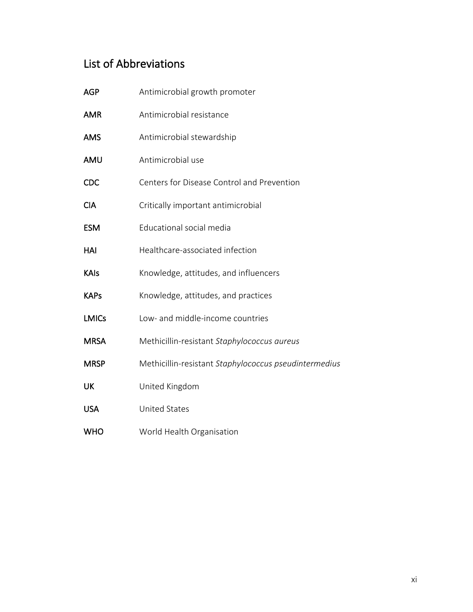# List of Abbreviations

| <b>AGP</b>   | Antimicrobial growth promoter                         |
|--------------|-------------------------------------------------------|
| <b>AMR</b>   | Antimicrobial resistance                              |
| <b>AMS</b>   | Antimicrobial stewardship                             |
| AMU          | Antimicrobial use                                     |
| <b>CDC</b>   | Centers for Disease Control and Prevention            |
| <b>CIA</b>   | Critically important antimicrobial                    |
| <b>ESM</b>   | Educational social media                              |
| HAI          | Healthcare-associated infection                       |
| <b>KAIs</b>  | Knowledge, attitudes, and influencers                 |
| <b>KAPs</b>  | Knowledge, attitudes, and practices                   |
| <b>LMICs</b> | Low- and middle-income countries                      |
| <b>MRSA</b>  | Methicillin-resistant Staphylococcus aureus           |
| <b>MRSP</b>  | Methicillin-resistant Staphylococcus pseudintermedius |
| UK           | United Kingdom                                        |
| <b>USA</b>   | <b>United States</b>                                  |
| <b>WHO</b>   | World Health Organisation                             |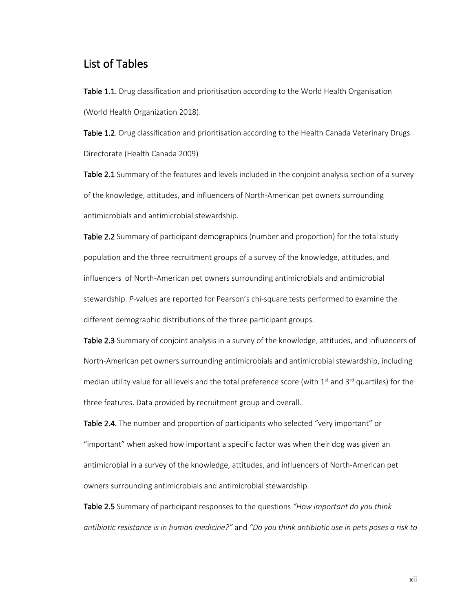# List of Tables

Table 1.1. Drug classification and prioritisation according to the World Health Organisation (World Health Organization 2018).

Table 1.2. Drug classification and prioritisation according to the Health Canada Veterinary Drugs Directorate (Health Canada 2009)

Table 2.1 Summary of the features and levels included in the conjoint analysis section of a survey of the knowledge, attitudes, and influencers of North-American pet owners surrounding antimicrobials and antimicrobial stewardship.

Table 2.2 Summary of participant demographics (number and proportion) for the total study population and the three recruitment groups of a survey of the knowledge, attitudes, and influencers of North-American pet owners surrounding antimicrobials and antimicrobial stewardship. *P*-values are reported for Pearson's chi-square tests performed to examine the different demographic distributions of the three participant groups.

Table 2.3 Summary of conjoint analysis in a survey of the knowledge, attitudes, and influencers of North-American pet owners surrounding antimicrobials and antimicrobial stewardship, including median utility value for all levels and the total preference score (with  $1<sup>st</sup>$  and  $3<sup>rd</sup>$  quartiles) for the three features. Data provided by recruitment group and overall.

Table 2.4. The number and proportion of participants who selected "very important" or "important" when asked how important a specific factor was when their dog was given an antimicrobial in a survey of the knowledge, attitudes, and influencers of North-American pet owners surrounding antimicrobials and antimicrobial stewardship.

Table 2.5 Summary of participant responses to the questions *"How important do you think antibiotic resistance is in human medicine?"* and *"Do you think antibiotic use in pets poses a risk to*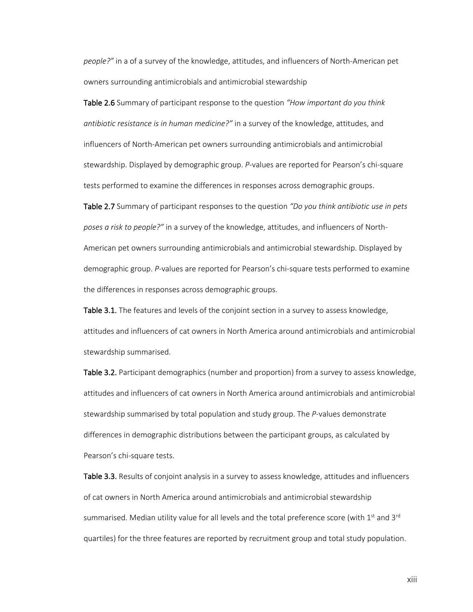*people?"* in a of a survey of the knowledge, attitudes, and influencers of North-American pet owners surrounding antimicrobials and antimicrobial stewardship

Table 2.6 Summary of participant response to the question *"How important do you think antibiotic resistance is in human medicine?"* in a survey of the knowledge, attitudes, and influencers of North-American pet owners surrounding antimicrobials and antimicrobial stewardship. Displayed by demographic group. *P*-values are reported for Pearson's chi-square tests performed to examine the differences in responses across demographic groups.

Table 2.7 Summary of participant responses to the question *"Do you think antibiotic use in pets poses a risk to people?"* in a survey of the knowledge, attitudes, and influencers of North-American pet owners surrounding antimicrobials and antimicrobial stewardship. Displayed by demographic group. *P*-values are reported for Pearson's chi-square tests performed to examine the differences in responses across demographic groups.

Table 3.1. The features and levels of the conjoint section in a survey to assess knowledge, attitudes and influencers of cat owners in North America around antimicrobials and antimicrobial stewardship summarised.

Table 3.2. Participant demographics (number and proportion) from a survey to assess knowledge, attitudes and influencers of cat owners in North America around antimicrobials and antimicrobial stewardship summarised by total population and study group. The *P*-values demonstrate differences in demographic distributions between the participant groups, as calculated by Pearson's chi-square tests.

Table 3.3. Results of conjoint analysis in a survey to assess knowledge, attitudes and influencers of cat owners in North America around antimicrobials and antimicrobial stewardship summarised. Median utility value for all levels and the total preference score (with  $1<sup>st</sup>$  and  $3<sup>rd</sup>$ quartiles) for the three features are reported by recruitment group and total study population.

xiii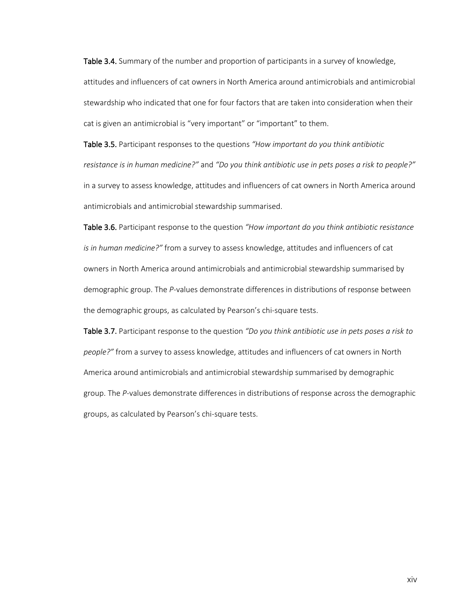Table 3.4. Summary of the number and proportion of participants in a survey of knowledge, attitudes and influencers of cat owners in North America around antimicrobials and antimicrobial stewardship who indicated that one for four factors that are taken into consideration when their cat is given an antimicrobial is "very important" or "important" to them.

Table 3.5. Participant responses to the questions *"How important do you think antibiotic resistance is in human medicine?"* and *"Do you think antibiotic use in pets poses a risk to people?"* in a survey to assess knowledge, attitudes and influencers of cat owners in North America around antimicrobials and antimicrobial stewardship summarised.

Table 3.6. Participant response to the question *"How important do you think antibiotic resistance is in human medicine?"* from a survey to assess knowledge, attitudes and influencers of cat owners in North America around antimicrobials and antimicrobial stewardship summarised by demographic group. The *P*-values demonstrate differences in distributions of response between the demographic groups, as calculated by Pearson's chi-square tests.

Table 3.7. Participant response to the question *"Do you think antibiotic use in pets poses a risk to people?"* from a survey to assess knowledge, attitudes and influencers of cat owners in North America around antimicrobials and antimicrobial stewardship summarised by demographic group. The *P*-values demonstrate differences in distributions of response across the demographic groups, as calculated by Pearson's chi-square tests.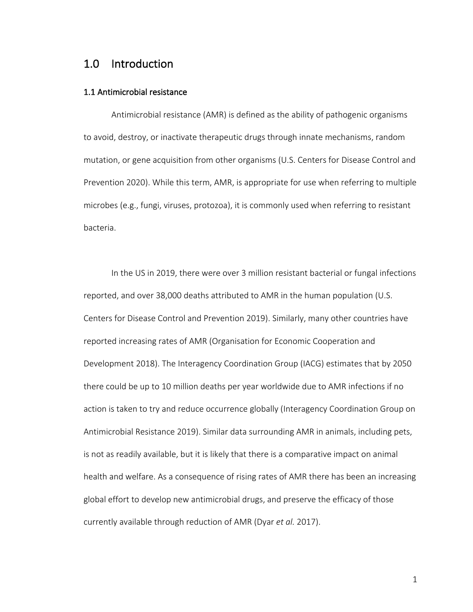# 1.0 Introduction

#### 1.1 Antimicrobial resistance

Antimicrobial resistance (AMR) is defined as the ability of pathogenic organisms to avoid, destroy, or inactivate therapeutic drugs through innate mechanisms, random mutation, or gene acquisition from other organisms (U.S. Centers for Disease Control and Prevention 2020). While this term, AMR, is appropriate for use when referring to multiple microbes (e.g., fungi, viruses, protozoa), it is commonly used when referring to resistant bacteria.

In the US in 2019, there were over 3 million resistant bacterial or fungal infections reported, and over 38,000 deaths attributed to AMR in the human population (U.S. Centers for Disease Control and Prevention 2019). Similarly, many other countries have reported increasing rates of AMR (Organisation for Economic Cooperation and Development 2018). The Interagency Coordination Group (IACG) estimates that by 2050 there could be up to 10 million deaths per year worldwide due to AMR infections if no action is taken to try and reduce occurrence globally (Interagency Coordination Group on Antimicrobial Resistance 2019). Similar data surrounding AMR in animals, including pets, is not as readily available, but it is likely that there is a comparative impact on animal health and welfare. As a consequence of rising rates of AMR there has been an increasing global effort to develop new antimicrobial drugs, and preserve the efficacy of those currently available through reduction of AMR (Dyar *et al.* 2017).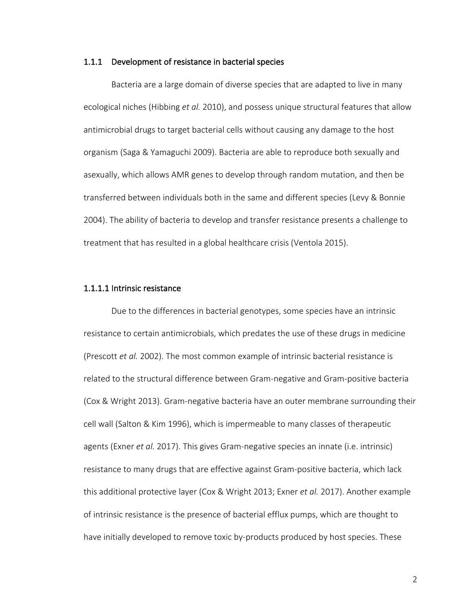#### 1.1.1 Development of resistance in bacterial species

Bacteria are a large domain of diverse species that are adapted to live in many ecological niches (Hibbing *et al.* 2010), and possess unique structural features that allow antimicrobial drugs to target bacterial cells without causing any damage to the host organism (Saga & Yamaguchi 2009). Bacteria are able to reproduce both sexually and asexually, which allows AMR genes to develop through random mutation, and then be transferred between individuals both in the same and different species (Levy & Bonnie 2004). The ability of bacteria to develop and transfer resistance presents a challenge to treatment that has resulted in a global healthcare crisis (Ventola 2015).

#### 1.1.1.1 Intrinsic resistance

Due to the differences in bacterial genotypes, some species have an intrinsic resistance to certain antimicrobials, which predates the use of these drugs in medicine (Prescott *et al.* 2002). The most common example of intrinsic bacterial resistance is related to the structural difference between Gram-negative and Gram-positive bacteria (Cox & Wright 2013). Gram-negative bacteria have an outer membrane surrounding their cell wall (Salton & Kim 1996), which is impermeable to many classes of therapeutic agents (Exner *et al.* 2017). This gives Gram-negative species an innate (i.e. intrinsic) resistance to many drugs that are effective against Gram-positive bacteria, which lack this additional protective layer (Cox & Wright 2013; Exner *et al.* 2017). Another example of intrinsic resistance is the presence of bacterial efflux pumps, which are thought to have initially developed to remove toxic by-products produced by host species. These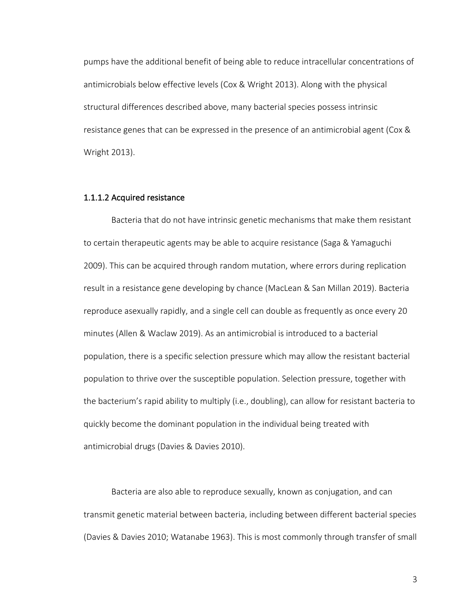pumps have the additional benefit of being able to reduce intracellular concentrations of antimicrobials below effective levels (Cox & Wright 2013). Along with the physical structural differences described above, many bacterial species possess intrinsic resistance genes that can be expressed in the presence of an antimicrobial agent (Cox & Wright 2013).

#### 1.1.1.2 Acquired resistance

Bacteria that do not have intrinsic genetic mechanisms that make them resistant to certain therapeutic agents may be able to acquire resistance (Saga & Yamaguchi 2009). This can be acquired through random mutation, where errors during replication result in a resistance gene developing by chance (MacLean & San Millan 2019). Bacteria reproduce asexually rapidly, and a single cell can double as frequently as once every 20 minutes (Allen & Waclaw 2019). As an antimicrobial is introduced to a bacterial population, there is a specific selection pressure which may allow the resistant bacterial population to thrive over the susceptible population. Selection pressure, together with the bacterium's rapid ability to multiply (i.e., doubling), can allow for resistant bacteria to quickly become the dominant population in the individual being treated with antimicrobial drugs (Davies & Davies 2010).

Bacteria are also able to reproduce sexually, known as conjugation, and can transmit genetic material between bacteria, including between different bacterial species (Davies & Davies 2010; Watanabe 1963). This is most commonly through transfer of small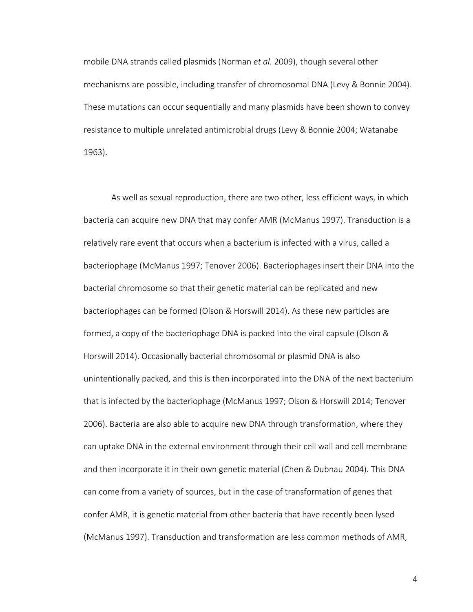mobile DNA strands called plasmids (Norman *et al.* 2009), though several other mechanisms are possible, including transfer of chromosomal DNA (Levy & Bonnie 2004). These mutations can occur sequentially and many plasmids have been shown to convey resistance to multiple unrelated antimicrobial drugs (Levy & Bonnie 2004; Watanabe 1963).

As well as sexual reproduction, there are two other, less efficient ways, in which bacteria can acquire new DNA that may confer AMR (McManus 1997). Transduction is a relatively rare event that occurs when a bacterium is infected with a virus, called a bacteriophage (McManus 1997; Tenover 2006). Bacteriophages insert their DNA into the bacterial chromosome so that their genetic material can be replicated and new bacteriophages can be formed (Olson & Horswill 2014). As these new particles are formed, a copy of the bacteriophage DNA is packed into the viral capsule (Olson & Horswill 2014). Occasionally bacterial chromosomal or plasmid DNA is also unintentionally packed, and this is then incorporated into the DNA of the next bacterium that is infected by the bacteriophage (McManus 1997; Olson & Horswill 2014; Tenover 2006). Bacteria are also able to acquire new DNA through transformation, where they can uptake DNA in the external environment through their cell wall and cell membrane and then incorporate it in their own genetic material (Chen & Dubnau 2004). This DNA can come from a variety of sources, but in the case of transformation of genes that confer AMR, it is genetic material from other bacteria that have recently been lysed (McManus 1997). Transduction and transformation are less common methods of AMR,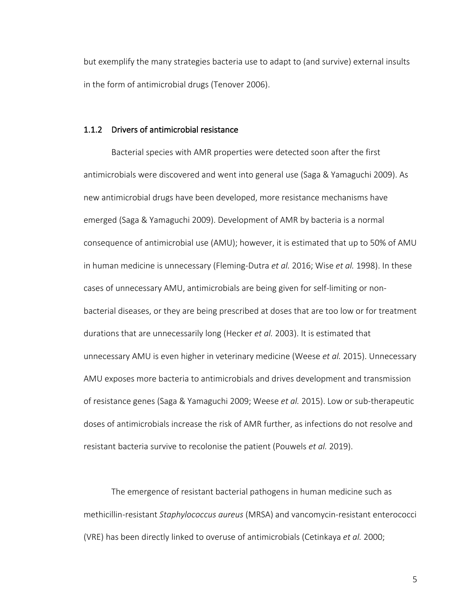but exemplify the many strategies bacteria use to adapt to (and survive) external insults in the form of antimicrobial drugs (Tenover 2006).

### 1.1.2 Drivers of antimicrobial resistance

Bacterial species with AMR properties were detected soon after the first antimicrobials were discovered and went into general use (Saga & Yamaguchi 2009). As new antimicrobial drugs have been developed, more resistance mechanisms have emerged (Saga & Yamaguchi 2009). Development of AMR by bacteria is a normal consequence of antimicrobial use (AMU); however, it is estimated that up to 50% of AMU in human medicine is unnecessary (Fleming-Dutra *et al.* 2016; Wise *et al.* 1998). In these cases of unnecessary AMU, antimicrobials are being given for self-limiting or nonbacterial diseases, or they are being prescribed at doses that are too low or for treatment durations that are unnecessarily long (Hecker *et al.* 2003). It is estimated that unnecessary AMU is even higher in veterinary medicine (Weese *et al.* 2015). Unnecessary AMU exposes more bacteria to antimicrobials and drives development and transmission of resistance genes (Saga & Yamaguchi 2009; Weese *et al.* 2015). Low or sub-therapeutic doses of antimicrobials increase the risk of AMR further, as infections do not resolve and resistant bacteria survive to recolonise the patient (Pouwels *et al.* 2019).

The emergence of resistant bacterial pathogens in human medicine such as methicillin-resistant *Staphylococcus aureus* (MRSA) and vancomycin-resistant enterococci (VRE) has been directly linked to overuse of antimicrobials (Cetinkaya *et al.* 2000;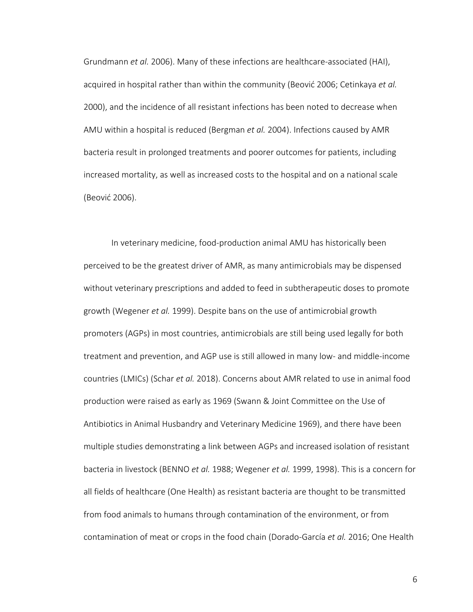Grundmann *et al.* 2006). Many of these infections are healthcare-associated (HAI), acquired in hospital rather than within the community (Beović 2006; Cetinkaya *et al.* 2000), and the incidence of all resistant infections has been noted to decrease when AMU within a hospital is reduced (Bergman *et al.* 2004). Infections caused by AMR bacteria result in prolonged treatments and poorer outcomes for patients, including increased mortality, as well as increased costs to the hospital and on a national scale (Beović 2006).

In veterinary medicine, food-production animal AMU has historically been perceived to be the greatest driver of AMR, as many antimicrobials may be dispensed without veterinary prescriptions and added to feed in subtherapeutic doses to promote growth (Wegener *et al.* 1999). Despite bans on the use of antimicrobial growth promoters (AGPs) in most countries, antimicrobials are still being used legally for both treatment and prevention, and AGP use is still allowed in many low- and middle-income countries (LMICs) (Schar *et al.* 2018). Concerns about AMR related to use in animal food production were raised as early as 1969 (Swann & Joint Committee on the Use of Antibiotics in Animal Husbandry and Veterinary Medicine 1969), and there have been multiple studies demonstrating a link between AGPs and increased isolation of resistant bacteria in livestock (BENNO *et al.* 1988; Wegener *et al.* 1999, 1998). This is a concern for all fields of healthcare (One Health) as resistant bacteria are thought to be transmitted from food animals to humans through contamination of the environment, or from contamination of meat or crops in the food chain (Dorado-García *et al.* 2016; One Health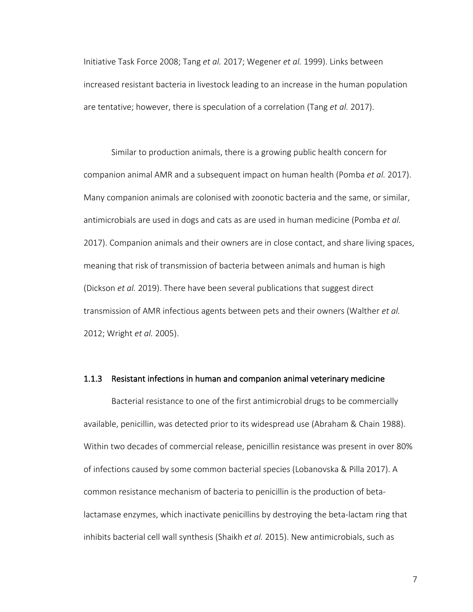Initiative Task Force 2008; Tang *et al.* 2017; Wegener *et al.* 1999). Links between increased resistant bacteria in livestock leading to an increase in the human population are tentative; however, there is speculation of a correlation (Tang *et al.* 2017).

Similar to production animals, there is a growing public health concern for companion animal AMR and a subsequent impact on human health (Pomba *et al.* 2017). Many companion animals are colonised with zoonotic bacteria and the same, or similar, antimicrobials are used in dogs and cats as are used in human medicine (Pomba *et al.* 2017). Companion animals and their owners are in close contact, and share living spaces, meaning that risk of transmission of bacteria between animals and human is high (Dickson *et al.* 2019). There have been several publications that suggest direct transmission of AMR infectious agents between pets and their owners (Walther *et al.* 2012; Wright *et al.* 2005).

#### 1.1.3 Resistant infections in human and companion animal veterinary medicine

Bacterial resistance to one of the first antimicrobial drugs to be commercially available, penicillin, was detected prior to its widespread use (Abraham & Chain 1988). Within two decades of commercial release, penicillin resistance was present in over 80% of infections caused by some common bacterial species (Lobanovska & Pilla 2017). A common resistance mechanism of bacteria to penicillin is the production of betalactamase enzymes, which inactivate penicillins by destroying the beta-lactam ring that inhibits bacterial cell wall synthesis (Shaikh *et al.* 2015). New antimicrobials, such as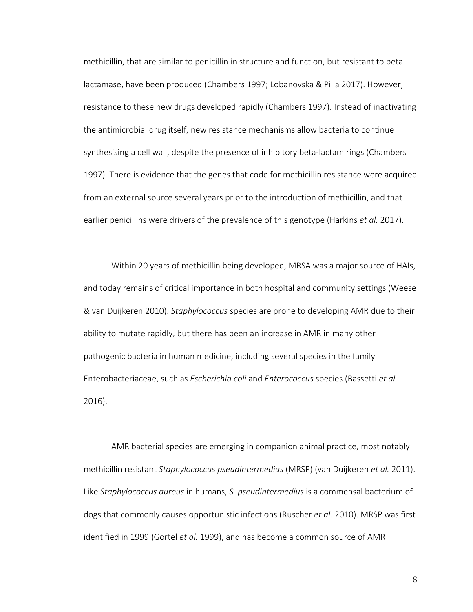methicillin, that are similar to penicillin in structure and function, but resistant to betalactamase, have been produced (Chambers 1997; Lobanovska & Pilla 2017). However, resistance to these new drugs developed rapidly (Chambers 1997). Instead of inactivating the antimicrobial drug itself, new resistance mechanisms allow bacteria to continue synthesising a cell wall, despite the presence of inhibitory beta-lactam rings (Chambers 1997). There is evidence that the genes that code for methicillin resistance were acquired from an external source several years prior to the introduction of methicillin, and that earlier penicillins were drivers of the prevalence of this genotype (Harkins *et al.* 2017).

Within 20 years of methicillin being developed, MRSA was a major source of HAIs, and today remains of critical importance in both hospital and community settings (Weese & van Duijkeren 2010). *Staphylococcus* species are prone to developing AMR due to their ability to mutate rapidly, but there has been an increase in AMR in many other pathogenic bacteria in human medicine, including several species in the family Enterobacteriaceae, such as *Escherichia coli* and *Enterococcus* species (Bassetti *et al.* 2016).

AMR bacterial species are emerging in companion animal practice, most notably methicillin resistant *Staphylococcus pseudintermedius* (MRSP) (van Duijkeren *et al.* 2011). Like *Staphylococcus aureus* in humans, *S. pseudintermedius* is a commensal bacterium of dogs that commonly causes opportunistic infections (Ruscher *et al.* 2010). MRSP was first identified in 1999 (Gortel *et al.* 1999), and has become a common source of AMR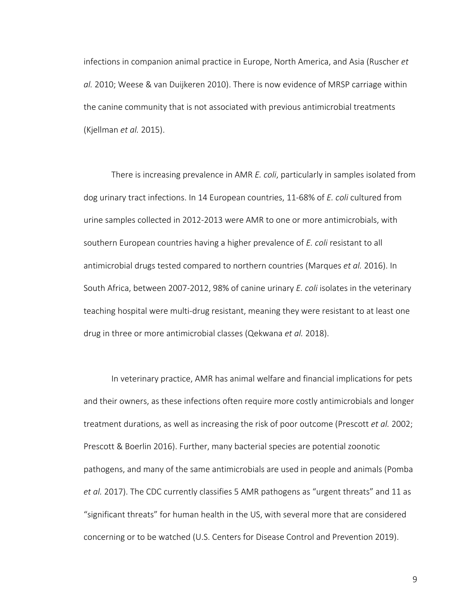infections in companion animal practice in Europe, North America, and Asia (Ruscher *et al.* 2010; Weese & van Duijkeren 2010). There is now evidence of MRSP carriage within the canine community that is not associated with previous antimicrobial treatments (Kjellman *et al.* 2015).

There is increasing prevalence in AMR *E. coli*, particularly in samples isolated from dog urinary tract infections. In 14 European countries, 11-68% of *E. coli* cultured from urine samples collected in 2012-2013 were AMR to one or more antimicrobials, with southern European countries having a higher prevalence of *E. coli* resistant to all antimicrobial drugs tested compared to northern countries (Marques *et al.* 2016). In South Africa, between 2007-2012, 98% of canine urinary *E. coli* isolates in the veterinary teaching hospital were multi-drug resistant, meaning they were resistant to at least one drug in three or more antimicrobial classes (Qekwana *et al.* 2018).

In veterinary practice, AMR has animal welfare and financial implications for pets and their owners, as these infections often require more costly antimicrobials and longer treatment durations, as well as increasing the risk of poor outcome (Prescott *et al.* 2002; Prescott & Boerlin 2016). Further, many bacterial species are potential zoonotic pathogens, and many of the same antimicrobials are used in people and animals (Pomba *et al.* 2017). The CDC currently classifies 5 AMR pathogens as "urgent threats" and 11 as "significant threats" for human health in the US, with several more that are considered concerning or to be watched (U.S. Centers for Disease Control and Prevention 2019).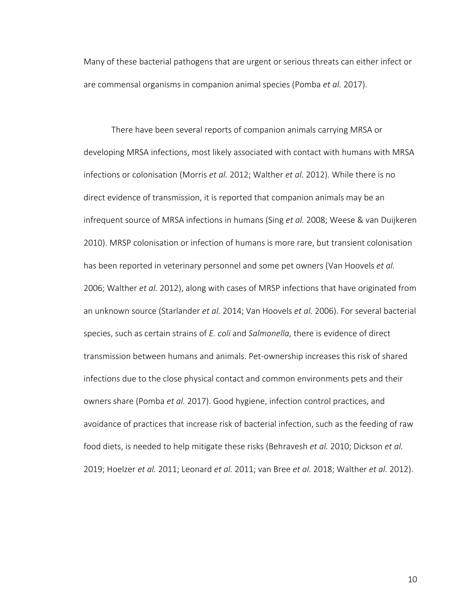Many of these bacterial pathogens that are urgent or serious threats can either infect or are commensal organisms in companion animal species (Pomba *et al.* 2017).

There have been several reports of companion animals carrying MRSA or developing MRSA infections, most likely associated with contact with humans with MRSA infections or colonisation (Morris *et al.* 2012; Walther *et al.* 2012). While there is no direct evidence of transmission, it is reported that companion animals may be an infrequent source of MRSA infections in humans (Sing *et al.* 2008; Weese & van Duijkeren 2010). MRSP colonisation or infection of humans is more rare, but transient colonisation has been reported in veterinary personnel and some pet owners (Van Hoovels *et al.* 2006; Walther *et al.* 2012), along with cases of MRSP infections that have originated from an unknown source (Starlander *et al.* 2014; Van Hoovels *et al.* 2006). For several bacterial species, such as certain strains of *E. coli* and *Salmonella*, there is evidence of direct transmission between humans and animals. Pet-ownership increases this risk of shared infections due to the close physical contact and common environments pets and their owners share (Pomba *et al.* 2017). Good hygiene, infection control practices, and avoidance of practices that increase risk of bacterial infection, such as the feeding of raw food diets, is needed to help mitigate these risks (Behravesh *et al.* 2010; Dickson *et al.* 2019; Hoelzer *et al.* 2011; Leonard *et al.* 2011; van Bree *et al.* 2018; Walther *et al.* 2012).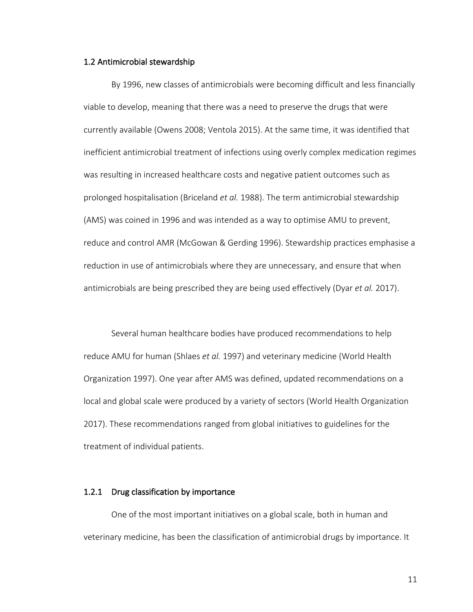#### 1.2 Antimicrobial stewardship

By 1996, new classes of antimicrobials were becoming difficult and less financially viable to develop, meaning that there was a need to preserve the drugs that were currently available (Owens 2008; Ventola 2015). At the same time, it was identified that inefficient antimicrobial treatment of infections using overly complex medication regimes was resulting in increased healthcare costs and negative patient outcomes such as prolonged hospitalisation (Briceland *et al.* 1988). The term antimicrobial stewardship (AMS) was coined in 1996 and was intended as a way to optimise AMU to prevent, reduce and control AMR (McGowan & Gerding 1996). Stewardship practices emphasise a reduction in use of antimicrobials where they are unnecessary, and ensure that when antimicrobials are being prescribed they are being used effectively (Dyar *et al.* 2017).

Several human healthcare bodies have produced recommendations to help reduce AMU for human (Shlaes *et al.* 1997) and veterinary medicine (World Health Organization 1997). One year after AMS was defined, updated recommendations on a local and global scale were produced by a variety of sectors (World Health Organization 2017). These recommendations ranged from global initiatives to guidelines for the treatment of individual patients.

#### 1.2.1 Drug classification by importance

One of the most important initiatives on a global scale, both in human and veterinary medicine, has been the classification of antimicrobial drugs by importance. It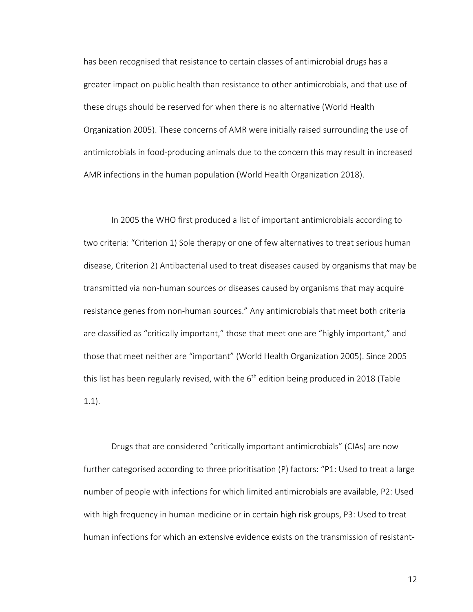has been recognised that resistance to certain classes of antimicrobial drugs has a greater impact on public health than resistance to other antimicrobials, and that use of these drugs should be reserved for when there is no alternative (World Health Organization 2005). These concerns of AMR were initially raised surrounding the use of antimicrobials in food-producing animals due to the concern this may result in increased AMR infections in the human population (World Health Organization 2018).

In 2005 the WHO first produced a list of important antimicrobials according to two criteria: "Criterion 1) Sole therapy or one of few alternatives to treat serious human disease, Criterion 2) Antibacterial used to treat diseases caused by organisms that may be transmitted via non-human sources or diseases caused by organisms that may acquire resistance genes from non-human sources." Any antimicrobials that meet both criteria are classified as "critically important," those that meet one are "highly important," and those that meet neither are "important" (World Health Organization 2005). Since 2005 this list has been regularly revised, with the  $6<sup>th</sup>$  edition being produced in 2018 (Table 1.1).

Drugs that are considered "critically important antimicrobials" (CIAs) are now further categorised according to three prioritisation (P) factors: "P1: Used to treat a large number of people with infections for which limited antimicrobials are available, P2: Used with high frequency in human medicine or in certain high risk groups, P3: Used to treat human infections for which an extensive evidence exists on the transmission of resistant-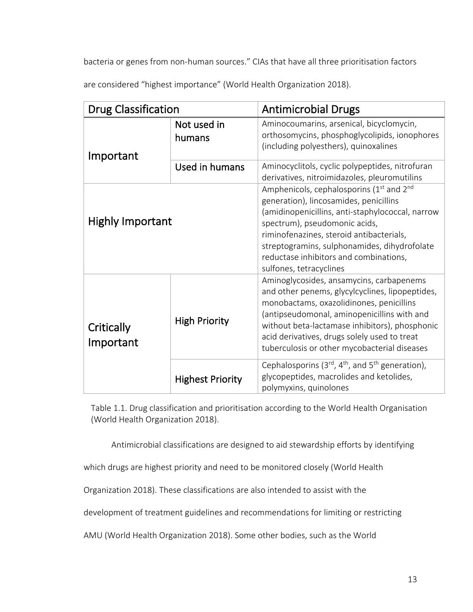bacteria or genes from non-human sources." CIAs that have all three prioritisation factors

are considered "highest importance" (World Health Organization 2018).

| <b>Drug Classification</b> |                         | <b>Antimicrobial Drugs</b>                                                                                                                                                                                                                                                                                                                                       |
|----------------------------|-------------------------|------------------------------------------------------------------------------------------------------------------------------------------------------------------------------------------------------------------------------------------------------------------------------------------------------------------------------------------------------------------|
| Important                  | Not used in<br>humans   | Aminocoumarins, arsenical, bicyclomycin,<br>orthosomycins, phosphoglycolipids, ionophores<br>(including polyesthers), quinoxalines                                                                                                                                                                                                                               |
|                            | Used in humans          | Aminocyclitols, cyclic polypeptides, nitrofuran<br>derivatives, nitroimidazoles, pleuromutilins                                                                                                                                                                                                                                                                  |
| <b>Highly Important</b>    |                         | Amphenicols, cephalosporins (1 <sup>st</sup> and 2 <sup>nd</sup><br>generation), lincosamides, penicillins<br>(amidinopenicillins, anti-staphylococcal, narrow<br>spectrum), pseudomonic acids,<br>riminofenazines, steroid antibacterials,<br>streptogramins, sulphonamides, dihydrofolate<br>reductase inhibitors and combinations,<br>sulfones, tetracyclines |
| Critically<br>Important    | <b>High Priority</b>    | Aminoglycosides, ansamycins, carbapenems<br>and other penems, glycylcyclines, lipopeptides,<br>monobactams, oxazolidinones, penicillins<br>(antipseudomonal, aminopenicillins with and<br>without beta-lactamase inhibitors), phosphonic<br>acid derivatives, drugs solely used to treat<br>tuberculosis or other mycobacterial diseases                         |
|                            | <b>Highest Priority</b> | Cephalosporins ( $3^{rd}$ , $4^{th}$ , and $5^{th}$ generation),<br>glycopeptides, macrolides and ketolides,<br>polymyxins, quinolones                                                                                                                                                                                                                           |

Table 1.1. Drug classification and prioritisation according to the World Health Organisation (World Health Organization 2018).

Antimicrobial classifications are designed to aid stewardship efforts by identifying

which drugs are highest priority and need to be monitored closely (World Health

Organization 2018). These classifications are also intended to assist with the

development of treatment guidelines and recommendations for limiting or restricting

AMU (World Health Organization 2018). Some other bodies, such as the World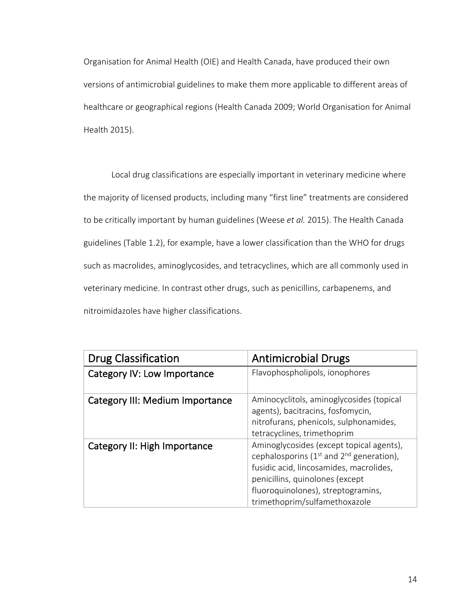Organisation for Animal Health (OIE) and Health Canada, have produced their own versions of antimicrobial guidelines to make them more applicable to different areas of healthcare or geographical regions (Health Canada 2009; World Organisation for Animal Health 2015).

Local drug classifications are especially important in veterinary medicine where the majority of licensed products, including many "first line" treatments are considered to be critically important by human guidelines (Weese *et al.* 2015). The Health Canada guidelines (Table 1.2), for example, have a lower classification than the WHO for drugs such as macrolides, aminoglycosides, and tetracyclines, which are all commonly used in veterinary medicine. In contrast other drugs, such as penicillins, carbapenems, and nitroimidazoles have higher classifications.

| <b>Drug Classification</b>             | <b>Antimicrobial Drugs</b>                                                                                                                                                                                                                     |
|----------------------------------------|------------------------------------------------------------------------------------------------------------------------------------------------------------------------------------------------------------------------------------------------|
| Category IV: Low Importance            | Flavophospholipols, ionophores                                                                                                                                                                                                                 |
| <b>Category III: Medium Importance</b> | Aminocyclitols, aminoglycosides (topical<br>agents), bacitracins, fosfomycin,<br>nitrofurans, phenicols, sulphonamides,<br>tetracyclines, trimethoprim                                                                                         |
| Category II: High Importance           | Aminoglycosides (except topical agents),<br>cephalosporins ( $1st$ and $2nd$ generation),<br>fusidic acid, lincosamides, macrolides,<br>penicillins, quinolones (except<br>fluoroquinolones), streptogramins,<br>trimethoprim/sulfamethoxazole |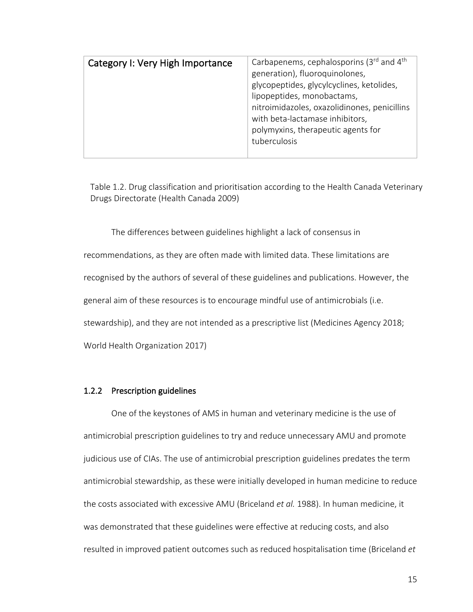| Carbapenems, cephalosporins ( $3rd$ and $4th$<br>generation), fluoroquinolones,<br>glycopeptides, glycylcyclines, ketolides,<br>lipopeptides, monobactams,<br>nitroimidazoles, oxazolidinones, penicillins<br>with beta-lactamase inhibitors,<br>polymyxins, therapeutic agents for<br>tuberculosis |
|-----------------------------------------------------------------------------------------------------------------------------------------------------------------------------------------------------------------------------------------------------------------------------------------------------|
|                                                                                                                                                                                                                                                                                                     |
|                                                                                                                                                                                                                                                                                                     |

Table 1.2. Drug classification and prioritisation according to the Health Canada Veterinary Drugs Directorate (Health Canada 2009)

The differences between guidelines highlight a lack of consensus in recommendations, as they are often made with limited data. These limitations are recognised by the authors of several of these guidelines and publications. However, the general aim of these resources is to encourage mindful use of antimicrobials (i.e. stewardship), and they are not intended as a prescriptive list (Medicines Agency 2018; World Health Organization 2017)

## 1.2.2 Prescription guidelines

One of the keystones of AMS in human and veterinary medicine is the use of antimicrobial prescription guidelines to try and reduce unnecessary AMU and promote judicious use of CIAs. The use of antimicrobial prescription guidelines predates the term antimicrobial stewardship, as these were initially developed in human medicine to reduce the costs associated with excessive AMU (Briceland *et al.* 1988). In human medicine, it was demonstrated that these guidelines were effective at reducing costs, and also resulted in improved patient outcomes such as reduced hospitalisation time (Briceland *et*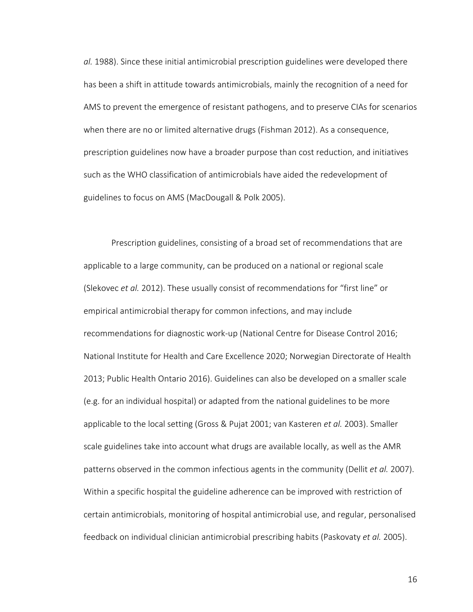*al.* 1988). Since these initial antimicrobial prescription guidelines were developed there has been a shift in attitude towards antimicrobials, mainly the recognition of a need for AMS to prevent the emergence of resistant pathogens, and to preserve CIAs for scenarios when there are no or limited alternative drugs (Fishman 2012). As a consequence, prescription guidelines now have a broader purpose than cost reduction, and initiatives such as the WHO classification of antimicrobials have aided the redevelopment of guidelines to focus on AMS (MacDougall & Polk 2005).

Prescription guidelines, consisting of a broad set of recommendations that are applicable to a large community, can be produced on a national or regional scale (Slekovec *et al.* 2012). These usually consist of recommendations for "first line" or empirical antimicrobial therapy for common infections, and may include recommendations for diagnostic work-up (National Centre for Disease Control 2016; National Institute for Health and Care Excellence 2020; Norwegian Directorate of Health 2013; Public Health Ontario 2016). Guidelines can also be developed on a smaller scale (e.g. for an individual hospital) or adapted from the national guidelines to be more applicable to the local setting (Gross & Pujat 2001; van Kasteren *et al.* 2003). Smaller scale guidelines take into account what drugs are available locally, as well as the AMR patterns observed in the common infectious agents in the community (Dellit *et al.* 2007). Within a specific hospital the guideline adherence can be improved with restriction of certain antimicrobials, monitoring of hospital antimicrobial use, and regular, personalised feedback on individual clinician antimicrobial prescribing habits (Paskovaty *et al.* 2005).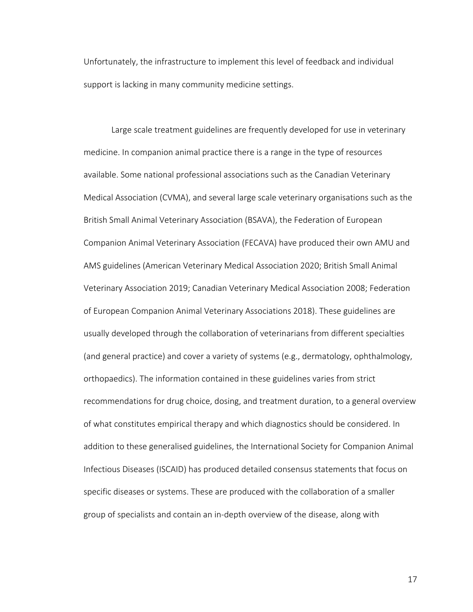Unfortunately, the infrastructure to implement this level of feedback and individual support is lacking in many community medicine settings.

Large scale treatment guidelines are frequently developed for use in veterinary medicine. In companion animal practice there is a range in the type of resources available. Some national professional associations such as the Canadian Veterinary Medical Association (CVMA), and several large scale veterinary organisations such as the British Small Animal Veterinary Association (BSAVA), the Federation of European Companion Animal Veterinary Association (FECAVA) have produced their own AMU and AMS guidelines (American Veterinary Medical Association 2020; British Small Animal Veterinary Association 2019; Canadian Veterinary Medical Association 2008; Federation of European Companion Animal Veterinary Associations 2018). These guidelines are usually developed through the collaboration of veterinarians from different specialties (and general practice) and cover a variety of systems (e.g., dermatology, ophthalmology, orthopaedics). The information contained in these guidelines varies from strict recommendations for drug choice, dosing, and treatment duration, to a general overview of what constitutes empirical therapy and which diagnostics should be considered. In addition to these generalised guidelines, the International Society for Companion Animal Infectious Diseases (ISCAID) has produced detailed consensus statements that focus on specific diseases or systems. These are produced with the collaboration of a smaller group of specialists and contain an in-depth overview of the disease, along with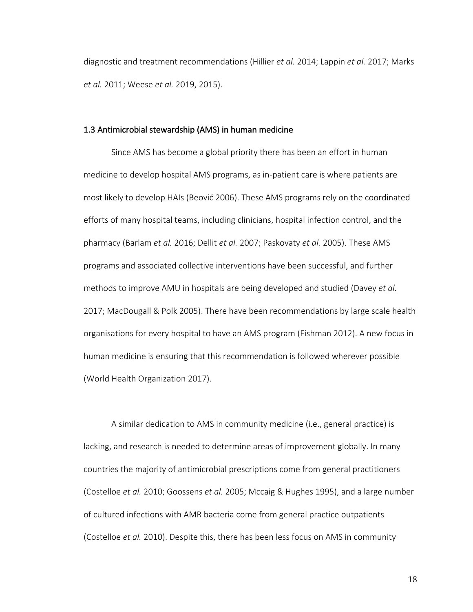diagnostic and treatment recommendations (Hillier *et al.* 2014; Lappin *et al.* 2017; Marks *et al.* 2011; Weese *et al.* 2019, 2015).

#### 1.3 Antimicrobial stewardship (AMS) in human medicine

Since AMS has become a global priority there has been an effort in human medicine to develop hospital AMS programs, as in-patient care is where patients are most likely to develop HAIs (Beović 2006). These AMS programs rely on the coordinated efforts of many hospital teams, including clinicians, hospital infection control, and the pharmacy (Barlam *et al.* 2016; Dellit *et al.* 2007; Paskovaty *et al.* 2005). These AMS programs and associated collective interventions have been successful, and further methods to improve AMU in hospitals are being developed and studied (Davey *et al.* 2017; MacDougall & Polk 2005). There have been recommendations by large scale health organisations for every hospital to have an AMS program (Fishman 2012). A new focus in human medicine is ensuring that this recommendation is followed wherever possible (World Health Organization 2017).

A similar dedication to AMS in community medicine (i.e., general practice) is lacking, and research is needed to determine areas of improvement globally. In many countries the majority of antimicrobial prescriptions come from general practitioners (Costelloe *et al.* 2010; Goossens *et al.* 2005; Mccaig & Hughes 1995), and a large number of cultured infections with AMR bacteria come from general practice outpatients (Costelloe *et al.* 2010). Despite this, there has been less focus on AMS in community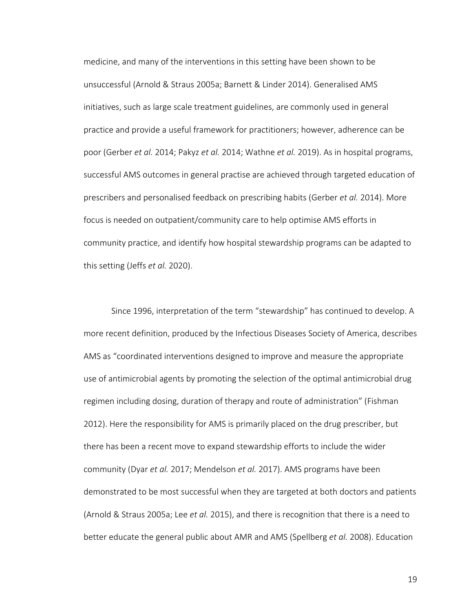medicine, and many of the interventions in this setting have been shown to be unsuccessful (Arnold & Straus 2005a; Barnett & Linder 2014). Generalised AMS initiatives, such as large scale treatment guidelines, are commonly used in general practice and provide a useful framework for practitioners; however, adherence can be poor (Gerber *et al.* 2014; Pakyz *et al.* 2014; Wathne *et al.* 2019). As in hospital programs, successful AMS outcomes in general practise are achieved through targeted education of prescribers and personalised feedback on prescribing habits (Gerber *et al.* 2014). More focus is needed on outpatient/community care to help optimise AMS efforts in community practice, and identify how hospital stewardship programs can be adapted to this setting (Jeffs *et al.* 2020).

Since 1996, interpretation of the term "stewardship" has continued to develop. A more recent definition, produced by the Infectious Diseases Society of America, describes AMS as "coordinated interventions designed to improve and measure the appropriate use of antimicrobial agents by promoting the selection of the optimal antimicrobial drug regimen including dosing, duration of therapy and route of administration" (Fishman 2012). Here the responsibility for AMS is primarily placed on the drug prescriber, but there has been a recent move to expand stewardship efforts to include the wider community (Dyar *et al.* 2017; Mendelson *et al.* 2017). AMS programs have been demonstrated to be most successful when they are targeted at both doctors and patients (Arnold & Straus 2005a; Lee *et al.* 2015), and there is recognition that there is a need to better educate the general public about AMR and AMS (Spellberg *et al.* 2008). Education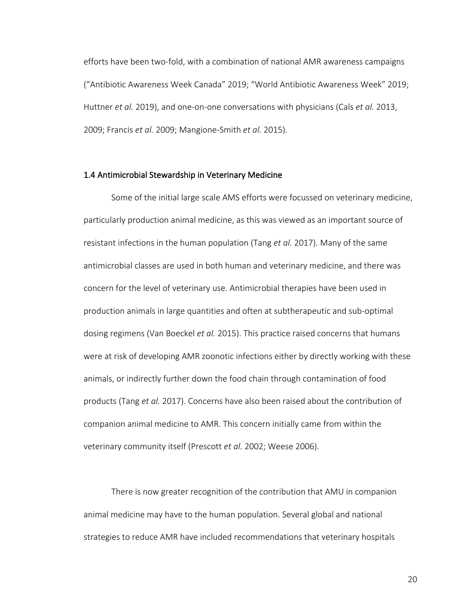efforts have been two-fold, with a combination of national AMR awareness campaigns ("Antibiotic Awareness Week Canada" 2019; "World Antibiotic Awareness Week" 2019; Huttner *et al.* 2019), and one-on-one conversations with physicians (Cals *et al.* 2013, 2009; Francis *et al.* 2009; Mangione-Smith *et al.* 2015).

#### 1.4 Antimicrobial Stewardship in Veterinary Medicine

Some of the initial large scale AMS efforts were focussed on veterinary medicine, particularly production animal medicine, as this was viewed as an important source of resistant infections in the human population (Tang *et al.* 2017). Many of the same antimicrobial classes are used in both human and veterinary medicine, and there was concern for the level of veterinary use. Antimicrobial therapies have been used in production animals in large quantities and often at subtherapeutic and sub-optimal dosing regimens (Van Boeckel *et al.* 2015). This practice raised concerns that humans were at risk of developing AMR zoonotic infections either by directly working with these animals, or indirectly further down the food chain through contamination of food products (Tang *et al.* 2017). Concerns have also been raised about the contribution of companion animal medicine to AMR. This concern initially came from within the veterinary community itself (Prescott *et al.* 2002; Weese 2006).

There is now greater recognition of the contribution that AMU in companion animal medicine may have to the human population. Several global and national strategies to reduce AMR have included recommendations that veterinary hospitals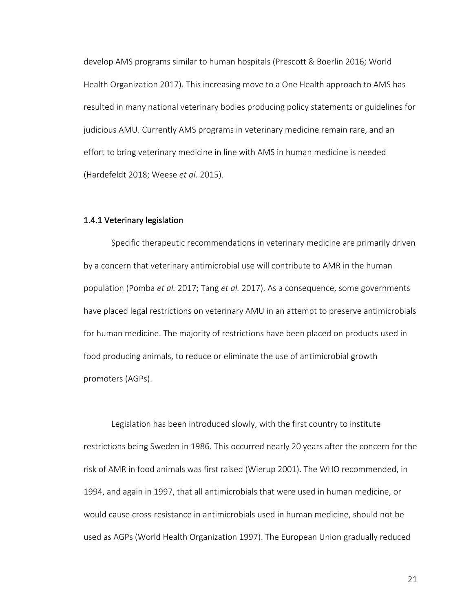develop AMS programs similar to human hospitals (Prescott & Boerlin 2016; World Health Organization 2017). This increasing move to a One Health approach to AMS has resulted in many national veterinary bodies producing policy statements or guidelines for judicious AMU. Currently AMS programs in veterinary medicine remain rare, and an effort to bring veterinary medicine in line with AMS in human medicine is needed (Hardefeldt 2018; Weese *et al.* 2015).

#### 1.4.1 Veterinary legislation

Specific therapeutic recommendations in veterinary medicine are primarily driven by a concern that veterinary antimicrobial use will contribute to AMR in the human population (Pomba *et al.* 2017; Tang *et al.* 2017). As a consequence, some governments have placed legal restrictions on veterinary AMU in an attempt to preserve antimicrobials for human medicine. The majority of restrictions have been placed on products used in food producing animals, to reduce or eliminate the use of antimicrobial growth promoters (AGPs).

Legislation has been introduced slowly, with the first country to institute restrictions being Sweden in 1986. This occurred nearly 20 years after the concern for the risk of AMR in food animals was first raised (Wierup 2001). The WHO recommended, in 1994, and again in 1997, that all antimicrobials that were used in human medicine, or would cause cross-resistance in antimicrobials used in human medicine, should not be used as AGPs (World Health Organization 1997). The European Union gradually reduced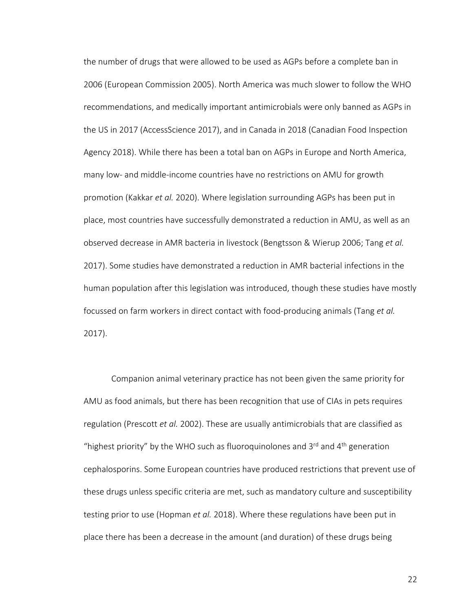the number of drugs that were allowed to be used as AGPs before a complete ban in 2006 (European Commission 2005). North America was much slower to follow the WHO recommendations, and medically important antimicrobials were only banned as AGPs in the US in 2017 (AccessScience 2017), and in Canada in 2018 (Canadian Food Inspection Agency 2018). While there has been a total ban on AGPs in Europe and North America, many low- and middle-income countries have no restrictions on AMU for growth promotion (Kakkar *et al.* 2020). Where legislation surrounding AGPs has been put in place, most countries have successfully demonstrated a reduction in AMU, as well as an observed decrease in AMR bacteria in livestock (Bengtsson & Wierup 2006; Tang *et al.* 2017). Some studies have demonstrated a reduction in AMR bacterial infections in the human population after this legislation was introduced, though these studies have mostly focussed on farm workers in direct contact with food-producing animals (Tang *et al.* 2017).

Companion animal veterinary practice has not been given the same priority for AMU as food animals, but there has been recognition that use of CIAs in pets requires regulation (Prescott *et al.* 2002). These are usually antimicrobials that are classified as "highest priority" by the WHO such as fluoroquinolones and  $3<sup>rd</sup>$  and  $4<sup>th</sup>$  generation cephalosporins. Some European countries have produced restrictions that prevent use of these drugs unless specific criteria are met, such as mandatory culture and susceptibility testing prior to use (Hopman *et al.* 2018). Where these regulations have been put in place there has been a decrease in the amount (and duration) of these drugs being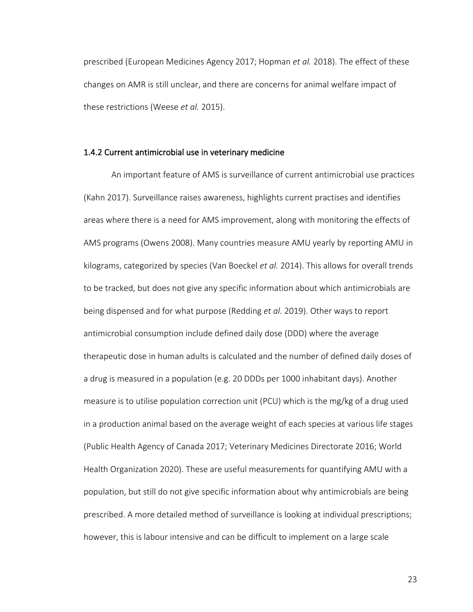prescribed (European Medicines Agency 2017; Hopman *et al.* 2018). The effect of these changes on AMR is still unclear, and there are concerns for animal welfare impact of these restrictions (Weese *et al.* 2015).

### 1.4.2 Current antimicrobial use in veterinary medicine

An important feature of AMS is surveillance of current antimicrobial use practices (Kahn 2017). Surveillance raises awareness, highlights current practises and identifies areas where there is a need for AMS improvement, along with monitoring the effects of AMS programs (Owens 2008). Many countries measure AMU yearly by reporting AMU in kilograms, categorized by species (Van Boeckel *et al.* 2014). This allows for overall trends to be tracked, but does not give any specific information about which antimicrobials are being dispensed and for what purpose (Redding *et al.* 2019). Other ways to report antimicrobial consumption include defined daily dose (DDD) where the average therapeutic dose in human adults is calculated and the number of defined daily doses of a drug is measured in a population (e.g. 20 DDDs per 1000 inhabitant days). Another measure is to utilise population correction unit (PCU) which is the mg/kg of a drug used in a production animal based on the average weight of each species at various life stages (Public Health Agency of Canada 2017; Veterinary Medicines Directorate 2016; World Health Organization 2020). These are useful measurements for quantifying AMU with a population, but still do not give specific information about why antimicrobials are being prescribed. A more detailed method of surveillance is looking at individual prescriptions; however, this is labour intensive and can be difficult to implement on a large scale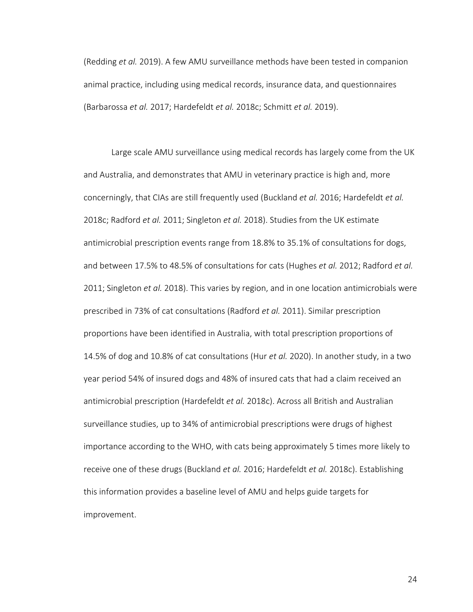(Redding *et al.* 2019). A few AMU surveillance methods have been tested in companion animal practice, including using medical records, insurance data, and questionnaires (Barbarossa *et al.* 2017; Hardefeldt *et al.* 2018c; Schmitt *et al.* 2019).

Large scale AMU surveillance using medical records has largely come from the UK and Australia, and demonstrates that AMU in veterinary practice is high and, more concerningly, that CIAs are still frequently used (Buckland *et al.* 2016; Hardefeldt *et al.* 2018c; Radford *et al.* 2011; Singleton *et al.* 2018). Studies from the UK estimate antimicrobial prescription events range from 18.8% to 35.1% of consultations for dogs, and between 17.5% to 48.5% of consultations for cats (Hughes *et al.* 2012; Radford *et al.* 2011; Singleton *et al.* 2018). This varies by region, and in one location antimicrobials were prescribed in 73% of cat consultations (Radford *et al.* 2011). Similar prescription proportions have been identified in Australia, with total prescription proportions of 14.5% of dog and 10.8% of cat consultations (Hur *et al.* 2020). In another study, in a two year period 54% of insured dogs and 48% of insured cats that had a claim received an antimicrobial prescription (Hardefeldt *et al.* 2018c). Across all British and Australian surveillance studies, up to 34% of antimicrobial prescriptions were drugs of highest importance according to the WHO, with cats being approximately 5 times more likely to receive one of these drugs (Buckland *et al.* 2016; Hardefeldt *et al.* 2018c). Establishing this information provides a baseline level of AMU and helps guide targets for improvement.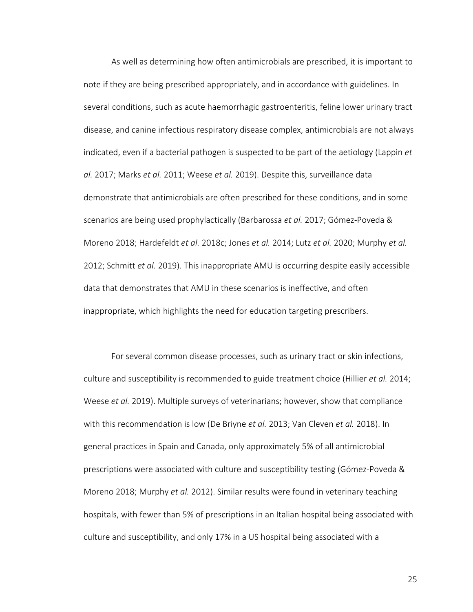As well as determining how often antimicrobials are prescribed, it is important to note if they are being prescribed appropriately, and in accordance with guidelines. In several conditions, such as acute haemorrhagic gastroenteritis, feline lower urinary tract disease, and canine infectious respiratory disease complex, antimicrobials are not always indicated, even if a bacterial pathogen is suspected to be part of the aetiology (Lappin *et al.* 2017; Marks *et al.* 2011; Weese *et al.* 2019). Despite this, surveillance data demonstrate that antimicrobials are often prescribed for these conditions, and in some scenarios are being used prophylactically (Barbarossa *et al.* 2017; Gómez-Poveda & Moreno 2018; Hardefeldt *et al.* 2018c; Jones *et al.* 2014; Lutz *et al.* 2020; Murphy *et al.* 2012; Schmitt *et al.* 2019). This inappropriate AMU is occurring despite easily accessible data that demonstrates that AMU in these scenarios is ineffective, and often inappropriate, which highlights the need for education targeting prescribers.

For several common disease processes, such as urinary tract or skin infections, culture and susceptibility is recommended to guide treatment choice (Hillier *et al.* 2014; Weese *et al.* 2019). Multiple surveys of veterinarians; however, show that compliance with this recommendation is low (De Briyne *et al.* 2013; Van Cleven *et al.* 2018). In general practices in Spain and Canada, only approximately 5% of all antimicrobial prescriptions were associated with culture and susceptibility testing (Gómez-Poveda & Moreno 2018; Murphy *et al.* 2012). Similar results were found in veterinary teaching hospitals, with fewer than 5% of prescriptions in an Italian hospital being associated with culture and susceptibility, and only 17% in a US hospital being associated with a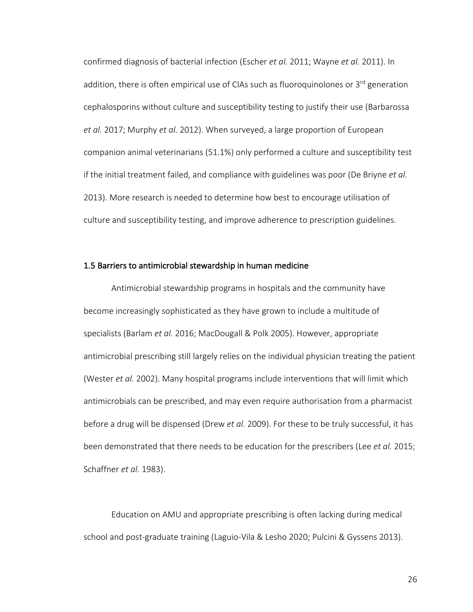confirmed diagnosis of bacterial infection (Escher *et al.* 2011; Wayne *et al.* 2011). In addition, there is often empirical use of CIAs such as fluoroquinolones or 3rd generation cephalosporins without culture and susceptibility testing to justify their use (Barbarossa *et al.* 2017; Murphy *et al.* 2012). When surveyed, a large proportion of European companion animal veterinarians (51.1%) only performed a culture and susceptibility test if the initial treatment failed, and compliance with guidelines was poor (De Briyne *et al.* 2013). More research is needed to determine how best to encourage utilisation of culture and susceptibility testing, and improve adherence to prescription guidelines.

### 1.5 Barriers to antimicrobial stewardship in human medicine

Antimicrobial stewardship programs in hospitals and the community have become increasingly sophisticated as they have grown to include a multitude of specialists (Barlam *et al.* 2016; MacDougall & Polk 2005). However, appropriate antimicrobial prescribing still largely relies on the individual physician treating the patient (Wester *et al.* 2002). Many hospital programs include interventions that will limit which antimicrobials can be prescribed, and may even require authorisation from a pharmacist before a drug will be dispensed (Drew *et al.* 2009). For these to be truly successful, it has been demonstrated that there needs to be education for the prescribers (Lee *et al.* 2015; Schaffner *et al.* 1983).

Education on AMU and appropriate prescribing is often lacking during medical school and post-graduate training (Laguio-Vila & Lesho 2020; Pulcini & Gyssens 2013).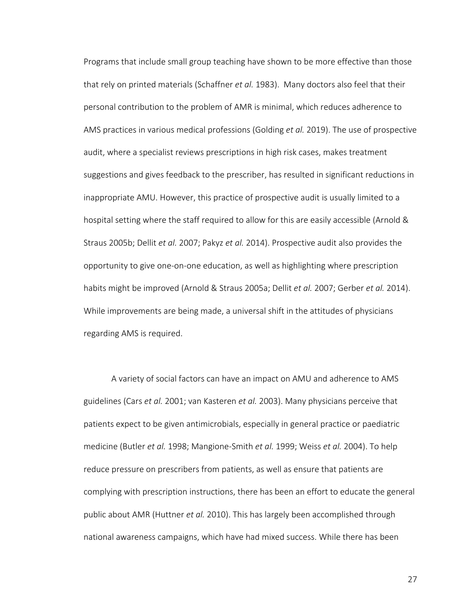Programs that include small group teaching have shown to be more effective than those that rely on printed materials (Schaffner *et al.* 1983). Many doctors also feel that their personal contribution to the problem of AMR is minimal, which reduces adherence to AMS practices in various medical professions (Golding *et al.* 2019). The use of prospective audit, where a specialist reviews prescriptions in high risk cases, makes treatment suggestions and gives feedback to the prescriber, has resulted in significant reductions in inappropriate AMU. However, this practice of prospective audit is usually limited to a hospital setting where the staff required to allow for this are easily accessible (Arnold & Straus 2005b; Dellit *et al.* 2007; Pakyz *et al.* 2014). Prospective audit also provides the opportunity to give one-on-one education, as well as highlighting where prescription habits might be improved (Arnold & Straus 2005a; Dellit *et al.* 2007; Gerber *et al.* 2014). While improvements are being made, a universal shift in the attitudes of physicians regarding AMS is required.

A variety of social factors can have an impact on AMU and adherence to AMS guidelines (Cars *et al.* 2001; van Kasteren *et al.* 2003). Many physicians perceive that patients expect to be given antimicrobials, especially in general practice or paediatric medicine (Butler *et al.* 1998; Mangione-Smith *et al.* 1999; Weiss *et al.* 2004). To help reduce pressure on prescribers from patients, as well as ensure that patients are complying with prescription instructions, there has been an effort to educate the general public about AMR (Huttner *et al.* 2010). This has largely been accomplished through national awareness campaigns, which have had mixed success. While there has been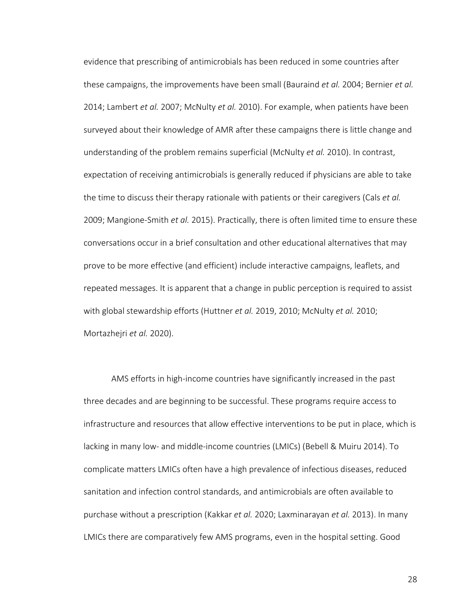evidence that prescribing of antimicrobials has been reduced in some countries after these campaigns, the improvements have been small (Bauraind *et al.* 2004; Bernier *et al.* 2014; Lambert *et al.* 2007; McNulty *et al.* 2010). For example, when patients have been surveyed about their knowledge of AMR after these campaigns there is little change and understanding of the problem remains superficial (McNulty *et al.* 2010). In contrast, expectation of receiving antimicrobials is generally reduced if physicians are able to take the time to discuss their therapy rationale with patients or their caregivers (Cals *et al.* 2009; Mangione-Smith *et al.* 2015). Practically, there is often limited time to ensure these conversations occur in a brief consultation and other educational alternatives that may prove to be more effective (and efficient) include interactive campaigns, leaflets, and repeated messages. It is apparent that a change in public perception is required to assist with global stewardship efforts (Huttner *et al.* 2019, 2010; McNulty *et al.* 2010; Mortazhejri *et al.* 2020).

AMS efforts in high-income countries have significantly increased in the past three decades and are beginning to be successful. These programs require access to infrastructure and resources that allow effective interventions to be put in place, which is lacking in many low- and middle-income countries (LMICs) (Bebell & Muiru 2014). To complicate matters LMICs often have a high prevalence of infectious diseases, reduced sanitation and infection control standards, and antimicrobials are often available to purchase without a prescription (Kakkar *et al.* 2020; Laxminarayan *et al.* 2013). In many LMICs there are comparatively few AMS programs, even in the hospital setting. Good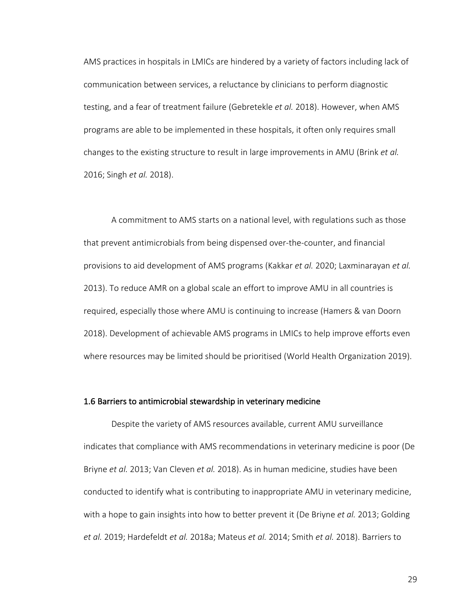AMS practices in hospitals in LMICs are hindered by a variety of factors including lack of communication between services, a reluctance by clinicians to perform diagnostic testing, and a fear of treatment failure (Gebretekle *et al.* 2018). However, when AMS programs are able to be implemented in these hospitals, it often only requires small changes to the existing structure to result in large improvements in AMU (Brink *et al.* 2016; Singh *et al.* 2018).

A commitment to AMS starts on a national level, with regulations such as those that prevent antimicrobials from being dispensed over-the-counter, and financial provisions to aid development of AMS programs (Kakkar *et al.* 2020; Laxminarayan *et al.* 2013). To reduce AMR on a global scale an effort to improve AMU in all countries is required, especially those where AMU is continuing to increase (Hamers & van Doorn 2018). Development of achievable AMS programs in LMICs to help improve efforts even where resources may be limited should be prioritised (World Health Organization 2019).

#### 1.6 Barriers to antimicrobial stewardship in veterinary medicine

Despite the variety of AMS resources available, current AMU surveillance indicates that compliance with AMS recommendations in veterinary medicine is poor (De Briyne *et al.* 2013; Van Cleven *et al.* 2018). As in human medicine, studies have been conducted to identify what is contributing to inappropriate AMU in veterinary medicine, with a hope to gain insights into how to better prevent it (De Briyne *et al.* 2013; Golding *et al.* 2019; Hardefeldt *et al.* 2018a; Mateus *et al.* 2014; Smith *et al.* 2018). Barriers to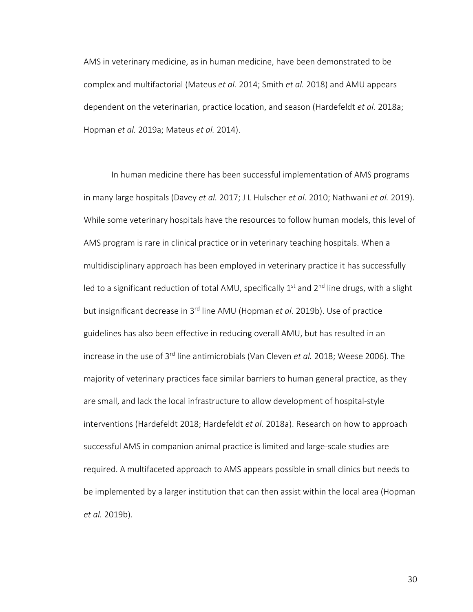AMS in veterinary medicine, as in human medicine, have been demonstrated to be complex and multifactorial (Mateus *et al.* 2014; Smith *et al.* 2018) and AMU appears dependent on the veterinarian, practice location, and season (Hardefeldt *et al.* 2018a; Hopman *et al.* 2019a; Mateus *et al.* 2014).

In human medicine there has been successful implementation of AMS programs in many large hospitals (Davey *et al.* 2017; J L Hulscher *et al.* 2010; Nathwani *et al.* 2019). While some veterinary hospitals have the resources to follow human models, this level of AMS program is rare in clinical practice or in veterinary teaching hospitals. When a multidisciplinary approach has been employed in veterinary practice it has successfully led to a significant reduction of total AMU, specifically  $1<sup>st</sup>$  and  $2<sup>nd</sup>$  line drugs, with a slight but insignificant decrease in 3rd line AMU (Hopman *et al.* 2019b). Use of practice guidelines has also been effective in reducing overall AMU, but has resulted in an increase in the use of 3rd line antimicrobials (Van Cleven *et al.* 2018; Weese 2006). The majority of veterinary practices face similar barriers to human general practice, as they are small, and lack the local infrastructure to allow development of hospital-style interventions (Hardefeldt 2018; Hardefeldt *et al.* 2018a). Research on how to approach successful AMS in companion animal practice is limited and large-scale studies are required. A multifaceted approach to AMS appears possible in small clinics but needs to be implemented by a larger institution that can then assist within the local area (Hopman *et al.* 2019b).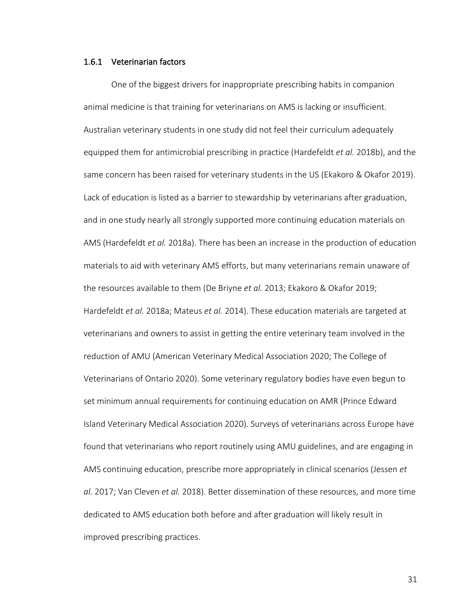### 1.6.1 Veterinarian factors

One of the biggest drivers for inappropriate prescribing habits in companion animal medicine is that training for veterinarians on AMS is lacking or insufficient. Australian veterinary students in one study did not feel their curriculum adequately equipped them for antimicrobial prescribing in practice (Hardefeldt *et al.* 2018b), and the same concern has been raised for veterinary students in the US (Ekakoro & Okafor 2019). Lack of education is listed as a barrier to stewardship by veterinarians after graduation, and in one study nearly all strongly supported more continuing education materials on AMS (Hardefeldt *et al.* 2018a). There has been an increase in the production of education materials to aid with veterinary AMS efforts, but many veterinarians remain unaware of the resources available to them (De Briyne *et al.* 2013; Ekakoro & Okafor 2019; Hardefeldt *et al.* 2018a; Mateus *et al.* 2014). These education materials are targeted at veterinarians and owners to assist in getting the entire veterinary team involved in the reduction of AMU (American Veterinary Medical Association 2020; The College of Veterinarians of Ontario 2020). Some veterinary regulatory bodies have even begun to set minimum annual requirements for continuing education on AMR (Prince Edward Island Veterinary Medical Association 2020). Surveys of veterinarians across Europe have found that veterinarians who report routinely using AMU guidelines, and are engaging in AMS continuing education, prescribe more appropriately in clinical scenarios (Jessen *et al.* 2017; Van Cleven *et al.* 2018). Better dissemination of these resources, and more time dedicated to AMS education both before and after graduation will likely result in improved prescribing practices.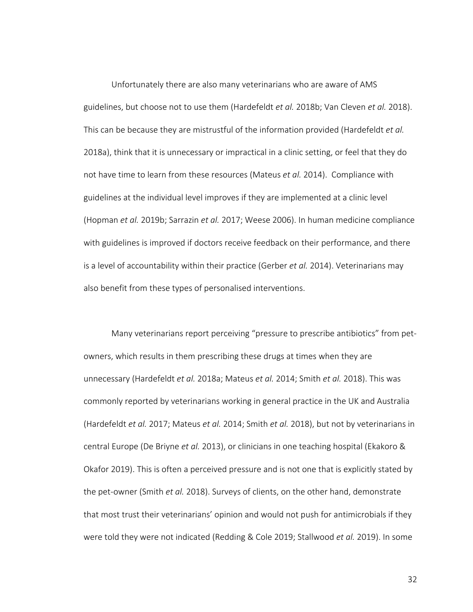Unfortunately there are also many veterinarians who are aware of AMS guidelines, but choose not to use them (Hardefeldt *et al.* 2018b; Van Cleven *et al.* 2018). This can be because they are mistrustful of the information provided (Hardefeldt *et al.* 2018a), think that it is unnecessary or impractical in a clinic setting, or feel that they do not have time to learn from these resources (Mateus *et al.* 2014). Compliance with guidelines at the individual level improves if they are implemented at a clinic level (Hopman *et al.* 2019b; Sarrazin *et al.* 2017; Weese 2006). In human medicine compliance with guidelines is improved if doctors receive feedback on their performance, and there is a level of accountability within their practice (Gerber *et al.* 2014). Veterinarians may also benefit from these types of personalised interventions.

Many veterinarians report perceiving "pressure to prescribe antibiotics" from petowners, which results in them prescribing these drugs at times when they are unnecessary (Hardefeldt *et al.* 2018a; Mateus *et al.* 2014; Smith *et al.* 2018). This was commonly reported by veterinarians working in general practice in the UK and Australia (Hardefeldt *et al.* 2017; Mateus *et al.* 2014; Smith *et al.* 2018), but not by veterinarians in central Europe (De Briyne *et al.* 2013), or clinicians in one teaching hospital (Ekakoro & Okafor 2019). This is often a perceived pressure and is not one that is explicitly stated by the pet-owner (Smith *et al.* 2018). Surveys of clients, on the other hand, demonstrate that most trust their veterinarians' opinion and would not push for antimicrobials if they were told they were not indicated (Redding & Cole 2019; Stallwood *et al.* 2019). In some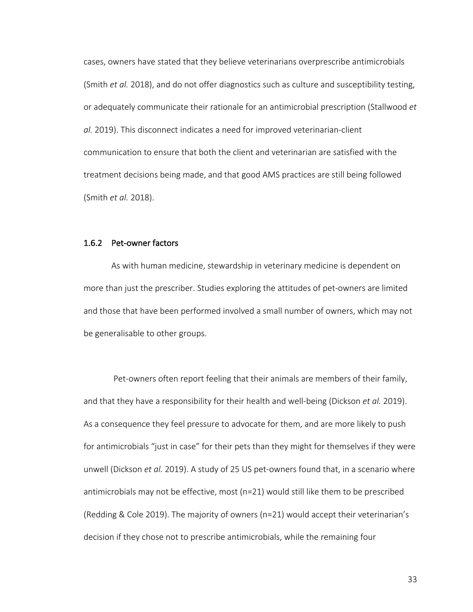cases, owners have stated that they believe veterinarians overprescribe antimicrobials (Smith *et al.* 2018), and do not offer diagnostics such as culture and susceptibility testing, or adequately communicate their rationale for an antimicrobial prescription (Stallwood *et al.* 2019). This disconnect indicates a need for improved veterinarian-client communication to ensure that both the client and veterinarian are satisfied with the treatment decisions being made, and that good AMS practices are still being followed (Smith *et al.* 2018).

### 1.6.2 Pet-owner factors

As with human medicine, stewardship in veterinary medicine is dependent on more than just the prescriber. Studies exploring the attitudes of pet-owners are limited and those that have been performed involved a small number of owners, which may not be generalisable to other groups.

Pet-owners often report feeling that their animals are members of their family, and that they have a responsibility for their health and well-being (Dickson *et al.* 2019). As a consequence they feel pressure to advocate for them, and are more likely to push for antimicrobials "just in case" for their pets than they might for themselves if they were unwell (Dickson *et al.* 2019). A study of 25 US pet-owners found that, in a scenario where antimicrobials may not be effective, most (n=21) would still like them to be prescribed (Redding & Cole 2019). The majority of owners (n=21) would accept their veterinarian's decision if they chose not to prescribe antimicrobials, while the remaining four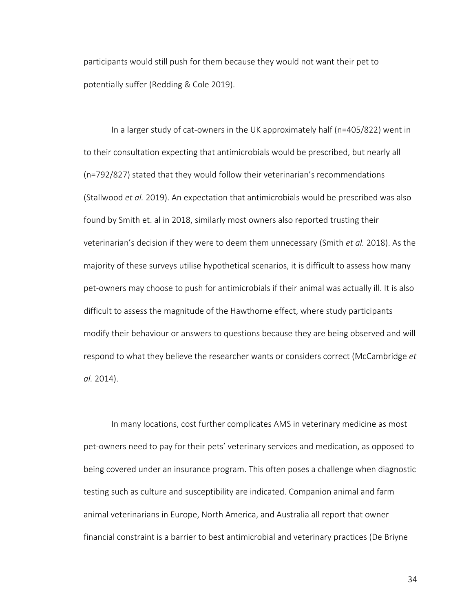participants would still push for them because they would not want their pet to potentially suffer (Redding & Cole 2019).

In a larger study of cat-owners in the UK approximately half (n=405/822) went in to their consultation expecting that antimicrobials would be prescribed, but nearly all (n=792/827) stated that they would follow their veterinarian's recommendations (Stallwood *et al.* 2019). An expectation that antimicrobials would be prescribed was also found by Smith et. al in 2018, similarly most owners also reported trusting their veterinarian's decision if they were to deem them unnecessary (Smith *et al.* 2018). As the majority of these surveys utilise hypothetical scenarios, it is difficult to assess how many pet-owners may choose to push for antimicrobials if their animal was actually ill. It is also difficult to assess the magnitude of the Hawthorne effect, where study participants modify their behaviour or answers to questions because they are being observed and will respond to what they believe the researcher wants or considers correct (McCambridge *et al.* 2014).

In many locations, cost further complicates AMS in veterinary medicine as most pet-owners need to pay for their pets' veterinary services and medication, as opposed to being covered under an insurance program. This often poses a challenge when diagnostic testing such as culture and susceptibility are indicated. Companion animal and farm animal veterinarians in Europe, North America, and Australia all report that owner financial constraint is a barrier to best antimicrobial and veterinary practices (De Briyne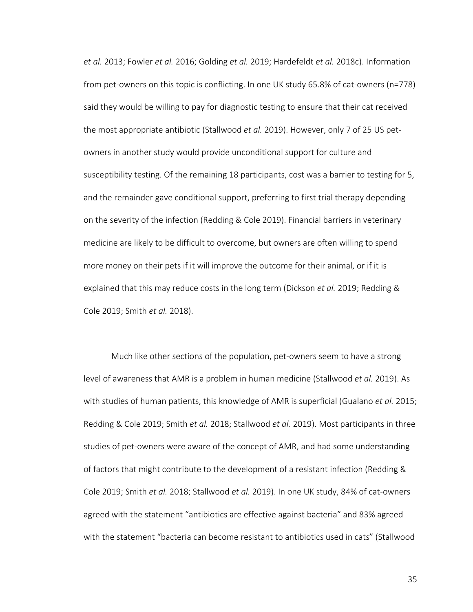*et al.* 2013; Fowler *et al.* 2016; Golding *et al.* 2019; Hardefeldt *et al.* 2018c). Information from pet-owners on this topic is conflicting. In one UK study 65.8% of cat-owners (n=778) said they would be willing to pay for diagnostic testing to ensure that their cat received the most appropriate antibiotic (Stallwood *et al.* 2019). However, only 7 of 25 US petowners in another study would provide unconditional support for culture and susceptibility testing. Of the remaining 18 participants, cost was a barrier to testing for 5, and the remainder gave conditional support, preferring to first trial therapy depending on the severity of the infection (Redding & Cole 2019). Financial barriers in veterinary medicine are likely to be difficult to overcome, but owners are often willing to spend more money on their pets if it will improve the outcome for their animal, or if it is explained that this may reduce costs in the long term (Dickson *et al.* 2019; Redding & Cole 2019; Smith *et al.* 2018).

Much like other sections of the population, pet-owners seem to have a strong level of awareness that AMR is a problem in human medicine (Stallwood *et al.* 2019). As with studies of human patients, this knowledge of AMR is superficial (Gualano *et al.* 2015; Redding & Cole 2019; Smith *et al.* 2018; Stallwood *et al.* 2019). Most participants in three studies of pet-owners were aware of the concept of AMR, and had some understanding of factors that might contribute to the development of a resistant infection (Redding & Cole 2019; Smith *et al.* 2018; Stallwood *et al.* 2019). In one UK study, 84% of cat-owners agreed with the statement "antibiotics are effective against bacteria" and 83% agreed with the statement "bacteria can become resistant to antibiotics used in cats" (Stallwood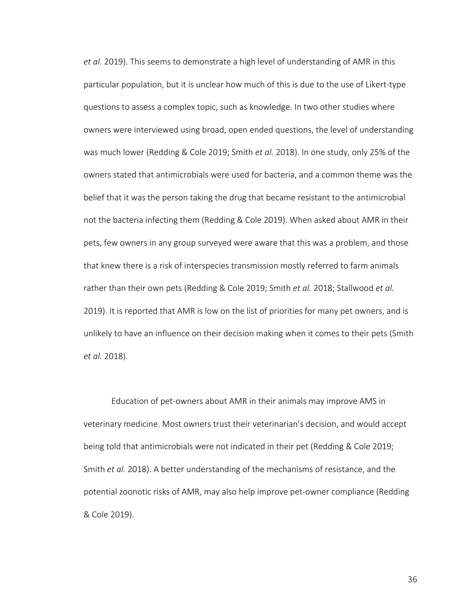*et al.* 2019). This seems to demonstrate a high level of understanding of AMR in this particular population, but it is unclear how much of this is due to the use of Likert-type questions to assess a complex topic, such as knowledge. In two other studies where owners were interviewed using broad, open ended questions, the level of understanding was much lower (Redding & Cole 2019; Smith *et al.* 2018). In one study, only 25% of the owners stated that antimicrobials were used for bacteria, and a common theme was the belief that it was the person taking the drug that became resistant to the antimicrobial not the bacteria infecting them (Redding & Cole 2019). When asked about AMR in their pets, few owners in any group surveyed were aware that this was a problem, and those that knew there is a risk of interspecies transmission mostly referred to farm animals rather than their own pets (Redding & Cole 2019; Smith *et al.* 2018; Stallwood *et al.* 2019). It is reported that AMR is low on the list of priorities for many pet owners, and is unlikely to have an influence on their decision making when it comes to their pets (Smith *et al.* 2018).

Education of pet-owners about AMR in their animals may improve AMS in veterinary medicine. Most owners trust their veterinarian's decision, and would accept being told that antimicrobials were not indicated in their pet (Redding & Cole 2019; Smith *et al.* 2018). A better understanding of the mechanisms of resistance, and the potential zoonotic risks of AMR, may also help improve pet-owner compliance (Redding & Cole 2019).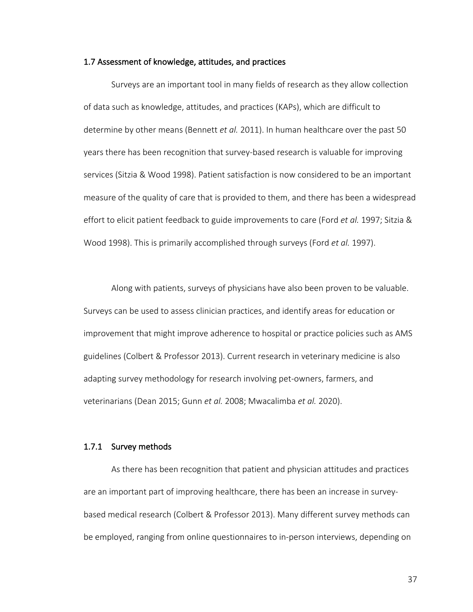### 1.7 Assessment of knowledge, attitudes, and practices

Surveys are an important tool in many fields of research as they allow collection of data such as knowledge, attitudes, and practices (KAPs), which are difficult to determine by other means (Bennett *et al.* 2011). In human healthcare over the past 50 years there has been recognition that survey-based research is valuable for improving services (Sitzia & Wood 1998). Patient satisfaction is now considered to be an important measure of the quality of care that is provided to them, and there has been a widespread effort to elicit patient feedback to guide improvements to care (Ford *et al.* 1997; Sitzia & Wood 1998). This is primarily accomplished through surveys (Ford *et al.* 1997).

Along with patients, surveys of physicians have also been proven to be valuable. Surveys can be used to assess clinician practices, and identify areas for education or improvement that might improve adherence to hospital or practice policies such as AMS guidelines (Colbert & Professor 2013). Current research in veterinary medicine is also adapting survey methodology for research involving pet-owners, farmers, and veterinarians (Dean 2015; Gunn *et al.* 2008; Mwacalimba *et al.* 2020).

### 1.7.1 Survey methods

As there has been recognition that patient and physician attitudes and practices are an important part of improving healthcare, there has been an increase in surveybased medical research (Colbert & Professor 2013). Many different survey methods can be employed, ranging from online questionnaires to in-person interviews, depending on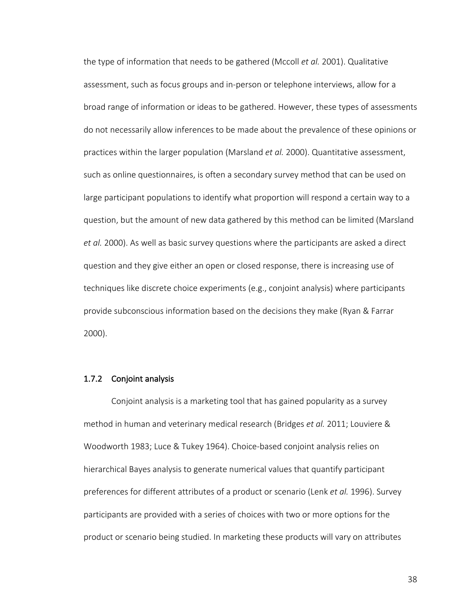the type of information that needs to be gathered (Mccoll *et al.* 2001). Qualitative assessment, such as focus groups and in-person or telephone interviews, allow for a broad range of information or ideas to be gathered. However, these types of assessments do not necessarily allow inferences to be made about the prevalence of these opinions or practices within the larger population (Marsland *et al.* 2000). Quantitative assessment, such as online questionnaires, is often a secondary survey method that can be used on large participant populations to identify what proportion will respond a certain way to a question, but the amount of new data gathered by this method can be limited (Marsland *et al.* 2000). As well as basic survey questions where the participants are asked a direct question and they give either an open or closed response, there is increasing use of techniques like discrete choice experiments (e.g., conjoint analysis) where participants provide subconscious information based on the decisions they make (Ryan & Farrar 2000).

## 1.7.2 Conjoint analysis

Conjoint analysis is a marketing tool that has gained popularity as a survey method in human and veterinary medical research (Bridges *et al.* 2011; Louviere & Woodworth 1983; Luce & Tukey 1964). Choice-based conjoint analysis relies on hierarchical Bayes analysis to generate numerical values that quantify participant preferences for different attributes of a product or scenario (Lenk *et al.* 1996). Survey participants are provided with a series of choices with two or more options for the product or scenario being studied. In marketing these products will vary on attributes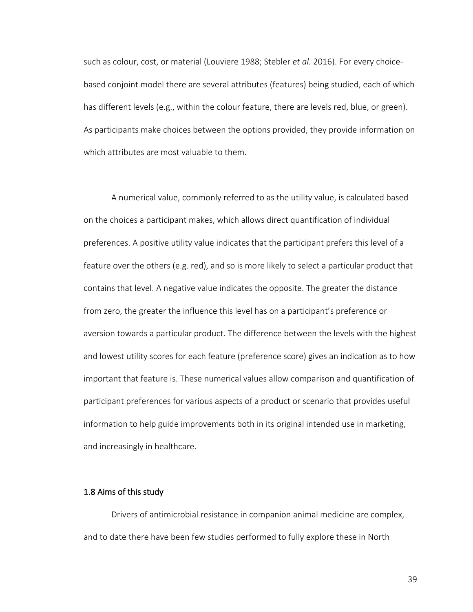such as colour, cost, or material (Louviere 1988; Stebler *et al.* 2016). For every choicebased conjoint model there are several attributes (features) being studied, each of which has different levels (e.g., within the colour feature, there are levels red, blue, or green). As participants make choices between the options provided, they provide information on which attributes are most valuable to them.

A numerical value, commonly referred to as the utility value, is calculated based on the choices a participant makes, which allows direct quantification of individual preferences. A positive utility value indicates that the participant prefers this level of a feature over the others (e.g. red), and so is more likely to select a particular product that contains that level. A negative value indicates the opposite. The greater the distance from zero, the greater the influence this level has on a participant's preference or aversion towards a particular product. The difference between the levels with the highest and lowest utility scores for each feature (preference score) gives an indication as to how important that feature is. These numerical values allow comparison and quantification of participant preferences for various aspects of a product or scenario that provides useful information to help guide improvements both in its original intended use in marketing, and increasingly in healthcare.

### 1.8 Aims of this study

Drivers of antimicrobial resistance in companion animal medicine are complex, and to date there have been few studies performed to fully explore these in North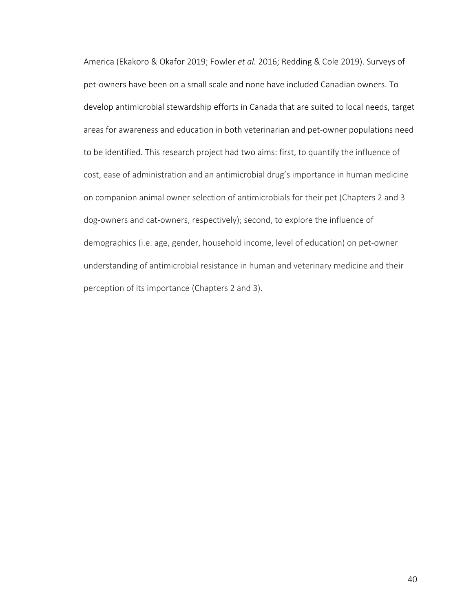America (Ekakoro & Okafor 2019; Fowler *et al.* 2016; Redding & Cole 2019). Surveys of pet-owners have been on a small scale and none have included Canadian owners. To develop antimicrobial stewardship efforts in Canada that are suited to local needs, target areas for awareness and education in both veterinarian and pet-owner populations need to be identified. This research project had two aims: first, to quantify the influence of cost, ease of administration and an antimicrobial drug's importance in human medicine on companion animal owner selection of antimicrobials for their pet (Chapters 2 and 3 dog-owners and cat-owners, respectively); second, to explore the influence of demographics (i.e. age, gender, household income, level of education) on pet-owner understanding of antimicrobial resistance in human and veterinary medicine and their perception of its importance (Chapters 2 and 3).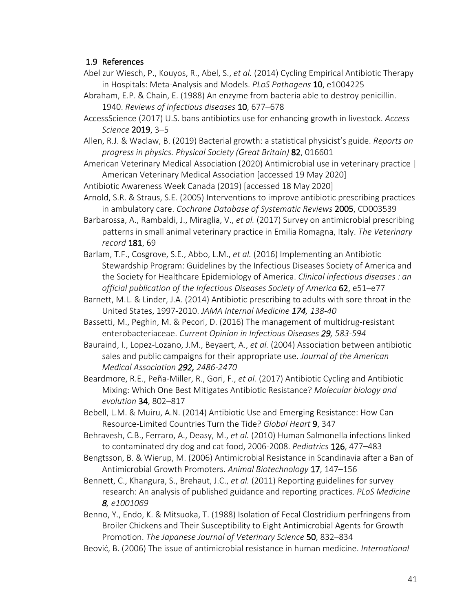# 1.9 References

- Abel zur Wiesch, P., Kouyos, R., Abel, S., *et al.* (2014) Cycling Empirical Antibiotic Therapy in Hospitals: Meta-Analysis and Models. *PLoS Pathogens* 10, e1004225
- Abraham, E.P. & Chain, E. (1988) An enzyme from bacteria able to destroy penicillin. 1940. *Reviews of infectious diseases* 10, 677–678
- AccessScience (2017) U.S. bans antibiotics use for enhancing growth in livestock. *Access Science* 2019, 3–5
- Allen, R.J. & Waclaw, B. (2019) Bacterial growth: a statistical physicist's guide. *Reports on progress in physics. Physical Society (Great Britain)* 82, 016601
- American Veterinary Medical Association (2020) Antimicrobial use in veterinary practice | American Veterinary Medical Association [accessed 19 May 2020]
- Antibiotic Awareness Week Canada (2019) [accessed 18 May 2020]
- Arnold, S.R. & Straus, S.E. (2005) Interventions to improve antibiotic prescribing practices in ambulatory care. *Cochrane Database of Systematic Reviews* 2005, CD003539
- Barbarossa, A., Rambaldi, J., Miraglia, V., *et al.* (2017) Survey on antimicrobial prescribing patterns in small animal veterinary practice in Emilia Romagna, Italy. *The Veterinary record* 181, 69
- Barlam, T.F., Cosgrove, S.E., Abbo, L.M., *et al.* (2016) Implementing an Antibiotic Stewardship Program: Guidelines by the Infectious Diseases Society of America and the Society for Healthcare Epidemiology of America. *Clinical infectious diseases : an official publication of the Infectious Diseases Society of America* 62, e51–e77
- Barnett, M.L. & Linder, J.A. (2014) Antibiotic prescribing to adults with sore throat in the United States, 1997-2010. *JAMA Internal Medicine 174, 138-40*
- Bassetti, M., Peghin, M. & Pecori, D. (2016) The management of multidrug-resistant enterobacteriaceae. *Current Opinion in Infectious Diseases 29, 583-594*
- Bauraind, I., Lopez-Lozano, J.M., Beyaert, A., *et al.* (2004) Association between antibiotic sales and public campaigns for their appropriate use. *Journal of the American Medical Association 292, 2486-2470*
- Beardmore, R.E., Peña-Miller, R., Gori, F., *et al.* (2017) Antibiotic Cycling and Antibiotic Mixing: Which One Best Mitigates Antibiotic Resistance? *Molecular biology and evolution* 34, 802–817
- Bebell, L.M. & Muiru, A.N. (2014) Antibiotic Use and Emerging Resistance: How Can Resource-Limited Countries Turn the Tide? *Global Heart* 9, 347
- Behravesh, C.B., Ferraro, A., Deasy, M., *et al.* (2010) Human Salmonella infections linked to contaminated dry dog and cat food, 2006-2008. *Pediatrics* 126, 477–483
- Bengtsson, B. & Wierup, M. (2006) Antimicrobial Resistance in Scandinavia after a Ban of Antimicrobial Growth Promoters. *Animal Biotechnology* 17, 147–156
- Bennett, C., Khangura, S., Brehaut, J.C., *et al.* (2011) Reporting guidelines for survey research: An analysis of published guidance and reporting practices. *PLoS Medicine 8, e1001069*
- Benno, Y., Endo, K. & Mitsuoka, T. (1988) Isolation of Fecal Clostridium perfringens from Broiler Chickens and Their Susceptibility to Eight Antimicrobial Agents for Growth Promotion. *The Japanese Journal of Veterinary Science* 50, 832–834
- Beović, B. (2006) The issue of antimicrobial resistance in human medicine. *International*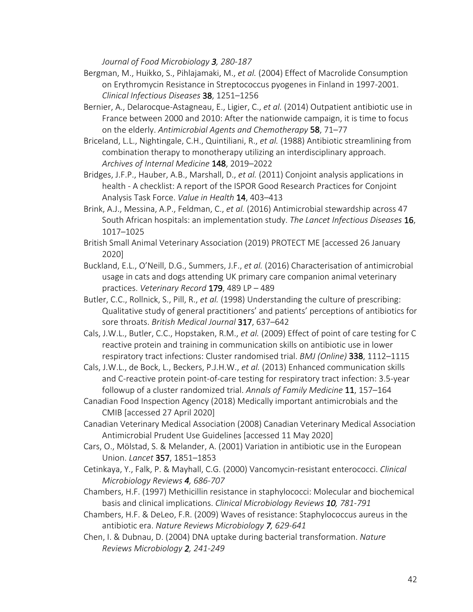*Journal of Food Microbiology 3, 280-187*

- Bergman, M., Huikko, S., Pihlajamaki, M., *et al.* (2004) Effect of Macrolide Consumption on Erythromycin Resistance in Streptococcus pyogenes in Finland in 1997-2001. *Clinical Infectious Diseases* 38, 1251–1256
- Bernier, A., Delarocque-Astagneau, E., Ligier, C., *et al.* (2014) Outpatient antibiotic use in France between 2000 and 2010: After the nationwide campaign, it is time to focus on the elderly. *Antimicrobial Agents and Chemotherapy* 58, 71–77
- Briceland, L.L., Nightingale, C.H., Quintiliani, R., *et al.* (1988) Antibiotic streamlining from combination therapy to monotherapy utilizing an interdisciplinary approach. *Archives of Internal Medicine* 148, 2019–2022
- Bridges, J.F.P., Hauber, A.B., Marshall, D., *et al.* (2011) Conjoint analysis applications in health - A checklist: A report of the ISPOR Good Research Practices for Conjoint Analysis Task Force. *Value in Health* 14, 403–413
- Brink, A.J., Messina, A.P., Feldman, C., *et al.* (2016) Antimicrobial stewardship across 47 South African hospitals: an implementation study. *The Lancet Infectious Diseases* 16, 1017–1025
- British Small Animal Veterinary Association (2019) PROTECT ME [accessed 26 January 2020]
- Buckland, E.L., O'Neill, D.G., Summers, J.F., *et al.* (2016) Characterisation of antimicrobial usage in cats and dogs attending UK primary care companion animal veterinary practices. *Veterinary Record* 179, 489 LP – 489
- Butler, C.C., Rollnick, S., Pill, R., *et al.* (1998) Understanding the culture of prescribing: Qualitative study of general practitioners' and patients' perceptions of antibiotics for sore throats. *British Medical Journal* 317, 637–642
- Cals, J.W.L., Butler, C.C., Hopstaken, R.M., *et al.* (2009) Effect of point of care testing for C reactive protein and training in communication skills on antibiotic use in lower respiratory tract infections: Cluster randomised trial. *BMJ (Online)* 338, 1112–1115
- Cals, J.W.L., de Bock, L., Beckers, P.J.H.W., *et al.* (2013) Enhanced communication skills and C-reactive protein point-of-care testing for respiratory tract infection: 3.5-year followup of a cluster randomized trial. *Annals of Family Medicine* 11, 157–164
- Canadian Food Inspection Agency (2018) Medically important antimicrobials and the CMIB [accessed 27 April 2020]
- Canadian Veterinary Medical Association (2008) Canadian Veterinary Medical Association Antimicrobial Prudent Use Guidelines [accessed 11 May 2020]
- Cars, O., Mölstad, S. & Melander, A. (2001) Variation in antibiotic use in the European Union. *Lancet* 357, 1851–1853
- Cetinkaya, Y., Falk, P. & Mayhall, C.G. (2000) Vancomycin-resistant enterococci. *Clinical Microbiology Reviews 4, 686-707*
- Chambers, H.F. (1997) Methicillin resistance in staphylococci: Molecular and biochemical basis and clinical implications. *Clinical Microbiology Reviews 10, 781-791*
- Chambers, H.F. & DeLeo, F.R. (2009) Waves of resistance: Staphylococcus aureus in the antibiotic era. *Nature Reviews Microbiology 7, 629-641*
- Chen, I. & Dubnau, D. (2004) DNA uptake during bacterial transformation. *Nature Reviews Microbiology 2, 241-249*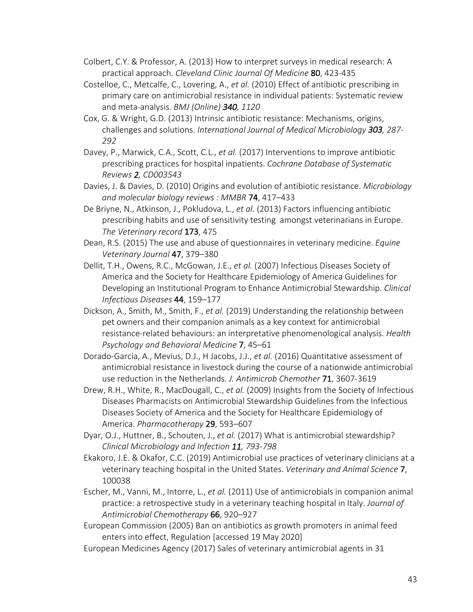- Colbert, C.Y. & Professor, A. (2013) How to interpret surveys in medical research: A practical approach. *Cleveland Clinic Journal Of Medicine* 80, 423-435
- Costelloe, C., Metcalfe, C., Lovering, A., *et al.* (2010) Effect of antibiotic prescribing in primary care on antimicrobial resistance in individual patients: Systematic review and meta-analysis. *BMJ (Online) 340, 1120*
- Cox, G. & Wright, G.D. (2013) Intrinsic antibiotic resistance: Mechanisms, origins, challenges and solutions. *International Journal of Medical Microbiology 303, 287- 292*
- Davey, P., Marwick, C.A., Scott, C.L., *et al.* (2017) Interventions to improve antibiotic prescribing practices for hospital inpatients. *Cochrane Database of Systematic Reviews 2, CD003543*
- Davies, J. & Davies, D. (2010) Origins and evolution of antibiotic resistance. *Microbiology and molecular biology reviews : MMBR* 74, 417–433
- De Briyne, N., Atkinson, J., Pokludova, L., *et al.* (2013) Factors influencing antibiotic prescribing habits and use of sensitivity testing amongst veterinarians in Europe. *The Veterinary record* 173, 475
- Dean, R.S. (2015) The use and abuse of questionnaires in veterinary medicine. *Equine Veterinary Journal* 47, 379–380
- Dellit, T.H., Owens, R.C., McGowan, J.E., *et al.* (2007) Infectious Diseases Society of America and the Society for Healthcare Epidemiology of America Guidelines for Developing an Institutional Program to Enhance Antimicrobial Stewardship. *Clinical Infectious Diseases* 44, 159–177
- Dickson, A., Smith, M., Smith, F., *et al.* (2019) Understanding the relationship between pet owners and their companion animals as a key context for antimicrobial resistance-related behaviours: an interpretative phenomenological analysis. *Health Psychology and Behavioral Medicine* 7, 45–61
- Dorado-García, A., Mevius, D.J., H Jacobs, J.J., *et al.* (2016) Quantitative assessment of antimicrobial resistance in livestock during the course of a nationwide antimicrobial use reduction in the Netherlands. *J. Antimicrob Chemother* 71, 3607-3619
- Drew, R.H., White, R., MacDougall, C., *et al.* (2009) Insights from the Society of Infectious Diseases Pharmacists on Antimicrobial Stewardship Guidelines from the Infectious Diseases Society of America and the Society for Healthcare Epidemiology of America. *Pharmacotherapy* 29, 593–607
- Dyar, O.J., Huttner, B., Schouten, J., *et al.* (2017) What is antimicrobial stewardship? *Clinical Microbiology and Infection 11, 793-798*
- Ekakoro, J.E. & Okafor, C.C. (2019) Antimicrobial use practices of veterinary clinicians at a veterinary teaching hospital in the United States. *Veterinary and Animal Science* 7, 100038
- Escher, M., Vanni, M., Intorre, L., *et al.* (2011) Use of antimicrobials in companion animal practice: a retrospective study in a veterinary teaching hospital in Italy. *Journal of Antimicrobial Chemotherapy* 66, 920–927
- European Commission (2005) Ban on antibiotics as growth promoters in animal feed enters into effect, Regulation [accessed 19 May 2020]
- European Medicines Agency (2017) Sales of veterinary antimicrobial agents in 31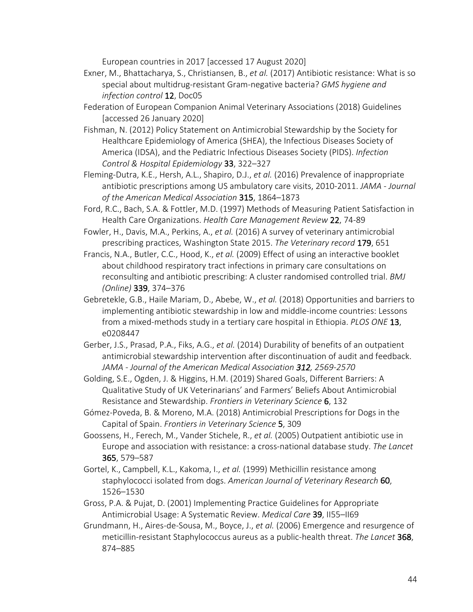European countries in 2017 [accessed 17 August 2020]

- Exner, M., Bhattacharya, S., Christiansen, B., *et al.* (2017) Antibiotic resistance: What is so special about multidrug-resistant Gram-negative bacteria? *GMS hygiene and infection control* 12, Doc05
- Federation of European Companion Animal Veterinary Associations (2018) Guidelines [accessed 26 January 2020]
- Fishman, N. (2012) Policy Statement on Antimicrobial Stewardship by the Society for Healthcare Epidemiology of America (SHEA), the Infectious Diseases Society of America (IDSA), and the Pediatric Infectious Diseases Society (PIDS). *Infection Control & Hospital Epidemiology* 33, 322–327
- Fleming-Dutra, K.E., Hersh, A.L., Shapiro, D.J., *et al.* (2016) Prevalence of inappropriate antibiotic prescriptions among US ambulatory care visits, 2010-2011. *JAMA - Journal of the American Medical Association* 315, 1864–1873
- Ford, R.C., Bach, S.A. & Fottler, M.D. (1997) Methods of Measuring Patient Satisfaction in Health Care Organizations. *Health Care Management Review* 22, 74-89
- Fowler, H., Davis, M.A., Perkins, A., *et al.* (2016) A survey of veterinary antimicrobial prescribing practices, Washington State 2015. *The Veterinary record* 179, 651
- Francis, N.A., Butler, C.C., Hood, K., *et al.* (2009) Effect of using an interactive booklet about childhood respiratory tract infections in primary care consultations on reconsulting and antibiotic prescribing: A cluster randomised controlled trial. *BMJ (Online)* 339, 374–376
- Gebretekle, G.B., Haile Mariam, D., Abebe, W., *et al.* (2018) Opportunities and barriers to implementing antibiotic stewardship in low and middle-income countries: Lessons from a mixed-methods study in a tertiary care hospital in Ethiopia. *PLOS ONE* 13, e0208447
- Gerber, J.S., Prasad, P.A., Fiks, A.G., *et al.* (2014) Durability of benefits of an outpatient antimicrobial stewardship intervention after discontinuation of audit and feedback. *JAMA - Journal of the American Medical Association 312, 2569-2570*
- Golding, S.E., Ogden, J. & Higgins, H.M. (2019) Shared Goals, Different Barriers: A Qualitative Study of UK Veterinarians' and Farmers' Beliefs About Antimicrobial Resistance and Stewardship. *Frontiers in Veterinary Science* 6, 132
- Gómez-Poveda, B. & Moreno, M.A. (2018) Antimicrobial Prescriptions for Dogs in the Capital of Spain. *Frontiers in Veterinary Science* 5, 309
- Goossens, H., Ferech, M., Vander Stichele, R., *et al.* (2005) Outpatient antibiotic use in Europe and association with resistance: a cross-national database study. *The Lancet* 365, 579–587
- Gortel, K., Campbell, K.L., Kakoma, I., *et al.* (1999) Methicillin resistance among staphylococci isolated from dogs. *American Journal of Veterinary Research* 60, 1526–1530
- Gross, P.A. & Pujat, D. (2001) Implementing Practice Guidelines for Appropriate Antimicrobial Usage: A Systematic Review. *Medical Care* 39, II55–II69
- Grundmann, H., Aires-de-Sousa, M., Boyce, J., *et al.* (2006) Emergence and resurgence of meticillin-resistant Staphylococcus aureus as a public-health threat. *The Lancet* 368, 874–885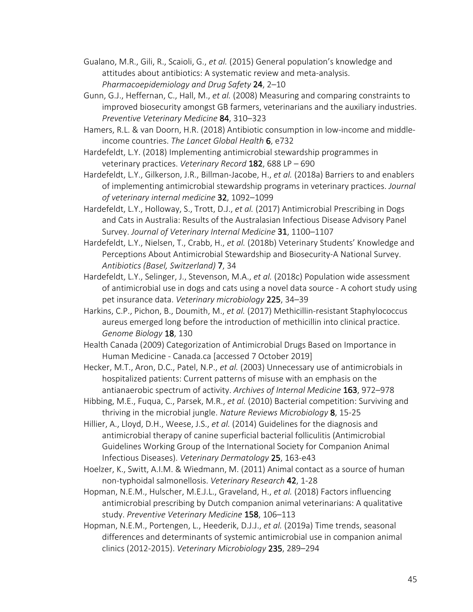Gualano, M.R., Gili, R., Scaioli, G., *et al.* (2015) General population's knowledge and attitudes about antibiotics: A systematic review and meta-analysis. *Pharmacoepidemiology and Drug Safety* 24, 2–10

- Gunn, G.J., Heffernan, C., Hall, M., *et al.* (2008) Measuring and comparing constraints to improved biosecurity amongst GB farmers, veterinarians and the auxiliary industries. *Preventive Veterinary Medicine* 84, 310–323
- Hamers, R.L. & van Doorn, H.R. (2018) Antibiotic consumption in low-income and middleincome countries. *The Lancet Global Health* 6, e732
- Hardefeldt, L.Y. (2018) Implementing antimicrobial stewardship programmes in veterinary practices. *Veterinary Record* 182, 688 LP – 690
- Hardefeldt, L.Y., Gilkerson, J.R., Billman-Jacobe, H., *et al.* (2018a) Barriers to and enablers of implementing antimicrobial stewardship programs in veterinary practices. *Journal of veterinary internal medicine* 32, 1092–1099
- Hardefeldt, L.Y., Holloway, S., Trott, D.J., *et al.* (2017) Antimicrobial Prescribing in Dogs and Cats in Australia: Results of the Australasian Infectious Disease Advisory Panel Survey. *Journal of Veterinary Internal Medicine* 31, 1100–1107
- Hardefeldt, L.Y., Nielsen, T., Crabb, H., *et al.* (2018b) Veterinary Students' Knowledge and Perceptions About Antimicrobial Stewardship and Biosecurity-A National Survey. *Antibiotics (Basel, Switzerland)* 7, 34
- Hardefeldt, L.Y., Selinger, J., Stevenson, M.A., *et al.* (2018c) Population wide assessment of antimicrobial use in dogs and cats using a novel data source - A cohort study using pet insurance data. *Veterinary microbiology* 225, 34–39
- Harkins, C.P., Pichon, B., Doumith, M., *et al.* (2017) Methicillin-resistant Staphylococcus aureus emerged long before the introduction of methicillin into clinical practice. *Genome Biology* 18, 130
- Health Canada (2009) Categorization of Antimicrobial Drugs Based on Importance in Human Medicine - Canada.ca [accessed 7 October 2019]
- Hecker, M.T., Aron, D.C., Patel, N.P., *et al.* (2003) Unnecessary use of antimicrobials in hospitalized patients: Current patterns of misuse with an emphasis on the antianaerobic spectrum of activity. *Archives of Internal Medicine* 163, 972–978
- Hibbing, M.E., Fuqua, C., Parsek, M.R., *et al.* (2010) Bacterial competition: Surviving and thriving in the microbial jungle. *Nature Reviews Microbiology* 8, 15-25
- Hillier, A., Lloyd, D.H., Weese, J.S., *et al.* (2014) Guidelines for the diagnosis and antimicrobial therapy of canine superficial bacterial folliculitis (Antimicrobial Guidelines Working Group of the International Society for Companion Animal Infectious Diseases). *Veterinary Dermatology* 25, 163-e43
- Hoelzer, K., Switt, A.I.M. & Wiedmann, M. (2011) Animal contact as a source of human non-typhoidal salmonellosis. *Veterinary Research* 42, 1-28
- Hopman, N.E.M., Hulscher, M.E.J.L., Graveland, H., *et al.* (2018) Factors influencing antimicrobial prescribing by Dutch companion animal veterinarians: A qualitative study. *Preventive Veterinary Medicine* 158, 106–113
- Hopman, N.E.M., Portengen, L., Heederik, D.J.J., *et al.* (2019a) Time trends, seasonal differences and determinants of systemic antimicrobial use in companion animal clinics (2012-2015). *Veterinary Microbiology* 235, 289–294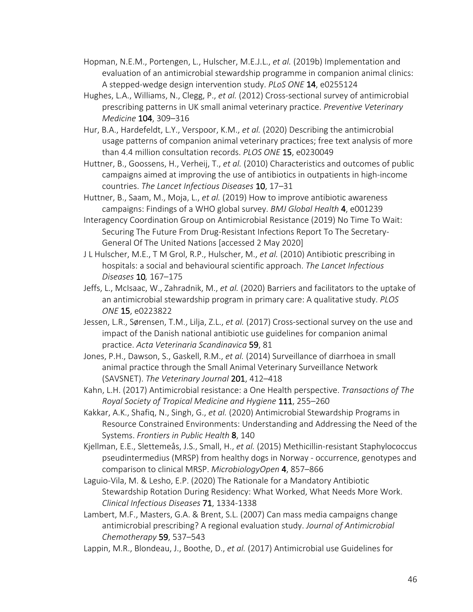- Hopman, N.E.M., Portengen, L., Hulscher, M.E.J.L., *et al.* (2019b) Implementation and evaluation of an antimicrobial stewardship programme in companion animal clinics: A stepped-wedge design intervention study. *PLoS ONE* 14, e0255124
- Hughes, L.A., Williams, N., Clegg, P., *et al.* (2012) Cross-sectional survey of antimicrobial prescribing patterns in UK small animal veterinary practice. *Preventive Veterinary Medicine* 104, 309–316
- Hur, B.A., Hardefeldt, L.Y., Verspoor, K.M., *et al.* (2020) Describing the antimicrobial usage patterns of companion animal veterinary practices; free text analysis of more than 4.4 million consultation records. *PLOS ONE* 15, e0230049
- Huttner, B., Goossens, H., Verheij, T., *et al.* (2010) Characteristics and outcomes of public campaigns aimed at improving the use of antibiotics in outpatients in high-income countries. *The Lancet Infectious Diseases* 10, 17–31
- Huttner, B., Saam, M., Moja, L., *et al.* (2019) How to improve antibiotic awareness campaigns: Findings of a WHO global survey. *BMJ Global Health* 4, e001239
- Interagency Coordination Group on Antimicrobial Resistance (2019) No Time To Wait: Securing The Future From Drug-Resistant Infections Report To The Secretary-General Of The United Nations [accessed 2 May 2020]
- J L Hulscher, M.E., T M Grol, R.P., Hulscher, M., *et al.* (2010) Antibiotic prescribing in hospitals: a social and behavioural scientific approach. *The Lancet Infectious Diseases* 10*,* 167–175
- Jeffs, L., McIsaac, W., Zahradnik, M., *et al.* (2020) Barriers and facilitators to the uptake of an antimicrobial stewardship program in primary care: A qualitative study. *PLOS ONE* 15, e0223822
- Jessen, L.R., Sørensen, T.M., Lilja, Z.L., *et al.* (2017) Cross-sectional survey on the use and impact of the Danish national antibiotic use guidelines for companion animal practice. *Acta Veterinaria Scandinavica* 59, 81
- Jones, P.H., Dawson, S., Gaskell, R.M., *et al.* (2014) Surveillance of diarrhoea in small animal practice through the Small Animal Veterinary Surveillance Network (SAVSNET). *The Veterinary Journal* 201, 412–418
- Kahn, L.H. (2017) Antimicrobial resistance: a One Health perspective. *Transactions of The Royal Society of Tropical Medicine and Hygiene* 111, 255–260
- Kakkar, A.K., Shafiq, N., Singh, G., *et al.* (2020) Antimicrobial Stewardship Programs in Resource Constrained Environments: Understanding and Addressing the Need of the Systems. *Frontiers in Public Health* 8, 140
- Kjellman, E.E., Slettemeås, J.S., Small, H., *et al.* (2015) Methicillin-resistant Staphylococcus pseudintermedius (MRSP) from healthy dogs in Norway - occurrence, genotypes and comparison to clinical MRSP. *MicrobiologyOpen* 4, 857–866
- Laguio-Vila, M. & Lesho, E.P. (2020) The Rationale for a Mandatory Antibiotic Stewardship Rotation During Residency: What Worked, What Needs More Work. *Clinical Infectious Diseases* 71, 1334-1338
- Lambert, M.F., Masters, G.A. & Brent, S.L. (2007) Can mass media campaigns change antimicrobial prescribing? A regional evaluation study. *Journal of Antimicrobial Chemotherapy* 59, 537–543
- Lappin, M.R., Blondeau, J., Boothe, D., *et al.* (2017) Antimicrobial use Guidelines for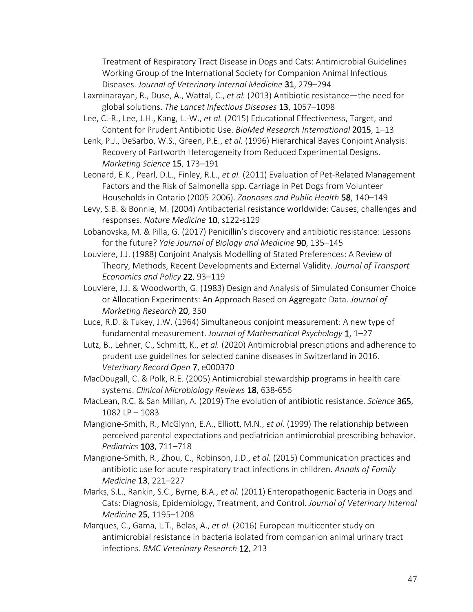Treatment of Respiratory Tract Disease in Dogs and Cats: Antimicrobial Guidelines Working Group of the International Society for Companion Animal Infectious Diseases. *Journal of Veterinary Internal Medicine* 31, 279–294

- Laxminarayan, R., Duse, A., Wattal, C., *et al.* (2013) Antibiotic resistance—the need for global solutions. *The Lancet Infectious Diseases* 13, 1057–1098
- Lee, C.-R., Lee, J.H., Kang, L.-W., *et al.* (2015) Educational Effectiveness, Target, and Content for Prudent Antibiotic Use. *BioMed Research International* 2015, 1–13
- Lenk, P.J., DeSarbo, W.S., Green, P.E., *et al.* (1996) Hierarchical Bayes Conjoint Analysis: Recovery of Partworth Heterogeneity from Reduced Experimental Designs. *Marketing Science* 15, 173–191
- Leonard, E.K., Pearl, D.L., Finley, R.L., *et al.* (2011) Evaluation of Pet-Related Management Factors and the Risk of Salmonella spp. Carriage in Pet Dogs from Volunteer Households in Ontario (2005-2006). *Zoonoses and Public Health* 58, 140–149
- Levy, S.B. & Bonnie, M. (2004) Antibacterial resistance worldwide: Causes, challenges and responses. *Nature Medicine* 10, s122-s129
- Lobanovska, M. & Pilla, G. (2017) Penicillin's discovery and antibiotic resistance: Lessons for the future? *Yale Journal of Biology and Medicine* 90, 135–145
- Louviere, J.J. (1988) Conjoint Analysis Modelling of Stated Preferences: A Review of Theory, Methods, Recent Developments and External Validity. *Journal of Transport Economics and Policy* 22, 93–119
- Louviere, J.J. & Woodworth, G. (1983) Design and Analysis of Simulated Consumer Choice or Allocation Experiments: An Approach Based on Aggregate Data. *Journal of Marketing Research* 20, 350
- Luce, R.D. & Tukey, J.W. (1964) Simultaneous conjoint measurement: A new type of fundamental measurement. *Journal of Mathematical Psychology* 1, 1–27
- Lutz, B., Lehner, C., Schmitt, K., *et al.* (2020) Antimicrobial prescriptions and adherence to prudent use guidelines for selected canine diseases in Switzerland in 2016. *Veterinary Record Open* 7, e000370
- MacDougall, C. & Polk, R.E. (2005) Antimicrobial stewardship programs in health care systems. *Clinical Microbiology Reviews* 18, 638-656
- MacLean, R.C. & San Millan, A. (2019) The evolution of antibiotic resistance. *Science* 365, 1082 LP – 1083
- Mangione-Smith, R., McGlynn, E.A., Elliott, M.N., *et al.* (1999) The relationship between perceived parental expectations and pediatrician antimicrobial prescribing behavior. *Pediatrics* 103, 711–718
- Mangione-Smith, R., Zhou, C., Robinson, J.D., *et al.* (2015) Communication practices and antibiotic use for acute respiratory tract infections in children. *Annals of Family Medicine* 13, 221–227
- Marks, S.L., Rankin, S.C., Byrne, B.A., *et al.* (2011) Enteropathogenic Bacteria in Dogs and Cats: Diagnosis, Epidemiology, Treatment, and Control. *Journal of Veterinary Internal Medicine* 25, 1195–1208
- Marques, C., Gama, L.T., Belas, A., *et al.* (2016) European multicenter study on antimicrobial resistance in bacteria isolated from companion animal urinary tract infections. *BMC Veterinary Research* 12, 213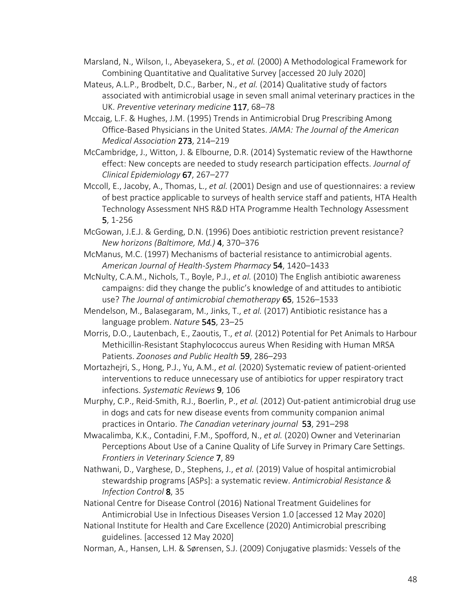- Marsland, N., Wilson, I., Abeyasekera, S., *et al.* (2000) A Methodological Framework for Combining Quantitative and Qualitative Survey [accessed 20 July 2020]
- Mateus, A.L.P., Brodbelt, D.C., Barber, N., *et al.* (2014) Qualitative study of factors associated with antimicrobial usage in seven small animal veterinary practices in the UK. *Preventive veterinary medicine* 117, 68–78
- Mccaig, L.F. & Hughes, J.M. (1995) Trends in Antimicrobial Drug Prescribing Among Office-Based Physicians in the United States. *JAMA: The Journal of the American Medical Association* 273, 214–219
- McCambridge, J., Witton, J. & Elbourne, D.R. (2014) Systematic review of the Hawthorne effect: New concepts are needed to study research participation effects. *Journal of Clinical Epidemiology* 67, 267–277
- Mccoll, E., Jacoby, A., Thomas, L., *et al.* (2001) Design and use of questionnaires: a review of best practice applicable to surveys of health service staff and patients, HTA Health Technology Assessment NHS R&D HTA Programme Health Technology Assessment 5, 1-256
- McGowan, J.E.J. & Gerding, D.N. (1996) Does antibiotic restriction prevent resistance? *New horizons (Baltimore, Md.)* 4, 370–376
- McManus, M.C. (1997) Mechanisms of bacterial resistance to antimicrobial agents. *American Journal of Health-System Pharmacy* 54, 1420–1433
- McNulty, C.A.M., Nichols, T., Boyle, P.J., *et al.* (2010) The English antibiotic awareness campaigns: did they change the public's knowledge of and attitudes to antibiotic use? *The Journal of antimicrobial chemotherapy* 65, 1526–1533
- Mendelson, M., Balasegaram, M., Jinks, T., *et al.* (2017) Antibiotic resistance has a language problem. *Nature* 545, 23–25
- Morris, D.O., Lautenbach, E., Zaoutis, T., *et al.* (2012) Potential for Pet Animals to Harbour Methicillin-Resistant Staphylococcus aureus When Residing with Human MRSA Patients. *Zoonoses and Public Health* 59, 286–293
- Mortazhejri, S., Hong, P.J., Yu, A.M., *et al.* (2020) Systematic review of patient-oriented interventions to reduce unnecessary use of antibiotics for upper respiratory tract infections. *Systematic Reviews* 9, 106
- Murphy, C.P., Reid-Smith, R.J., Boerlin, P., *et al.* (2012) Out-patient antimicrobial drug use in dogs and cats for new disease events from community companion animal practices in Ontario. *The Canadian veterinary journal* 53, 291–298
- Mwacalimba, K.K., Contadini, F.M., Spofford, N., *et al.* (2020) Owner and Veterinarian Perceptions About Use of a Canine Quality of Life Survey in Primary Care Settings. *Frontiers in Veterinary Science* 7, 89
- Nathwani, D., Varghese, D., Stephens, J., *et al.* (2019) Value of hospital antimicrobial stewardship programs [ASPs]: a systematic review. *Antimicrobial Resistance & Infection Control* 8, 35
- National Centre for Disease Control (2016) National Treatment Guidelines for Antimicrobial Use in Infectious Diseases Version 1.0 [accessed 12 May 2020]
- National Institute for Health and Care Excellence (2020) Antimicrobial prescribing guidelines. [accessed 12 May 2020]
- Norman, A., Hansen, L.H. & Sørensen, S.J. (2009) Conjugative plasmids: Vessels of the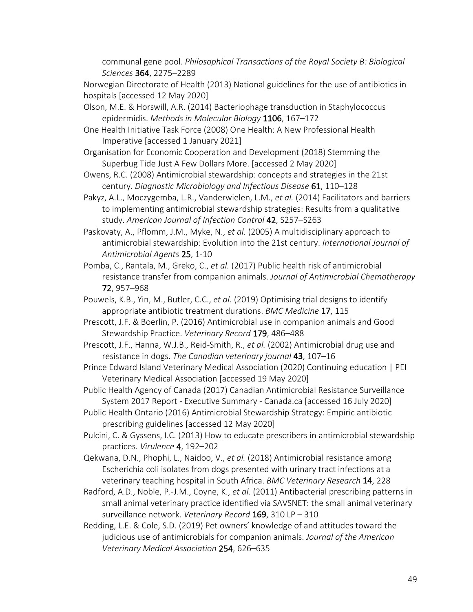communal gene pool. *Philosophical Transactions of the Royal Society B: Biological Sciences* 364, 2275–2289

Norwegian Directorate of Health (2013) National guidelines for the use of antibiotics in hospitals [accessed 12 May 2020]

- Olson, M.E. & Horswill, A.R. (2014) Bacteriophage transduction in Staphylococcus epidermidis. *Methods in Molecular Biology* 1106, 167–172
- One Health Initiative Task Force (2008) One Health: A New Professional Health Imperative [accessed 1 January 2021]
- Organisation for Economic Cooperation and Development (2018) Stemming the Superbug Tide Just A Few Dollars More. [accessed 2 May 2020]
- Owens, R.C. (2008) Antimicrobial stewardship: concepts and strategies in the 21st century. *Diagnostic Microbiology and Infectious Disease* 61, 110–128
- Pakyz, A.L., Moczygemba, L.R., Vanderwielen, L.M., *et al.* (2014) Facilitators and barriers to implementing antimicrobial stewardship strategies: Results from a qualitative study. *American Journal of Infection Control* 42, S257–S263
- Paskovaty, A., Pflomm, J.M., Myke, N., *et al.* (2005) A multidisciplinary approach to antimicrobial stewardship: Evolution into the 21st century. *International Journal of Antimicrobial Agents* 25, 1-10
- Pomba, C., Rantala, M., Greko, C., *et al.* (2017) Public health risk of antimicrobial resistance transfer from companion animals. *Journal of Antimicrobial Chemotherapy* 72, 957–968
- Pouwels, K.B., Yin, M., Butler, C.C., *et al.* (2019) Optimising trial designs to identify appropriate antibiotic treatment durations. *BMC Medicine* 17, 115
- Prescott, J.F. & Boerlin, P. (2016) Antimicrobial use in companion animals and Good Stewardship Practice. *Veterinary Record* 179, 486–488
- Prescott, J.F., Hanna, W.J.B., Reid-Smith, R., *et al.* (2002) Antimicrobial drug use and resistance in dogs. *The Canadian veterinary journal* 43, 107–16
- Prince Edward Island Veterinary Medical Association (2020) Continuing education | PEI Veterinary Medical Association [accessed 19 May 2020]
- Public Health Agency of Canada (2017) Canadian Antimicrobial Resistance Surveillance System 2017 Report - Executive Summary - Canada.ca [accessed 16 July 2020]
- Public Health Ontario (2016) Antimicrobial Stewardship Strategy: Empiric antibiotic prescribing guidelines [accessed 12 May 2020]
- Pulcini, C. & Gyssens, I.C. (2013) How to educate prescribers in antimicrobial stewardship practices. *Virulence* 4, 192–202
- Qekwana, D.N., Phophi, L., Naidoo, V., *et al.* (2018) Antimicrobial resistance among Escherichia coli isolates from dogs presented with urinary tract infections at a veterinary teaching hospital in South Africa. *BMC Veterinary Research* 14, 228
- Radford, A.D., Noble, P.-J.M., Coyne, K., *et al.* (2011) Antibacterial prescribing patterns in small animal veterinary practice identified via SAVSNET: the small animal veterinary surveillance network. *Veterinary Record* 169, 310 LP – 310
- Redding, L.E. & Cole, S.D. (2019) Pet owners' knowledge of and attitudes toward the judicious use of antimicrobials for companion animals. *Journal of the American Veterinary Medical Association* 254, 626–635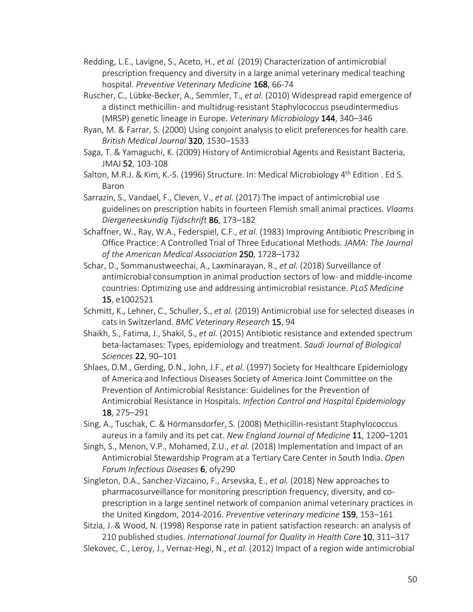- Redding, L.E., Lavigne, S., Aceto, H., *et al.* (2019) Characterization of antimicrobial prescription frequency and diversity in a large animal veterinary medical teaching hospital. *Preventive Veterinary Medicine* 168, 66-74
- Ruscher, C., Lübke-Becker, A., Semmler, T., *et al.* (2010) Widespread rapid emergence of a distinct methicillin- and multidrug-resistant Staphylococcus pseudintermedius (MRSP) genetic lineage in Europe. *Veterinary Microbiology* 144, 340–346
- Ryan, M. & Farrar, S. (2000) Using conjoint analysis to elicit preferences for health care. *British Medical Journal* 320, 1530–1533
- Saga, T. & Yamaguchi, K. (2009) History of Antimicrobial Agents and Resistant Bacteria, JMAJ 52, 103-108
- Salton, M.R.J. & Kim, K.-S. (1996) Structure. In: Medical Microbiology 4<sup>th</sup> Edition . Ed S. Baron
- Sarrazin, S., Vandael, F., Cleven, V., *et al.* (2017) The impact of antimicrobial use guidelines on prescription habits in fourteen Flemish small animal practices. *Vlaams Diergeneeskundig Tijdschrift* 86, 173–182
- Schaffner, W., Ray, W.A., Federspiel, C.F., *et al.* (1983) Improving Antibiotic Prescribing in Office Practice: A Controlled Trial of Three Educational Methods. *JAMA: The Journal of the American Medical Association* 250, 1728–1732
- Schar, D., Sommanustweechai, A., Laxminarayan, R., *et al.* (2018) Surveillance of antimicrobial consumption in animal production sectors of low- and middle-income countries: Optimizing use and addressing antimicrobial resistance. *PLoS Medicine* 15, e1002521
- Schmitt, K., Lehner, C., Schuller, S., *et al.* (2019) Antimicrobial use for selected diseases in cats in Switzerland. *BMC Veterinary Research* 15, 94
- Shaikh, S., Fatima, J., Shakil, S., *et al.* (2015) Antibiotic resistance and extended spectrum beta-lactamases: Types, epidemiology and treatment. *Saudi Journal of Biological Sciences* 22, 90–101
- Shlaes, D.M., Gerding, D.N., John, J.F., *et al.* (1997) Society for Healthcare Epidemiology of America and Infectious Diseases Society of America Joint Committee on the Prevention of Antimicrobial Resistance: Guidelines for the Prevention of Antimicrobial Resistance in Hospitals. *Infection Control and Hospital Epidemiology* 18, 275–291
- Sing, A., Tuschak, C. & Hörmansdorfer, S. (2008) Methicillin-resistant Staphylococcus aureus in a family and its pet cat. *New England Journal of Medicine* 11, 1200–1201
- Singh, S., Menon, V.P., Mohamed, Z.U., *et al.* (2018) Implementation and Impact of an Antimicrobial Stewardship Program at a Tertiary Care Center in South India. *Open Forum Infectious Diseases* 6, ofy290
- Singleton, D.A., Sanchez-Vizcaino, F., Arsevska, E., *et al.* (2018) New approaches to pharmacosurveillance for monitoring prescription frequency, diversity, and coprescription in a large sentinel network of companion animal veterinary practices in the United Kingdom, 2014-2016. *Preventive veterinary medicine* 159, 153–161

Sitzia, J. & Wood, N. (1998) Response rate in patient satisfaction research: an analysis of 210 published studies. *International Journal for Quality in Health Care* 10, 311–317 Slekovec, C., Leroy, J., Vernaz-Hegi, N., *et al.* (2012) Impact of a region wide antimicrobial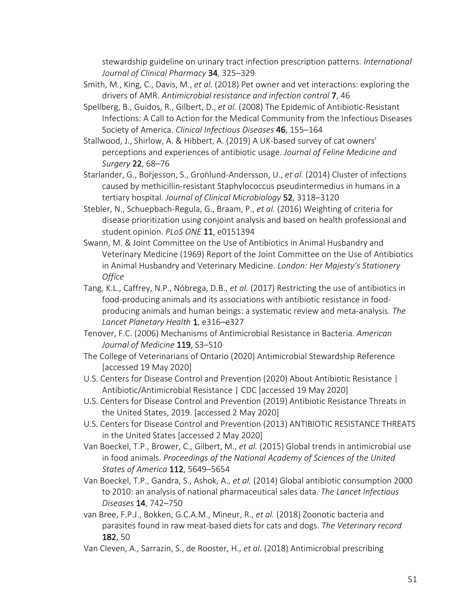stewardship guideline on urinary tract infection prescription patterns. *International Journal of Clinical Pharmacy* 34, 325–329

- Smith, M., King, C., Davis, M., *et al.* (2018) Pet owner and vet interactions: exploring the drivers of AMR. *Antimicrobial resistance and infection control* 7, 46
- Spellberg, B., Guidos, R., Gilbert, D., *et al.* (2008) The Epidemic of Antibiotic-Resistant Infections: A Call to Action for the Medical Community from the Infectious Diseases Society of America. *Clinical Infectious Diseases* 46, 155–164
- Stallwood, J., Shirlow, A. & Hibbert, A. (2019) A UK-based survey of cat owners' perceptions and experiences of antibiotic usage. *Journal of Feline Medicine and Surgery* 22, 68–76
- Starlander, G., Boriesson, S., Gronlund-Andersson, U., et al. (2014) Cluster of infections caused by methicillin-resistant Staphylococcus pseudintermedius in humans in a tertiary hospital. *Journal of Clinical Microbiology* 52, 3118–3120
- Stebler, N., Schuepbach-Regula, G., Braam, P., *et al.* (2016) Weighting of criteria for disease prioritization using conjoint analysis and based on health professional and student opinion. *PLoS ONE* 11, e0151394
- Swann, M. & Joint Committee on the Use of Antibiotics in Animal Husbandry and Veterinary Medicine (1969) Report of the Joint Committee on the Use of Antibiotics in Animal Husbandry and Veterinary Medicine. *London: Her Majesty's Stationery Office*
- Tang, K.L., Caffrey, N.P., Nóbrega, D.B., *et al.* (2017) Restricting the use of antibiotics in food-producing animals and its associations with antibiotic resistance in foodproducing animals and human beings: a systematic review and meta-analysis. *The Lancet Planetary Health* 1, e316–e327
- Tenover, F.C. (2006) Mechanisms of Antimicrobial Resistance in Bacteria. *American Journal of Medicine* 119, S3–S10
- The College of Veterinarians of Ontario (2020) Antimicrobial Stewardship Reference [accessed 19 May 2020]
- U.S. Centers for Disease Control and Prevention (2020) About Antibiotic Resistance | Antibiotic/Antimicrobial Resistance | CDC [accessed 19 May 2020]
- U.S. Centers for Disease Control and Prevention (2019) Antibiotic Resistance Threats in the United States, 2019. [accessed 2 May 2020]
- U.S. Centers for Disease Control and Prevention (2013) ANTIBIOTIC RESISTANCE THREATS in the United States [accessed 2 May 2020]
- Van Boeckel, T.P., Brower, C., Gilbert, M., *et al.* (2015) Global trends in antimicrobial use in food animals. *Proceedings of the National Academy of Sciences of the United States of America* 112, 5649–5654
- Van Boeckel, T.P., Gandra, S., Ashok, A., *et al.* (2014) Global antibiotic consumption 2000 to 2010: an analysis of national pharmaceutical sales data. *The Lancet Infectious Diseases* 14, 742–750
- van Bree, F.P.J., Bokken, G.C.A.M., Mineur, R., *et al.* (2018) Zoonotic bacteria and parasites found in raw meat-based diets for cats and dogs. *The Veterinary record* 182, 50
- Van Cleven, A., Sarrazin, S., de Rooster, H., *et al.* (2018) Antimicrobial prescribing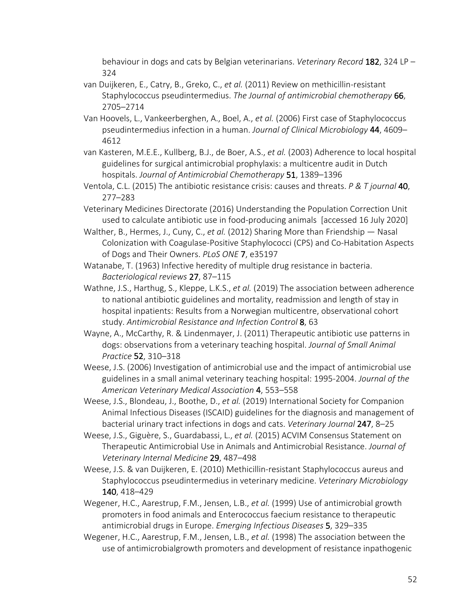behaviour in dogs and cats by Belgian veterinarians. *Veterinary Record* 182, 324 LP – 324

- van Duijkeren, E., Catry, B., Greko, C., *et al.* (2011) Review on methicillin-resistant Staphylococcus pseudintermedius. *The Journal of antimicrobial chemotherapy* 66, 2705–2714
- Van Hoovels, L., Vankeerberghen, A., Boel, A., *et al.* (2006) First case of Staphylococcus pseudintermedius infection in a human. *Journal of Clinical Microbiology* 44, 4609– 4612
- van Kasteren, M.E.E., Kullberg, B.J., de Boer, A.S., *et al.* (2003) Adherence to local hospital guidelines for surgical antimicrobial prophylaxis: a multicentre audit in Dutch hospitals. *Journal of Antimicrobial Chemotherapy* 51, 1389–1396
- Ventola, C.L. (2015) The antibiotic resistance crisis: causes and threats. *P & T journal* 40, 277–283
- Veterinary Medicines Directorate (2016) Understanding the Population Correction Unit used to calculate antibiotic use in food-producing animals [accessed 16 July 2020]
- Walther, B., Hermes, J., Cuny, C., *et al.* (2012) Sharing More than Friendship Nasal Colonization with Coagulase-Positive Staphylococci (CPS) and Co-Habitation Aspects of Dogs and Their Owners. *PLoS ONE* 7, e35197
- Watanabe, T. (1963) Infective heredity of multiple drug resistance in bacteria. *Bacteriological reviews* 27, 87–115
- Wathne, J.S., Harthug, S., Kleppe, L.K.S., *et al.* (2019) The association between adherence to national antibiotic guidelines and mortality, readmission and length of stay in hospital inpatients: Results from a Norwegian multicentre, observational cohort study. *Antimicrobial Resistance and Infection Control* 8, 63
- Wayne, A., McCarthy, R. & Lindenmayer, J. (2011) Therapeutic antibiotic use patterns in dogs: observations from a veterinary teaching hospital. *Journal of Small Animal Practice* 52, 310–318
- Weese, J.S. (2006) Investigation of antimicrobial use and the impact of antimicrobial use guidelines in a small animal veterinary teaching hospital: 1995-2004. *Journal of the American Veterinary Medical Association* 4, 553–558
- Weese, J.S., Blondeau, J., Boothe, D., *et al.* (2019) International Society for Companion Animal Infectious Diseases (ISCAID) guidelines for the diagnosis and management of bacterial urinary tract infections in dogs and cats. *Veterinary Journal* 247, 8–25
- Weese, J.S., Giguère, S., Guardabassi, L., *et al.* (2015) ACVIM Consensus Statement on Therapeutic Antimicrobial Use in Animals and Antimicrobial Resistance. *Journal of Veterinary Internal Medicine* 29, 487–498
- Weese, J.S. & van Duijkeren, E. (2010) Methicillin-resistant Staphylococcus aureus and Staphylococcus pseudintermedius in veterinary medicine. *Veterinary Microbiology* 140, 418–429
- Wegener, H.C., Aarestrup, F.M., Jensen, L.B., *et al.* (1999) Use of antimicrobial growth promoters in food animals and Enterococcus faecium resistance to therapeutic antimicrobial drugs in Europe. *Emerging Infectious Diseases* 5, 329–335
- Wegener, H.C., Aarestrup, F.M., Jensen, L.B., *et al.* (1998) The association between the use of antimicrobialgrowth promoters and development of resistance inpathogenic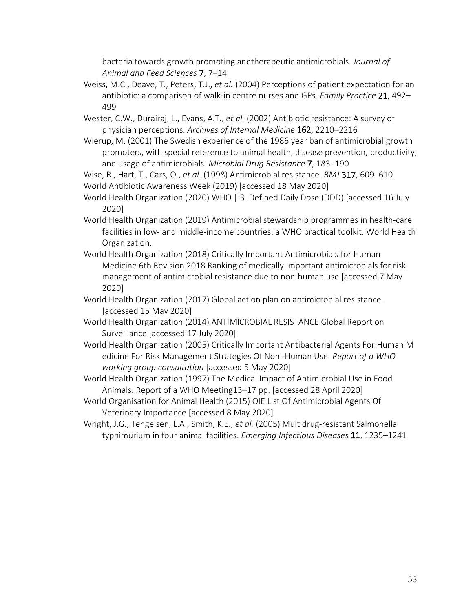bacteria towards growth promoting andtherapeutic antimicrobials. *Journal of Animal and Feed Sciences* 7, 7–14

- Weiss, M.C., Deave, T., Peters, T.J., *et al.* (2004) Perceptions of patient expectation for an antibiotic: a comparison of walk-in centre nurses and GPs. *Family Practice* 21, 492– 499
- Wester, C.W., Durairaj, L., Evans, A.T., *et al.* (2002) Antibiotic resistance: A survey of physician perceptions. *Archives of Internal Medicine* 162, 2210–2216
- Wierup, M. (2001) The Swedish experience of the 1986 year ban of antimicrobial growth promoters, with special reference to animal health, disease prevention, productivity, and usage of antimicrobials. *Microbial Drug Resistance* 7, 183–190

Wise, R., Hart, T., Cars, O., *et al.* (1998) Antimicrobial resistance. *BMJ* 317, 609–610 World Antibiotic Awareness Week (2019) [accessed 18 May 2020]

- World Health Organization (2020) WHO | 3. Defined Daily Dose (DDD) [accessed 16 July 2020]
- World Health Organization (2019) Antimicrobial stewardship programmes in health-care facilities in low- and middle-income countries: a WHO practical toolkit. World Health Organization.
- World Health Organization (2018) Critically Important Antimicrobials for Human Medicine 6th Revision 2018 Ranking of medically important antimicrobials for risk management of antimicrobial resistance due to non-human use [accessed 7 May 2020]
- World Health Organization (2017) Global action plan on antimicrobial resistance. [accessed 15 May 2020]
- World Health Organization (2014) ANTIMICROBIAL RESISTANCE Global Report on Surveillance [accessed 17 July 2020]
- World Health Organization (2005) Critically Important Antibacterial Agents For Human M edicine For Risk Management Strategies Of Non -Human Use. *Report of a WHO working group consultation* [accessed 5 May 2020]
- World Health Organization (1997) The Medical Impact of Antimicrobial Use in Food Animals. Report of a WHO Meeting13–17 pp. [accessed 28 April 2020]
- World Organisation for Animal Health (2015) OIE List Of Antimicrobial Agents Of Veterinary Importance [accessed 8 May 2020]
- Wright, J.G., Tengelsen, L.A., Smith, K.E., *et al.* (2005) Multidrug-resistant Salmonella typhimurium in four animal facilities. *Emerging Infectious Diseases* 11, 1235–1241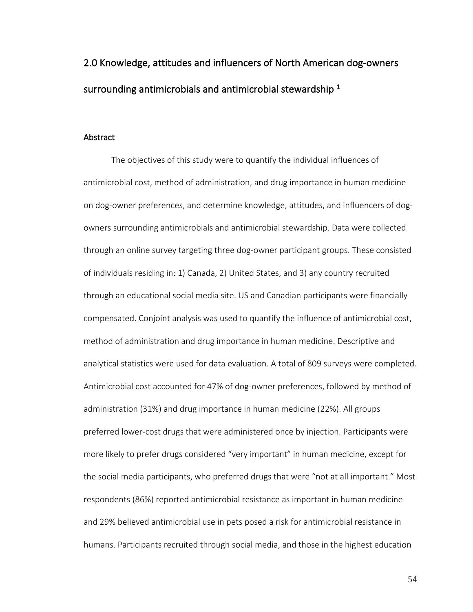2.0 Knowledge, attitudes and influencers of North American dog-owners surrounding antimicrobials and antimicrobial stewardship  $^1$ 

### Abstract

The objectives of this study were to quantify the individual influences of antimicrobial cost, method of administration, and drug importance in human medicine on dog-owner preferences, and determine knowledge, attitudes, and influencers of dogowners surrounding antimicrobials and antimicrobial stewardship. Data were collected through an online survey targeting three dog-owner participant groups. These consisted of individuals residing in: 1) Canada, 2) United States, and 3) any country recruited through an educational social media site. US and Canadian participants were financially compensated. Conjoint analysis was used to quantify the influence of antimicrobial cost, method of administration and drug importance in human medicine. Descriptive and analytical statistics were used for data evaluation. A total of 809 surveys were completed. Antimicrobial cost accounted for 47% of dog-owner preferences, followed by method of administration (31%) and drug importance in human medicine (22%). All groups preferred lower-cost drugs that were administered once by injection. Participants were more likely to prefer drugs considered "very important" in human medicine, except for the social media participants, who preferred drugs that were "not at all important." Most respondents (86%) reported antimicrobial resistance as important in human medicine and 29% believed antimicrobial use in pets posed a risk for antimicrobial resistance in humans. Participants recruited through social media, and those in the highest education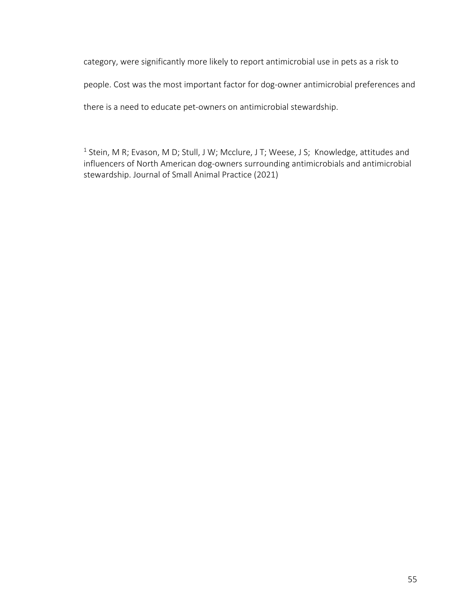category, were significantly more likely to report antimicrobial use in pets as a risk to people. Cost was the most important factor for dog-owner antimicrobial preferences and there is a need to educate pet-owners on antimicrobial stewardship.

<sup>1</sup> Stein, M R; Evason, M D; Stull, J W; Mcclure, J T; Weese, J S; Knowledge, attitudes and influencers of North American dog-owners surrounding antimicrobials and antimicrobial stewardship. Journal of Small Animal Practice (2021)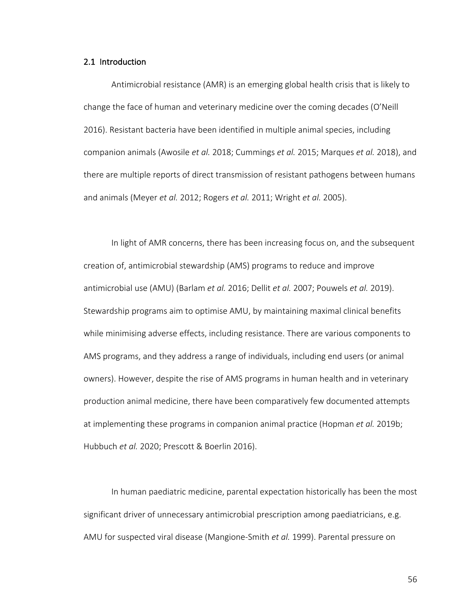### 2.1 Introduction

Antimicrobial resistance (AMR) is an emerging global health crisis that is likely to change the face of human and veterinary medicine over the coming decades (O'Neill 2016). Resistant bacteria have been identified in multiple animal species, including companion animals (Awosile *et al.* 2018; Cummings *et al.* 2015; Marques *et al.* 2018), and there are multiple reports of direct transmission of resistant pathogens between humans and animals (Meyer *et al.* 2012; Rogers *et al.* 2011; Wright *et al.* 2005).

In light of AMR concerns, there has been increasing focus on, and the subsequent creation of, antimicrobial stewardship (AMS) programs to reduce and improve antimicrobial use (AMU) (Barlam *et al.* 2016; Dellit *et al.* 2007; Pouwels *et al.* 2019). Stewardship programs aim to optimise AMU, by maintaining maximal clinical benefits while minimising adverse effects, including resistance. There are various components to AMS programs, and they address a range of individuals, including end users (or animal owners). However, despite the rise of AMS programs in human health and in veterinary production animal medicine, there have been comparatively few documented attempts at implementing these programs in companion animal practice (Hopman *et al.* 2019b; Hubbuch *et al.* 2020; Prescott & Boerlin 2016).

In human paediatric medicine, parental expectation historically has been the most significant driver of unnecessary antimicrobial prescription among paediatricians, e.g. AMU for suspected viral disease (Mangione-Smith *et al.* 1999). Parental pressure on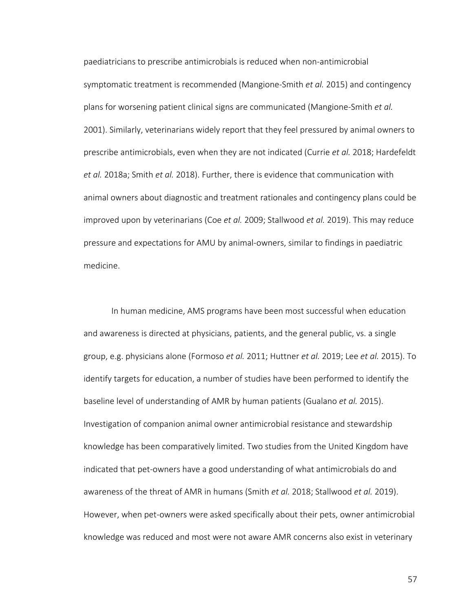paediatricians to prescribe antimicrobials is reduced when non-antimicrobial symptomatic treatment is recommended (Mangione-Smith *et al.* 2015) and contingency plans for worsening patient clinical signs are communicated (Mangione-Smith *et al.* 2001). Similarly, veterinarians widely report that they feel pressured by animal owners to prescribe antimicrobials, even when they are not indicated (Currie *et al.* 2018; Hardefeldt *et al.* 2018a; Smith *et al.* 2018). Further, there is evidence that communication with animal owners about diagnostic and treatment rationales and contingency plans could be improved upon by veterinarians (Coe *et al.* 2009; Stallwood *et al.* 2019). This may reduce pressure and expectations for AMU by animal-owners, similar to findings in paediatric medicine.

In human medicine, AMS programs have been most successful when education and awareness is directed at physicians, patients, and the general public, vs. a single group, e.g. physicians alone (Formoso *et al.* 2011; Huttner *et al.* 2019; Lee *et al.* 2015). To identify targets for education, a number of studies have been performed to identify the baseline level of understanding of AMR by human patients (Gualano *et al.* 2015). Investigation of companion animal owner antimicrobial resistance and stewardship knowledge has been comparatively limited. Two studies from the United Kingdom have indicated that pet-owners have a good understanding of what antimicrobials do and awareness of the threat of AMR in humans (Smith *et al.* 2018; Stallwood *et al.* 2019). However, when pet-owners were asked specifically about their pets, owner antimicrobial knowledge was reduced and most were not aware AMR concerns also exist in veterinary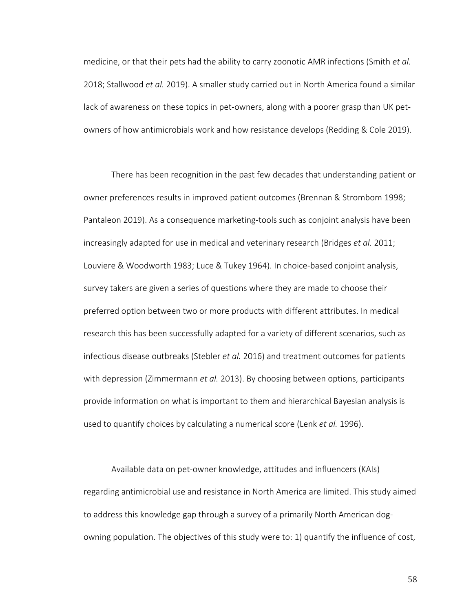medicine, or that their pets had the ability to carry zoonotic AMR infections (Smith *et al.* 2018; Stallwood *et al.* 2019). A smaller study carried out in North America found a similar lack of awareness on these topics in pet-owners, along with a poorer grasp than UK petowners of how antimicrobials work and how resistance develops (Redding & Cole 2019).

There has been recognition in the past few decades that understanding patient or owner preferences results in improved patient outcomes (Brennan & Strombom 1998; Pantaleon 2019). As a consequence marketing-tools such as conjoint analysis have been increasingly adapted for use in medical and veterinary research (Bridges *et al.* 2011; Louviere & Woodworth 1983; Luce & Tukey 1964). In choice-based conjoint analysis, survey takers are given a series of questions where they are made to choose their preferred option between two or more products with different attributes. In medical research this has been successfully adapted for a variety of different scenarios, such as infectious disease outbreaks (Stebler *et al.* 2016) and treatment outcomes for patients with depression (Zimmermann *et al.* 2013). By choosing between options, participants provide information on what is important to them and hierarchical Bayesian analysis is used to quantify choices by calculating a numerical score (Lenk *et al.* 1996).

Available data on pet-owner knowledge, attitudes and influencers (KAIs) regarding antimicrobial use and resistance in North America are limited. This study aimed to address this knowledge gap through a survey of a primarily North American dogowning population. The objectives of this study were to: 1) quantify the influence of cost,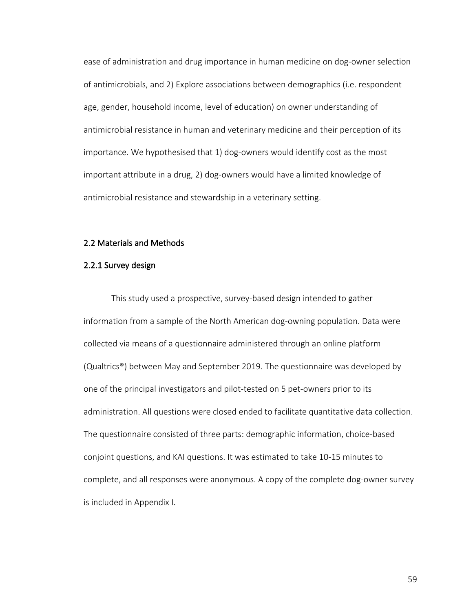ease of administration and drug importance in human medicine on dog-owner selection of antimicrobials, and 2) Explore associations between demographics (i.e. respondent age, gender, household income, level of education) on owner understanding of antimicrobial resistance in human and veterinary medicine and their perception of its importance. We hypothesised that 1) dog-owners would identify cost as the most important attribute in a drug, 2) dog-owners would have a limited knowledge of antimicrobial resistance and stewardship in a veterinary setting.

## 2.2 Materials and Methods

## 2.2.1 Survey design

This study used a prospective, survey-based design intended to gather information from a sample of the North American dog-owning population. Data were collected via means of a questionnaire administered through an online platform (Qualtrics®) between May and September 2019. The questionnaire was developed by one of the principal investigators and pilot-tested on 5 pet-owners prior to its administration. All questions were closed ended to facilitate quantitative data collection. The questionnaire consisted of three parts: demographic information, choice-based conjoint questions, and KAI questions. It was estimated to take 10-15 minutes to complete, and all responses were anonymous. A copy of the complete dog-owner survey is included in Appendix I.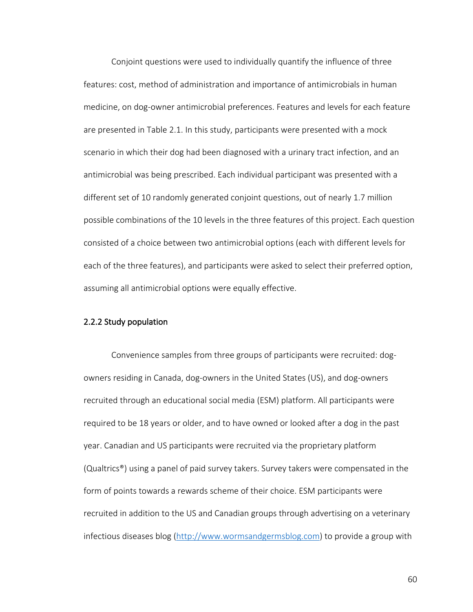Conjoint questions were used to individually quantify the influence of three features: cost, method of administration and importance of antimicrobials in human medicine, on dog-owner antimicrobial preferences. Features and levels for each feature are presented in Table 2.1. In this study, participants were presented with a mock scenario in which their dog had been diagnosed with a urinary tract infection, and an antimicrobial was being prescribed. Each individual participant was presented with a different set of 10 randomly generated conjoint questions, out of nearly 1.7 million possible combinations of the 10 levels in the three features of this project. Each question consisted of a choice between two antimicrobial options (each with different levels for each of the three features), and participants were asked to select their preferred option, assuming all antimicrobial options were equally effective.

# 2.2.2 Study population

Convenience samples from three groups of participants were recruited: dogowners residing in Canada, dog-owners in the United States (US), and dog-owners recruited through an educational social media (ESM) platform. All participants were required to be 18 years or older, and to have owned or looked after a dog in the past year. Canadian and US participants were recruited via the proprietary platform (Qualtrics®) using a panel of paid survey takers. Survey takers were compensated in the form of points towards a rewards scheme of their choice. ESM participants were recruited in addition to the US and Canadian groups through advertising on a veterinary infectious diseases blog (http://www.wormsandgermsblog.com) to provide a group with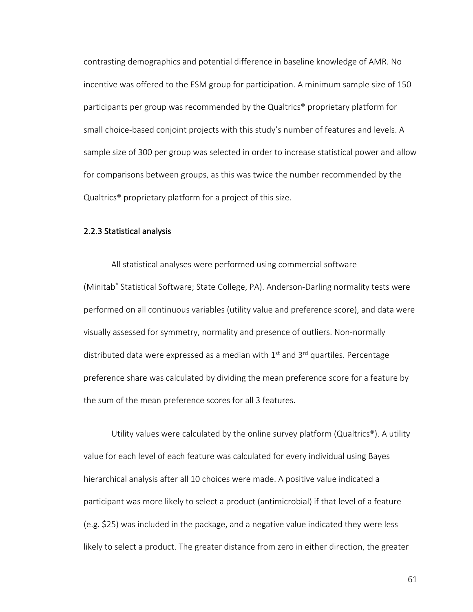contrasting demographics and potential difference in baseline knowledge of AMR. No incentive was offered to the ESM group for participation. A minimum sample size of 150 participants per group was recommended by the Qualtrics® proprietary platform for small choice-based conjoint projects with this study's number of features and levels. A sample size of 300 per group was selected in order to increase statistical power and allow for comparisons between groups, as this was twice the number recommended by the Qualtrics® proprietary platform for a project of this size.

## 2.2.3 Statistical analysis

All statistical analyses were performed using commercial software (Minitab® Statistical Software; State College, PA). Anderson-Darling normality tests were performed on all continuous variables (utility value and preference score), and data were visually assessed for symmetry, normality and presence of outliers. Non-normally distributed data were expressed as a median with  $1<sup>st</sup>$  and  $3<sup>rd</sup>$  quartiles. Percentage preference share was calculated by dividing the mean preference score for a feature by the sum of the mean preference scores for all 3 features.

Utility values were calculated by the online survey platform (Qualtrics<sup>®</sup>). A utility value for each level of each feature was calculated for every individual using Bayes hierarchical analysis after all 10 choices were made. A positive value indicated a participant was more likely to select a product (antimicrobial) if that level of a feature (e.g. \$25) was included in the package, and a negative value indicated they were less likely to select a product. The greater distance from zero in either direction, the greater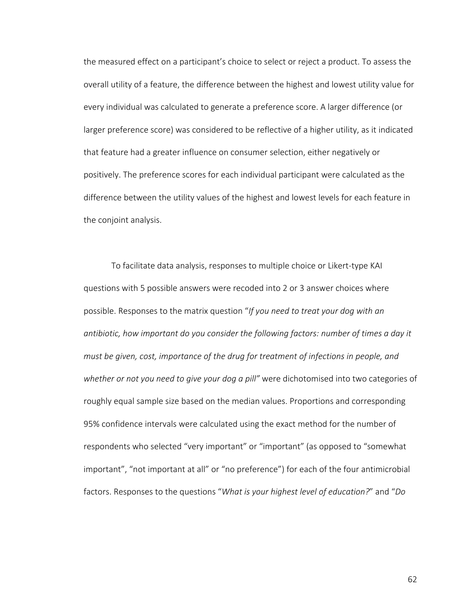the measured effect on a participant's choice to select or reject a product. To assess the overall utility of a feature, the difference between the highest and lowest utility value for every individual was calculated to generate a preference score. A larger difference (or larger preference score) was considered to be reflective of a higher utility, as it indicated that feature had a greater influence on consumer selection, either negatively or positively. The preference scores for each individual participant were calculated as the difference between the utility values of the highest and lowest levels for each feature in the conjoint analysis.

To facilitate data analysis, responses to multiple choice or Likert-type KAI questions with 5 possible answers were recoded into 2 or 3 answer choices where possible. Responses to the matrix question "*If you need to treat your dog with an antibiotic, how important do you consider the following factors: number of times a day it must be given, cost, importance of the drug for treatment of infections in people, and whether or not you need to give your dog a pill"* were dichotomised into two categories of roughly equal sample size based on the median values. Proportions and corresponding 95% confidence intervals were calculated using the exact method for the number of respondents who selected "very important" or "important" (as opposed to "somewhat important", "not important at all" or "no preference") for each of the four antimicrobial factors. Responses to the questions "*What is your highest level of education?*" and "*Do*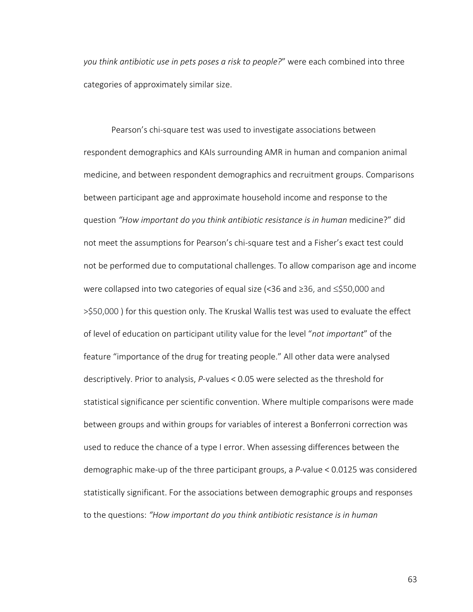*you think antibiotic use in pets poses a risk to people?*" were each combined into three categories of approximately similar size.

Pearson's chi-square test was used to investigate associations between respondent demographics and KAIs surrounding AMR in human and companion animal medicine, and between respondent demographics and recruitment groups. Comparisons between participant age and approximate household income and response to the question *"How important do you think antibiotic resistance is in human* medicine?" did not meet the assumptions for Pearson's chi-square test and a Fisher's exact test could not be performed due to computational challenges. To allow comparison age and income were collapsed into two categories of equal size (<36 and ≥36, and ≤\$50,000 and >\$50,000 ) for this question only. The Kruskal Wallis test was used to evaluate the effect of level of education on participant utility value for the level "*not important*" of the feature "importance of the drug for treating people." All other data were analysed descriptively. Prior to analysis, *P*-values < 0.05 were selected as the threshold for statistical significance per scientific convention. Where multiple comparisons were made between groups and within groups for variables of interest a Bonferroni correction was used to reduce the chance of a type I error. When assessing differences between the demographic make-up of the three participant groups, a *P*-value < 0.0125 was considered statistically significant. For the associations between demographic groups and responses to the questions: *"How important do you think antibiotic resistance is in human*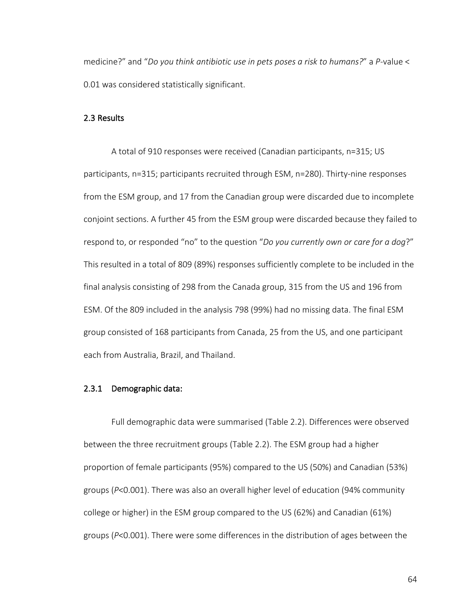medicine?" and "*Do you think antibiotic use in pets poses a risk to humans?*" a *P*-value < 0.01 was considered statistically significant.

## 2.3 Results

A total of 910 responses were received (Canadian participants, n=315; US participants, n=315; participants recruited through ESM, n=280). Thirty-nine responses from the ESM group, and 17 from the Canadian group were discarded due to incomplete conjoint sections. A further 45 from the ESM group were discarded because they failed to respond to, or responded "no" to the question "*Do you currently own or care for a dog*?" This resulted in a total of 809 (89%) responses sufficiently complete to be included in the final analysis consisting of 298 from the Canada group, 315 from the US and 196 from ESM. Of the 809 included in the analysis 798 (99%) had no missing data. The final ESM group consisted of 168 participants from Canada, 25 from the US, and one participant each from Australia, Brazil, and Thailand.

# 2.3.1 Demographic data:

Full demographic data were summarised (Table 2.2). Differences were observed between the three recruitment groups (Table 2.2). The ESM group had a higher proportion of female participants (95%) compared to the US (50%) and Canadian (53%) groups (*P*<0.001). There was also an overall higher level of education (94% community college or higher) in the ESM group compared to the US (62%) and Canadian (61%) groups (*P*<0.001). There were some differences in the distribution of ages between the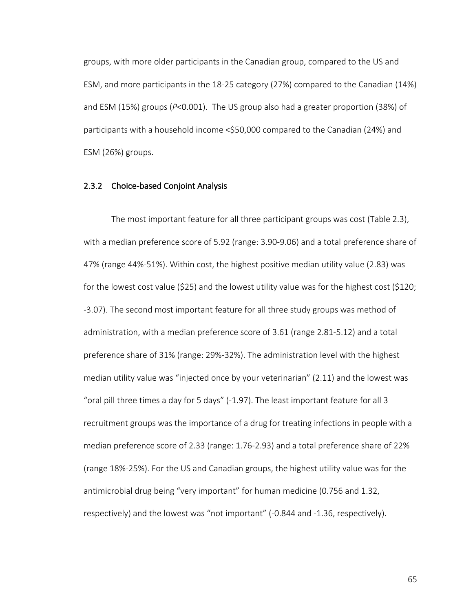groups, with more older participants in the Canadian group, compared to the US and ESM, and more participants in the 18-25 category (27%) compared to the Canadian (14%) and ESM (15%) groups (*P*<0.001). The US group also had a greater proportion (38%) of participants with a household income <\$50,000 compared to the Canadian (24%) and ESM (26%) groups.

## 2.3.2 Choice-based Conjoint Analysis

The most important feature for all three participant groups was cost (Table 2.3), with a median preference score of 5.92 (range: 3.90-9.06) and a total preference share of 47% (range 44%-51%). Within cost, the highest positive median utility value (2.83) was for the lowest cost value (\$25) and the lowest utility value was for the highest cost (\$120; -3.07). The second most important feature for all three study groups was method of administration, with a median preference score of 3.61 (range 2.81-5.12) and a total preference share of 31% (range: 29%-32%). The administration level with the highest median utility value was "injected once by your veterinarian" (2.11) and the lowest was "oral pill three times a day for 5 days" (-1.97). The least important feature for all 3 recruitment groups was the importance of a drug for treating infections in people with a median preference score of 2.33 (range: 1.76-2.93) and a total preference share of 22% (range 18%-25%). For the US and Canadian groups, the highest utility value was for the antimicrobial drug being "very important" for human medicine (0.756 and 1.32, respectively) and the lowest was "not important" (-0.844 and -1.36, respectively).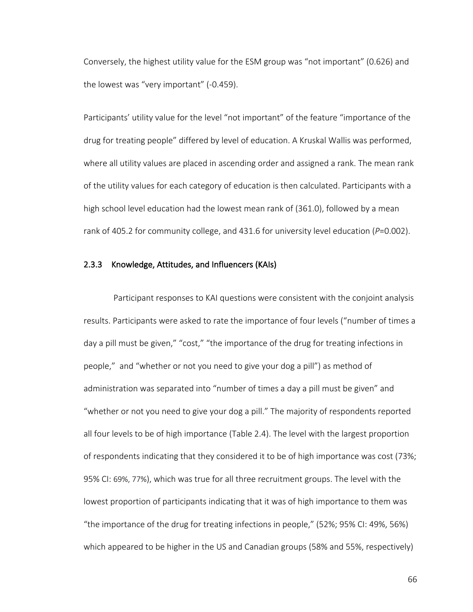Conversely, the highest utility value for the ESM group was "not important" (0.626) and the lowest was "very important" (-0.459).

Participants' utility value for the level "not important" of the feature "importance of the drug for treating people" differed by level of education. A Kruskal Wallis was performed, where all utility values are placed in ascending order and assigned a rank. The mean rank of the utility values for each category of education is then calculated. Participants with a high school level education had the lowest mean rank of (361.0), followed by a mean rank of 405.2 for community college, and 431.6 for university level education (*P*=0.002).

## 2.3.3 Knowledge, Attitudes, and Influencers (KAIs)

Participant responses to KAI questions were consistent with the conjoint analysis results. Participants were asked to rate the importance of four levels ("number of times a day a pill must be given," "cost," "the importance of the drug for treating infections in people," and "whether or not you need to give your dog a pill") as method of administration was separated into "number of times a day a pill must be given" and "whether or not you need to give your dog a pill." The majority of respondents reported all four levels to be of high importance (Table 2.4). The level with the largest proportion of respondents indicating that they considered it to be of high importance was cost (73%; 95% CI: 69%, 77%), which was true for all three recruitment groups. The level with the lowest proportion of participants indicating that it was of high importance to them was "the importance of the drug for treating infections in people," (52%; 95% CI: 49%, 56%) which appeared to be higher in the US and Canadian groups (58% and 55%, respectively)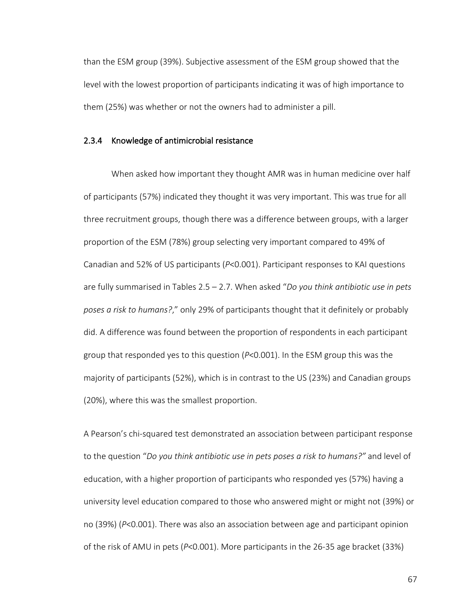than the ESM group (39%). Subjective assessment of the ESM group showed that the level with the lowest proportion of participants indicating it was of high importance to them (25%) was whether or not the owners had to administer a pill.

## 2.3.4 Knowledge of antimicrobial resistance

When asked how important they thought AMR was in human medicine over half of participants (57%) indicated they thought it was very important. This was true for all three recruitment groups, though there was a difference between groups, with a larger proportion of the ESM (78%) group selecting very important compared to 49% of Canadian and 52% of US participants (*P*<0.001). Participant responses to KAI questions are fully summarised in Tables 2.5 – 2.7. When asked "*Do you think antibiotic use in pets poses a risk to humans?*," only 29% of participants thought that it definitely or probably did. A difference was found between the proportion of respondents in each participant group that responded yes to this question (*P*<0.001). In the ESM group this was the majority of participants (52%), which is in contrast to the US (23%) and Canadian groups (20%), where this was the smallest proportion.

A Pearson's chi-squared test demonstrated an association between participant response to the question "*Do you think antibiotic use in pets poses a risk to humans?"* and level of education, with a higher proportion of participants who responded yes (57%) having a university level education compared to those who answered might or might not (39%) or no (39%) (*P*<0.001). There was also an association between age and participant opinion of the risk of AMU in pets (*P*<0.001). More participants in the 26-35 age bracket (33%)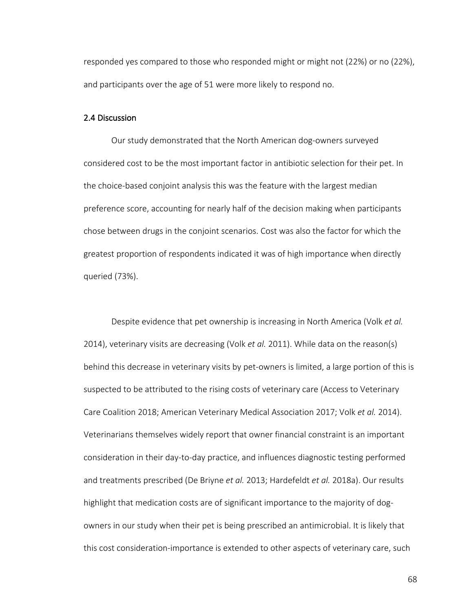responded yes compared to those who responded might or might not (22%) or no (22%), and participants over the age of 51 were more likely to respond no.

## 2.4 Discussion

Our study demonstrated that the North American dog-owners surveyed considered cost to be the most important factor in antibiotic selection for their pet. In the choice-based conjoint analysis this was the feature with the largest median preference score, accounting for nearly half of the decision making when participants chose between drugs in the conjoint scenarios. Cost was also the factor for which the greatest proportion of respondents indicated it was of high importance when directly queried (73%).

Despite evidence that pet ownership is increasing in North America (Volk *et al.* 2014), veterinary visits are decreasing (Volk *et al.* 2011). While data on the reason(s) behind this decrease in veterinary visits by pet-owners is limited, a large portion of this is suspected to be attributed to the rising costs of veterinary care (Access to Veterinary Care Coalition 2018; American Veterinary Medical Association 2017; Volk *et al.* 2014). Veterinarians themselves widely report that owner financial constraint is an important consideration in their day-to-day practice, and influences diagnostic testing performed and treatments prescribed (De Briyne *et al.* 2013; Hardefeldt *et al.* 2018a). Our results highlight that medication costs are of significant importance to the majority of dogowners in our study when their pet is being prescribed an antimicrobial. It is likely that this cost consideration-importance is extended to other aspects of veterinary care, such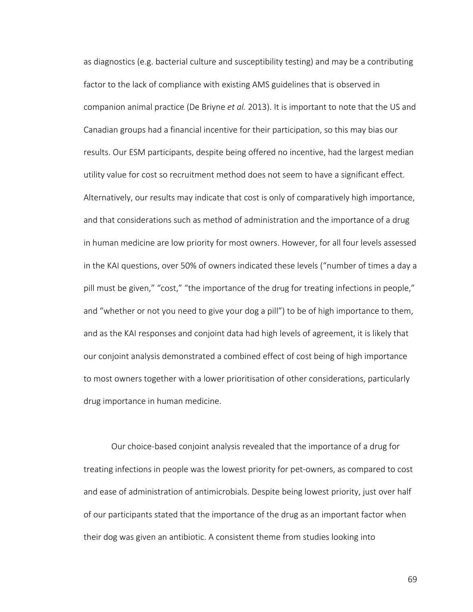as diagnostics (e.g. bacterial culture and susceptibility testing) and may be a contributing factor to the lack of compliance with existing AMS guidelines that is observed in companion animal practice (De Briyne *et al.* 2013). It is important to note that the US and Canadian groups had a financial incentive for their participation, so this may bias our results. Our ESM participants, despite being offered no incentive, had the largest median utility value for cost so recruitment method does not seem to have a significant effect. Alternatively, our results may indicate that cost is only of comparatively high importance, and that considerations such as method of administration and the importance of a drug in human medicine are low priority for most owners. However, for all four levels assessed in the KAI questions, over 50% of owners indicated these levels ("number of times a day a pill must be given," "cost," "the importance of the drug for treating infections in people," and "whether or not you need to give your dog a pill") to be of high importance to them, and as the KAI responses and conjoint data had high levels of agreement, it is likely that our conjoint analysis demonstrated a combined effect of cost being of high importance to most owners together with a lower prioritisation of other considerations, particularly drug importance in human medicine.

Our choice-based conjoint analysis revealed that the importance of a drug for treating infections in people was the lowest priority for pet-owners, as compared to cost and ease of administration of antimicrobials. Despite being lowest priority, just over half of our participants stated that the importance of the drug as an important factor when their dog was given an antibiotic. A consistent theme from studies looking into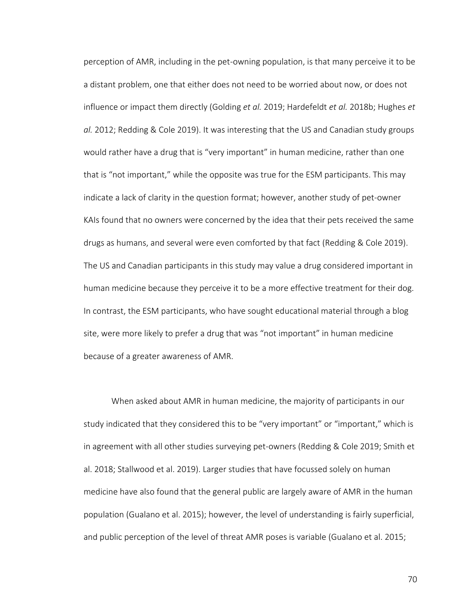perception of AMR, including in the pet-owning population, is that many perceive it to be a distant problem, one that either does not need to be worried about now, or does not influence or impact them directly (Golding *et al.* 2019; Hardefeldt *et al.* 2018b; Hughes *et al.* 2012; Redding & Cole 2019). It was interesting that the US and Canadian study groups would rather have a drug that is "very important" in human medicine, rather than one that is "not important," while the opposite was true for the ESM participants. This may indicate a lack of clarity in the question format; however, another study of pet-owner KAIs found that no owners were concerned by the idea that their pets received the same drugs as humans, and several were even comforted by that fact (Redding & Cole 2019). The US and Canadian participants in this study may value a drug considered important in human medicine because they perceive it to be a more effective treatment for their dog. In contrast, the ESM participants, who have sought educational material through a blog site, were more likely to prefer a drug that was "not important" in human medicine because of a greater awareness of AMR.

When asked about AMR in human medicine, the majority of participants in our study indicated that they considered this to be "very important" or "important," which is in agreement with all other studies surveying pet-owners (Redding & Cole 2019; Smith et al. 2018; Stallwood et al. 2019). Larger studies that have focussed solely on human medicine have also found that the general public are largely aware of AMR in the human population (Gualano et al. 2015); however, the level of understanding is fairly superficial, and public perception of the level of threat AMR poses is variable (Gualano et al. 2015;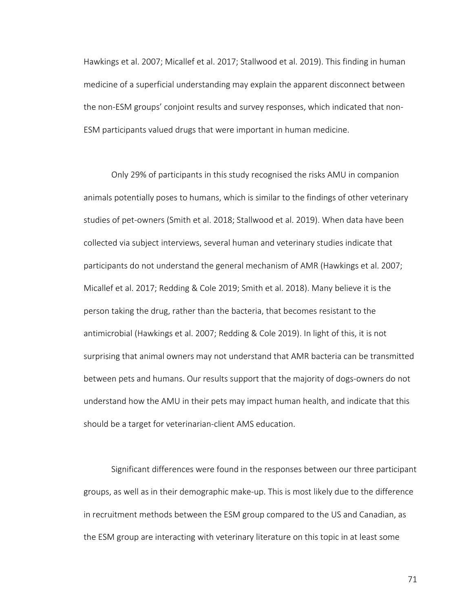Hawkings et al. 2007; Micallef et al. 2017; Stallwood et al. 2019). This finding in human medicine of a superficial understanding may explain the apparent disconnect between the non-ESM groups' conjoint results and survey responses, which indicated that non-ESM participants valued drugs that were important in human medicine.

Only 29% of participants in this study recognised the risks AMU in companion animals potentially poses to humans, which is similar to the findings of other veterinary studies of pet-owners (Smith et al. 2018; Stallwood et al. 2019). When data have been collected via subject interviews, several human and veterinary studies indicate that participants do not understand the general mechanism of AMR (Hawkings et al. 2007; Micallef et al. 2017; Redding & Cole 2019; Smith et al. 2018). Many believe it is the person taking the drug, rather than the bacteria, that becomes resistant to the antimicrobial (Hawkings et al. 2007; Redding & Cole 2019). In light of this, it is not surprising that animal owners may not understand that AMR bacteria can be transmitted between pets and humans. Our results support that the majority of dogs-owners do not understand how the AMU in their pets may impact human health, and indicate that this should be a target for veterinarian-client AMS education.

Significant differences were found in the responses between our three participant groups, as well as in their demographic make-up. This is most likely due to the difference in recruitment methods between the ESM group compared to the US and Canadian, as the ESM group are interacting with veterinary literature on this topic in at least some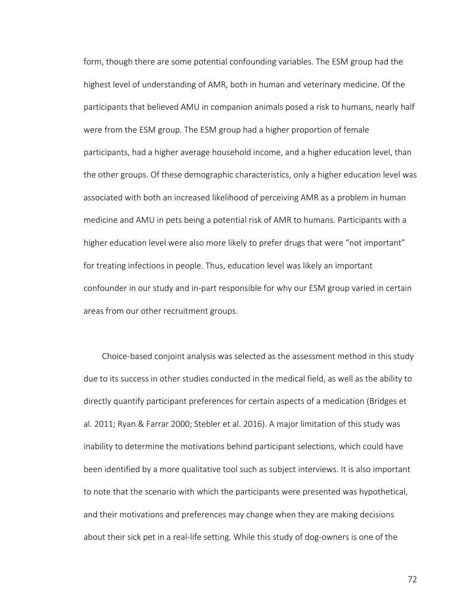form, though there are some potential confounding variables. The ESM group had the highest level of understanding of AMR, both in human and veterinary medicine. Of the participants that believed AMU in companion animals posed a risk to humans, nearly half were from the ESM group. The ESM group had a higher proportion of female participants, had a higher average household income, and a higher education level, than the other groups. Of these demographic characteristics, only a higher education level was associated with both an increased likelihood of perceiving AMR as a problem in human medicine and AMU in pets being a potential risk of AMR to humans. Participants with a higher education level were also more likely to prefer drugs that were "not important" for treating infections in people. Thus, education level was likely an important confounder in our study and in-part responsible for why our ESM group varied in certain areas from our other recruitment groups.

Choice-based conjoint analysis was selected as the assessment method in this study due to its success in other studies conducted in the medical field, as well as the ability to directly quantify participant preferences for certain aspects of a medication (Bridges et al. 2011; Ryan & Farrar 2000; Stebler et al. 2016). A major limitation of this study was inability to determine the motivations behind participant selections, which could have been identified by a more qualitative tool such as subject interviews. It is also important to note that the scenario with which the participants were presented was hypothetical, and their motivations and preferences may change when they are making decisions about their sick pet in a real-life setting. While this study of dog-owners is one of the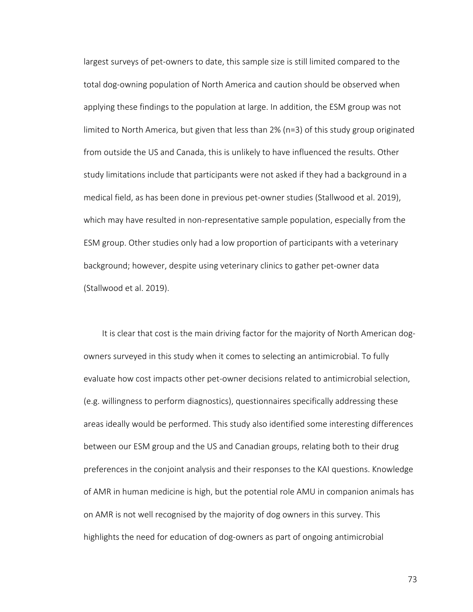largest surveys of pet-owners to date, this sample size is still limited compared to the total dog-owning population of North America and caution should be observed when applying these findings to the population at large. In addition, the ESM group was not limited to North America, but given that less than 2% (n=3) of this study group originated from outside the US and Canada, this is unlikely to have influenced the results. Other study limitations include that participants were not asked if they had a background in a medical field, as has been done in previous pet-owner studies (Stallwood et al. 2019), which may have resulted in non-representative sample population, especially from the ESM group. Other studies only had a low proportion of participants with a veterinary background; however, despite using veterinary clinics to gather pet-owner data (Stallwood et al. 2019).

It is clear that cost is the main driving factor for the majority of North American dogowners surveyed in this study when it comes to selecting an antimicrobial. To fully evaluate how cost impacts other pet-owner decisions related to antimicrobial selection, (e.g. willingness to perform diagnostics), questionnaires specifically addressing these areas ideally would be performed. This study also identified some interesting differences between our ESM group and the US and Canadian groups, relating both to their drug preferences in the conjoint analysis and their responses to the KAI questions. Knowledge of AMR in human medicine is high, but the potential role AMU in companion animals has on AMR is not well recognised by the majority of dog owners in this survey. This highlights the need for education of dog-owners as part of ongoing antimicrobial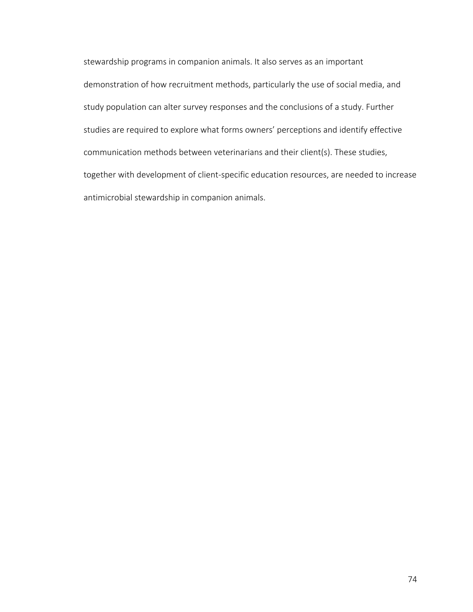stewardship programs in companion animals. It also serves as an important demonstration of how recruitment methods, particularly the use of social media, and study population can alter survey responses and the conclusions of a study. Further studies are required to explore what forms owners' perceptions and identify effective communication methods between veterinarians and their client(s). These studies, together with development of client-specific education resources, are needed to increase antimicrobial stewardship in companion animals.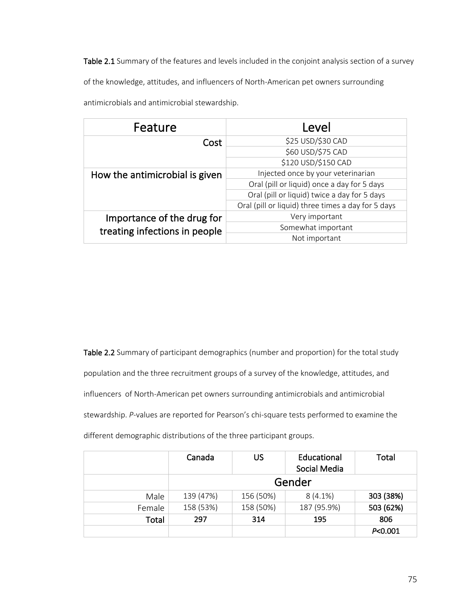Table 2.1 Summary of the features and levels included in the conjoint analysis section of a survey

of the knowledge, attitudes, and influencers of North-American pet owners surrounding

| Feature                        | Level                                              |  |  |
|--------------------------------|----------------------------------------------------|--|--|
| Cost                           | \$25 USD/\$30 CAD                                  |  |  |
|                                | \$60 USD/\$75 CAD                                  |  |  |
|                                | \$120 USD/\$150 CAD                                |  |  |
| How the antimicrobial is given | Injected once by your veterinarian                 |  |  |
|                                | Oral (pill or liquid) once a day for 5 days        |  |  |
|                                | Oral (pill or liquid) twice a day for 5 days       |  |  |
|                                | Oral (pill or liquid) three times a day for 5 days |  |  |
| Importance of the drug for     | Very important                                     |  |  |
| treating infections in people  | Somewhat important                                 |  |  |
|                                | Not important                                      |  |  |

antimicrobials and antimicrobial stewardship.

Table 2.2 Summary of participant demographics (number and proportion) for the total study population and the three recruitment groups of a survey of the knowledge, attitudes, and influencers of North-American pet owners surrounding antimicrobials and antimicrobial stewardship. *P*-values are reported for Pearson's chi-square tests performed to examine the different demographic distributions of the three participant groups.

|        | Canada    | US        | Educational<br>Social Media | Total     |  |
|--------|-----------|-----------|-----------------------------|-----------|--|
|        | Gender    |           |                             |           |  |
| Male   | 139 (47%) | 156 (50%) | $8(4.1\%)$                  | 303 (38%) |  |
| Female | 158 (53%) | 158 (50%) | 187 (95.9%)                 | 503 (62%) |  |
| Total  | 297       | 314       | 195                         | 806       |  |
|        |           |           |                             | P<0.001   |  |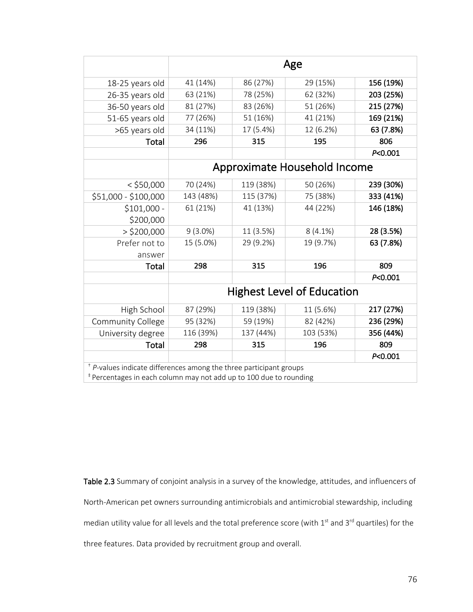|                                                                               | Age        |           |                                   |           |  |  |
|-------------------------------------------------------------------------------|------------|-----------|-----------------------------------|-----------|--|--|
| 18-25 years old                                                               | 41 (14%)   | 86 (27%)  | 29 (15%)                          | 156 (19%) |  |  |
| 26-35 years old                                                               | 63 (21%)   | 78 (25%)  | 62 (32%)                          | 203 (25%) |  |  |
| 36-50 years old                                                               | 81 (27%)   | 83 (26%)  | 51 (26%)                          | 215 (27%) |  |  |
| 51-65 years old                                                               | 77 (26%)   | 51 (16%)  | 41 (21%)                          | 169 (21%) |  |  |
| >65 years old                                                                 | 34 (11%)   | 17 (5.4%) | 12 (6.2%)                         | 63 (7.8%) |  |  |
| Total                                                                         | 296        | 315       | 195                               | 806       |  |  |
|                                                                               |            |           |                                   | P<0.001   |  |  |
|                                                                               |            |           | Approximate Household Income      |           |  |  |
| $<$ \$50,000                                                                  | 70 (24%)   | 119 (38%) | 50 (26%)                          | 239 (30%) |  |  |
| \$51,000 - \$100,000                                                          | 143 (48%)  | 115 (37%) | 75 (38%)                          | 333 (41%) |  |  |
| $$101,000 -$                                                                  | 61 (21%)   | 41 (13%)  | 44 (22%)                          | 146 (18%) |  |  |
| \$200,000                                                                     |            |           |                                   |           |  |  |
| $>$ \$200,000                                                                 | $9(3.0\%)$ | 11 (3.5%) | $8(4.1\%)$                        | 28 (3.5%) |  |  |
| Prefer not to                                                                 | 15 (5.0%)  | 29 (9.2%) | 19 (9.7%)                         | 63 (7.8%) |  |  |
| answer                                                                        |            |           |                                   |           |  |  |
| Total                                                                         | 298        | 315       | 196                               | 809       |  |  |
|                                                                               |            |           |                                   | P<0.001   |  |  |
|                                                                               |            |           | <b>Highest Level of Education</b> |           |  |  |
| High School                                                                   | 87 (29%)   | 119 (38%) | 11 (5.6%)                         | 217 (27%) |  |  |
| Community College                                                             | 95 (32%)   | 59 (19%)  | 82 (42%)                          | 236 (29%) |  |  |
| University degree                                                             | 116 (39%)  | 137 (44%) | 103 (53%)                         | 356 (44%) |  |  |
| Total                                                                         | 298        | 315       | 196                               | 809       |  |  |
|                                                                               |            |           |                                   | P < 0.001 |  |  |
| $+$ P-values indicate differences among the three participant groups          |            |           |                                   |           |  |  |
| <sup>‡</sup> Percentages in each column may not add up to 100 due to rounding |            |           |                                   |           |  |  |

Table 2.3 Summary of conjoint analysis in a survey of the knowledge, attitudes, and influencers of North-American pet owners surrounding antimicrobials and antimicrobial stewardship, including median utility value for all levels and the total preference score (with 1<sup>st</sup> and 3<sup>rd</sup> quartiles) for the three features. Data provided by recruitment group and overall.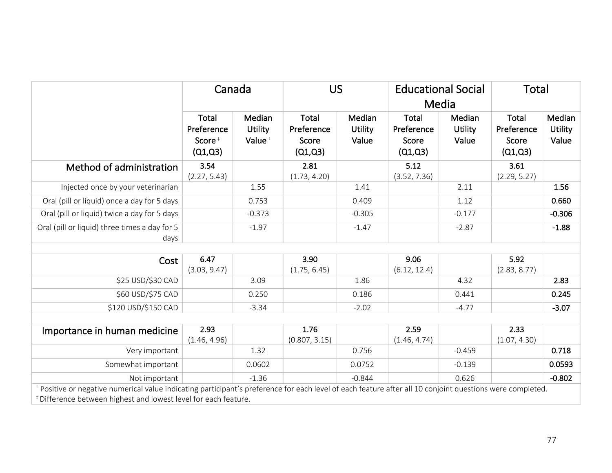|                                                                                                                                                                                                                                                    | Canada                                                      |                                                | <b>US</b>                                      |                                   | <b>Educational Social</b><br>Media             |                                   | <b>Total</b>                                   |                                   |
|----------------------------------------------------------------------------------------------------------------------------------------------------------------------------------------------------------------------------------------------------|-------------------------------------------------------------|------------------------------------------------|------------------------------------------------|-----------------------------------|------------------------------------------------|-----------------------------------|------------------------------------------------|-----------------------------------|
|                                                                                                                                                                                                                                                    | <b>Total</b><br>Preference<br>Score <sup>#</sup><br>(Q1,Q3) | Median<br><b>Utility</b><br>Value <sup>+</sup> | <b>Total</b><br>Preference<br>Score<br>(Q1,Q3) | Median<br><b>Utility</b><br>Value | <b>Total</b><br>Preference<br>Score<br>(Q1,Q3) | Median<br><b>Utility</b><br>Value | <b>Total</b><br>Preference<br>Score<br>(Q1,Q3) | Median<br><b>Utility</b><br>Value |
| Method of administration                                                                                                                                                                                                                           | 3.54<br>(2.27, 5.43)                                        |                                                | 2.81<br>(1.73, 4.20)                           |                                   | 5.12<br>(3.52, 7.36)                           |                                   | 3.61<br>(2.29, 5.27)                           |                                   |
| Injected once by your veterinarian                                                                                                                                                                                                                 |                                                             | 1.55                                           |                                                | 1.41                              |                                                | 2.11                              |                                                | 1.56                              |
| Oral (pill or liquid) once a day for 5 days                                                                                                                                                                                                        |                                                             | 0.753                                          |                                                | 0.409                             |                                                | 1.12                              |                                                | 0.660                             |
| Oral (pill or liquid) twice a day for 5 days                                                                                                                                                                                                       |                                                             | $-0.373$                                       |                                                | $-0.305$                          |                                                | $-0.177$                          |                                                | $-0.306$                          |
| Oral (pill or liquid) three times a day for 5<br>days                                                                                                                                                                                              |                                                             | $-1.97$                                        |                                                | $-1.47$                           |                                                | $-2.87$                           |                                                | $-1.88$                           |
| Cost                                                                                                                                                                                                                                               | 6.47<br>(3.03, 9.47)                                        |                                                | 3.90<br>(1.75, 6.45)                           |                                   | 9.06<br>(6.12, 12.4)                           |                                   | 5.92<br>(2.83, 8.77)                           |                                   |
| \$25 USD/\$30 CAD                                                                                                                                                                                                                                  |                                                             | 3.09                                           |                                                | 1.86                              |                                                | 4.32                              |                                                | 2.83                              |
| \$60 USD/\$75 CAD                                                                                                                                                                                                                                  |                                                             | 0.250                                          |                                                | 0.186                             |                                                | 0.441                             |                                                | 0.245                             |
| \$120 USD/\$150 CAD                                                                                                                                                                                                                                |                                                             | $-3.34$                                        |                                                | $-2.02$                           |                                                | $-4.77$                           |                                                | $-3.07$                           |
| Importance in human medicine                                                                                                                                                                                                                       | 2.93<br>(1.46, 4.96)                                        |                                                | 1.76<br>(0.807, 3.15)                          |                                   | 2.59<br>(1.46, 4.74)                           |                                   | 2.33<br>(1.07, 4.30)                           |                                   |
| Very important                                                                                                                                                                                                                                     |                                                             | 1.32                                           |                                                | 0.756                             |                                                | $-0.459$                          |                                                | 0.718                             |
| Somewhat important                                                                                                                                                                                                                                 |                                                             | 0.0602                                         |                                                | 0.0752                            |                                                | $-0.139$                          |                                                | 0.0593                            |
| Not important                                                                                                                                                                                                                                      |                                                             | $-1.36$                                        |                                                | $-0.844$                          |                                                | 0.626                             |                                                | $-0.802$                          |
| <sup>+</sup> Positive or negative numerical value indicating participant's preference for each level of each feature after all 10 conjoint questions were completed.<br><sup>‡</sup> Difference between highest and lowest level for each feature. |                                                             |                                                |                                                |                                   |                                                |                                   |                                                |                                   |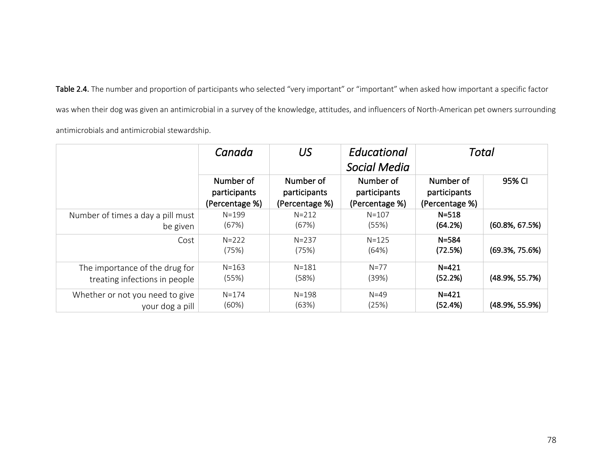Table 2.4. The number and proportion of participants who selected "very important" or "important" when asked how important a specific factor was when their dog was given an antimicrobial in a survey of the knowledge, attitudes, and influencers of North-American pet owners surrounding

antimicrobials and antimicrobial stewardship.

|                                   | Canada                                      | US                                          | Educational<br>Social Media                 | Total                                       |                    |
|-----------------------------------|---------------------------------------------|---------------------------------------------|---------------------------------------------|---------------------------------------------|--------------------|
|                                   | Number of<br>participants<br>(Percentage %) | Number of<br>participants<br>(Percentage %) | Number of<br>participants<br>(Percentage %) | Number of<br>participants<br>(Percentage %) | 95% CI             |
| Number of times a day a pill must | $N = 199$                                   | $N = 212$                                   | $N = 107$                                   | $N = 518$                                   | $(60.8\%, 67.5\%)$ |
| be given                          | (67%)                                       | (67%)                                       | (55%)                                       | (64.2%)                                     |                    |
| Cost                              | $N = 222$<br>(75%)                          | $N = 237$<br>(75%)                          | $N = 125$<br>(64%)                          | $N = 584$<br>(72.5%)                        | $(69.3\%, 75.6\%)$ |
| The importance of the drug for    | $N = 163$                                   | $N = 181$                                   | $N = 77$                                    | $N = 421$                                   | $(48.9\%, 55.7\%)$ |
| treating infections in people     | (55%)                                       | (58%)                                       | (39%)                                       | (52.2%)                                     |                    |
| Whether or not you need to give   | $N = 174$                                   | $N = 198$                                   | $N=49$                                      | $N = 421$                                   | $(48.9\%, 55.9\%)$ |
| your dog a pill                   | (60%)                                       | (63%)                                       | (25%)                                       | (52.4%)                                     |                    |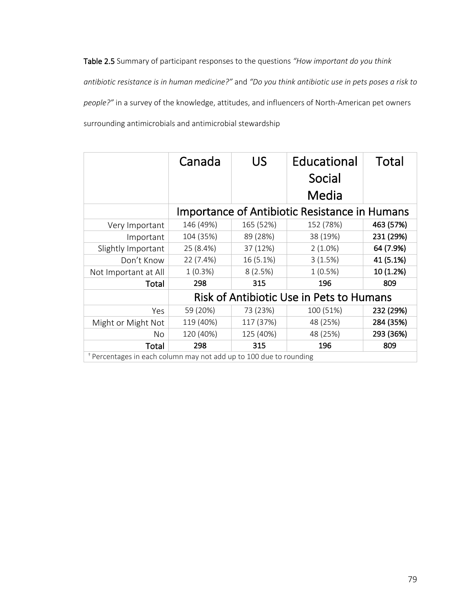Table 2.5 Summary of participant responses to the questions *"How important do you think antibiotic resistance is in human medicine?"* and *"Do you think antibiotic use in pets poses a risk to people?"* in a survey of the knowledge, attitudes, and influencers of North-American pet owners surrounding antimicrobials and antimicrobial stewardship

|                                                                               | Canada     | US        | Educational<br>Social<br>Media                       | Total     |
|-------------------------------------------------------------------------------|------------|-----------|------------------------------------------------------|-----------|
|                                                                               |            |           | <b>Importance of Antibiotic Resistance in Humans</b> |           |
| Very Important                                                                | 146 (49%)  | 165 (52%) | 152 (78%)                                            | 463 (57%) |
| Important                                                                     | 104 (35%)  | 89 (28%)  | 38 (19%)                                             | 231 (29%) |
| Slightly Important                                                            | 25 (8.4%)  | 37 (12%)  | $2(1.0\%)$                                           | 64 (7.9%) |
| Don't Know                                                                    | 22 (7.4%)  | 16 (5.1%) | 3(1.5%)                                              | 41 (5.1%) |
| Not Important at All                                                          | $1(0.3\%)$ | 8(2.5%)   | 1(0.5%)                                              | 10 (1.2%) |
| Total                                                                         | 298        | 315       | 196                                                  | 809       |
|                                                                               |            |           | Risk of Antibiotic Use in Pets to Humans             |           |
| Yes                                                                           | 59 (20%)   | 73 (23%)  | 100 (51%)                                            | 232 (29%) |
| Might or Might Not                                                            | 119 (40%)  | 117 (37%) | 48 (25%)                                             | 284 (35%) |
| No                                                                            | 120 (40%)  | 125 (40%) | 48 (25%)                                             | 293 (36%) |
| Total                                                                         | 298        | 315       | 196                                                  | 809       |
| <sup>†</sup> Percentages in each column may not add up to 100 due to rounding |            |           |                                                      |           |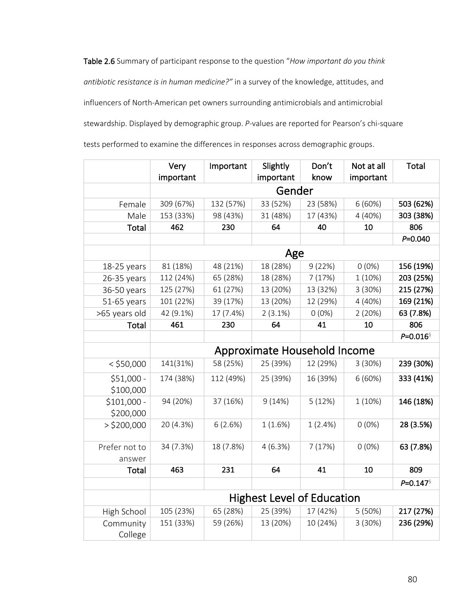Table 2.6 Summary of participant response to the question "*How important do you think antibiotic resistance is in human medicine?"* in a survey of the knowledge, attitudes, and influencers of North-American pet owners surrounding antimicrobials and antimicrobial stewardship. Displayed by demographic group. *P*-values are reported for Pearson's chi-square tests performed to examine the differences in responses across demographic groups.

|                           | Very      | Important | Slightly                          | Don't    | Not at all | <b>Total</b> |
|---------------------------|-----------|-----------|-----------------------------------|----------|------------|--------------|
|                           | important |           | important                         | know     | important  |              |
|                           |           |           | Gender                            |          |            |              |
| Female                    | 309 (67%) | 132 (57%) | 33 (52%)                          | 23 (58%) | 6(60%)     | 503 (62%)    |
| Male                      | 153 (33%) | 98 (43%)  | 31 (48%)                          | 17 (43%) | 4 (40%)    | 303 (38%)    |
| Total                     | 462       | 230       | 64                                | 40       | 10         | 806          |
|                           |           |           |                                   |          |            | $P = 0.040$  |
|                           |           |           | Age                               |          |            |              |
| 18-25 years               | 81 (18%)  | 48 (21%)  | 18 (28%)                          | 9(22%)   | $0(0\%)$   | 156 (19%)    |
| 26-35 years               | 112 (24%) | 65 (28%)  | 18 (28%)                          | 7(17%)   | 1 (10%)    | 203 (25%)    |
| 36-50 years               | 125 (27%) | 61 (27%)  | 13 (20%)                          | 13 (32%) | 3 (30%)    | 215 (27%)    |
| 51-65 years               | 101 (22%) | 39 (17%)  | 13 (20%)                          | 12 (29%) | 4 (40%)    | 169 (21%)    |
| >65 years old             | 42 (9.1%) | 17 (7.4%) | 2(3.1%)                           | $0(0\%)$ | 2(20%)     | 63 (7.8%)    |
| Total                     | 461       | 230       | 64                                | 41       | 10         | 806          |
|                           |           |           |                                   |          |            | $P = 0.016$  |
|                           |           |           | Approximate Household Income      |          |            |              |
| $<$ \$50,000              | 141(31%)  | 58 (25%)  | 25 (39%)                          | 12 (29%) | 3 (30%)    | 239 (30%)    |
| $$51,000 -$               | 174 (38%) | 112 (49%) | 25 (39%)                          | 16 (39%) | 6(60%)     | 333 (41%)    |
| \$100,000                 | 94 (20%)  |           | 9(14%)                            |          |            | 146 (18%)    |
| $$101,000 -$<br>\$200,000 |           | 37 (16%)  |                                   | 5(12%)   | 1 (10%)    |              |
| $>$ \$200,000             | 20 (4.3%) | 6(2.6%)   | 1(1.6%)                           | 1(2.4%)  | $0(0\%)$   | 28 (3.5%)    |
| Prefer not to<br>answer   | 34 (7.3%) | 18 (7.8%) | 4(6.3%)                           | 7(17%)   | $0(0\%)$   | 63 (7.8%)    |
| Total                     | 463       | 231       | 64                                | 41       | 10         | 809          |
|                           |           |           |                                   |          |            | $P = 0.147$  |
|                           |           |           | <b>Highest Level of Education</b> |          |            |              |
| High School               | 105 (23%) | 65 (28%)  | 25 (39%)                          | 17 (42%) | 5(50%)     | 217 (27%)    |
| Community<br>College      | 151 (33%) | 59 (26%)  | 13 (20%)                          | 10 (24%) | 3(30%)     | 236 (29%)    |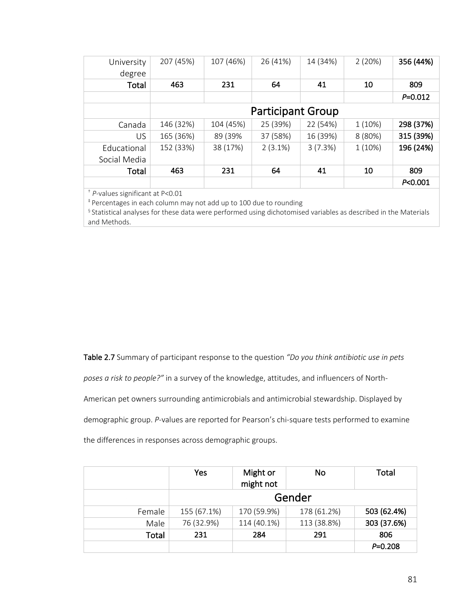| University<br>degree | 207 (45%) | 107 (46%) | 26 (41%)                 | 14 (34%) | 2(20%)  | 356 (44%)   |
|----------------------|-----------|-----------|--------------------------|----------|---------|-------------|
| Total                | 463       | 231       | 64                       | 41       | 10      | 809         |
|                      |           |           |                          |          |         | $P = 0.012$ |
|                      |           |           |                          |          |         |             |
|                      |           |           | <b>Participant Group</b> |          |         |             |
| Canada               | 146 (32%) | 104 (45%) | 25 (39%)                 | 22 (54%) | 1(10%)  | 298 (37%)   |
| US                   | 165 (36%) | 89 (39%   | 37 (58%)                 | 16 (39%) | 8 (80%) | 315 (39%)   |
| Educational          | 152 (33%) | 38 (17%)  | $2(3.1\%)$               | 3(7.3%)  | 1 (10%) | 196 (24%)   |
| Social Media         |           |           |                          |          |         |             |
| Total                | 463       | 231       | 64                       | 41       | 10      | 809         |
|                      |           |           |                          |          |         | P < 0.001   |

*<sup>P</sup>*<0.001 † *P-*values significant at P<0.01

‡ Percentages in each column may not add up to 100 due to rounding

§ Statistical analyses for these data were performed using dichotomised variables as described in the Materials and Methods.

Table 2.7 Summary of participant response to the question *"Do you think antibiotic use in pets* 

*poses a risk to people?"* in a survey of the knowledge, attitudes, and influencers of North-

American pet owners surrounding antimicrobials and antimicrobial stewardship. Displayed by

demographic group. *P*-values are reported for Pearson's chi-square tests performed to examine

the differences in responses across demographic groups.

|        | Yes         | Might or<br>might not | No          | Total       |  |
|--------|-------------|-----------------------|-------------|-------------|--|
|        | Gender      |                       |             |             |  |
| Female | 155 (67.1%) | 170 (59.9%)           | 178 (61.2%) | 503 (62.4%) |  |
| Male   | 76 (32.9%)  | 114 (40.1%)           | 113 (38.8%) | 303 (37.6%) |  |
| Total  | 231         | 284                   | 291         | 806         |  |
|        |             |                       |             | $P = 0.208$ |  |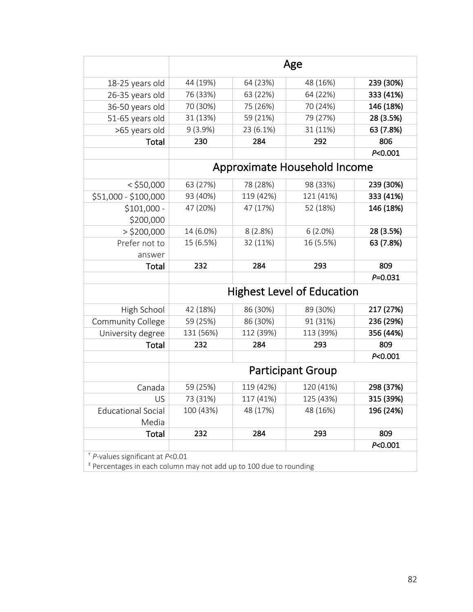|                                    | Age       |           |                                   |             |  |
|------------------------------------|-----------|-----------|-----------------------------------|-------------|--|
| 18-25 years old                    | 44 (19%)  | 64 (23%)  | 48 (16%)                          | 239 (30%)   |  |
| 26-35 years old                    | 76 (33%)  | 63 (22%)  | 64 (22%)                          | 333 (41%)   |  |
| 36-50 years old                    | 70 (30%)  | 75 (26%)  | 70 (24%)                          | 146 (18%)   |  |
| 51-65 years old                    | 31 (13%)  | 59 (21%)  | 79 (27%)                          | 28 (3.5%)   |  |
| >65 years old                      | 9(3.9%)   | 23 (6.1%) | 31 (11%)                          | 63 (7.8%)   |  |
| Total                              | 230       | 284       | 292                               | 806         |  |
|                                    |           |           |                                   | P<0.001     |  |
|                                    |           |           | Approximate Household Income      |             |  |
| $<$ \$50,000                       | 63 (27%)  | 78 (28%)  | 98 (33%)                          | 239 (30%)   |  |
| \$51,000 - \$100,000               | 93 (40%)  | 119 (42%) | 121 (41%)                         | 333 (41%)   |  |
| $$101,000 -$<br>\$200,000          | 47 (20%)  | 47 (17%)  | 52 (18%)                          | 146 (18%)   |  |
| $>$ \$200,000                      | 14 (6.0%) | 8(2.8%)   | 6(2.0%)                           | 28 (3.5%)   |  |
| Prefer not to                      | 15 (6.5%) | 32 (11%)  | 16 (5.5%)                         | 63 (7.8%)   |  |
| answer                             |           |           |                                   |             |  |
| Total                              | 232       | 284       | 293                               | 809         |  |
|                                    |           |           |                                   | $P = 0.031$ |  |
|                                    |           |           | <b>Highest Level of Education</b> |             |  |
| High School                        | 42 (18%)  | 86 (30%)  | 89 (30%)                          | 217 (27%)   |  |
| Community College                  | 59 (25%)  | 86 (30%)  | 91 (31%)                          | 236 (29%)   |  |
| University degree                  | 131 (56%) | 112 (39%) | 113 (39%)                         | 356 (44%)   |  |
| Total                              | 232       | 284       | 293                               | 809         |  |
|                                    |           |           |                                   | P < 0.001   |  |
|                                    |           |           | <b>Participant Group</b>          |             |  |
| Canada                             | 59 (25%)  | 119 (42%) | 120 (41%)                         | 298 (37%)   |  |
| US                                 | 73 (31%)  | 117 (41%) | 125 (43%)                         | 315 (39%)   |  |
| <b>Educational Social</b><br>Media | 100 (43%) | 48 (17%)  | 48 (16%)                          | 196 (24%)   |  |
| Total                              | 232       | 284       | 293                               | 809         |  |
|                                    |           |           |                                   | P<0.001     |  |
| $+$ P-values significant at P<0.01 |           |           |                                   |             |  |

‡ Percentages in each column may not add up to 100 due to rounding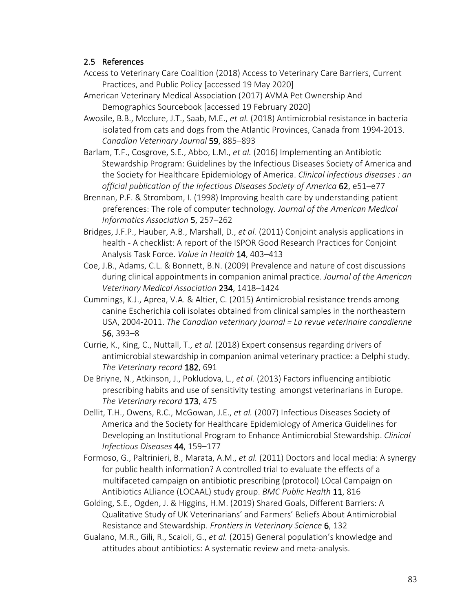# 2.5 References

- Access to Veterinary Care Coalition (2018) Access to Veterinary Care Barriers, Current Practices, and Public Policy [accessed 19 May 2020]
- American Veterinary Medical Association (2017) AVMA Pet Ownership And Demographics Sourcebook [accessed 19 February 2020]
- Awosile, B.B., Mcclure, J.T., Saab, M.E., *et al.* (2018) Antimicrobial resistance in bacteria isolated from cats and dogs from the Atlantic Provinces, Canada from 1994-2013. *Canadian Veterinary Journal* 59, 885–893
- Barlam, T.F., Cosgrove, S.E., Abbo, L.M., *et al.* (2016) Implementing an Antibiotic Stewardship Program: Guidelines by the Infectious Diseases Society of America and the Society for Healthcare Epidemiology of America. *Clinical infectious diseases : an official publication of the Infectious Diseases Society of America* 62, e51–e77
- Brennan, P.F. & Strombom, I. (1998) Improving health care by understanding patient preferences: The role of computer technology. *Journal of the American Medical Informatics Association* 5, 257–262
- Bridges, J.F.P., Hauber, A.B., Marshall, D., *et al.* (2011) Conjoint analysis applications in health - A checklist: A report of the ISPOR Good Research Practices for Conjoint Analysis Task Force. *Value in Health* 14, 403–413
- Coe, J.B., Adams, C.L. & Bonnett, B.N. (2009) Prevalence and nature of cost discussions during clinical appointments in companion animal practice. *Journal of the American Veterinary Medical Association* 234, 1418–1424
- Cummings, K.J., Aprea, V.A. & Altier, C. (2015) Antimicrobial resistance trends among canine Escherichia coli isolates obtained from clinical samples in the northeastern USA, 2004-2011. *The Canadian veterinary journal = La revue veterinaire canadienne* 56, 393–8
- Currie, K., King, C., Nuttall, T., *et al.* (2018) Expert consensus regarding drivers of antimicrobial stewardship in companion animal veterinary practice: a Delphi study. *The Veterinary record* 182, 691
- De Briyne, N., Atkinson, J., Pokludova, L., *et al.* (2013) Factors influencing antibiotic prescribing habits and use of sensitivity testing amongst veterinarians in Europe. *The Veterinary record* 173, 475
- Dellit, T.H., Owens, R.C., McGowan, J.E., *et al.* (2007) Infectious Diseases Society of America and the Society for Healthcare Epidemiology of America Guidelines for Developing an Institutional Program to Enhance Antimicrobial Stewardship. *Clinical Infectious Diseases* 44, 159–177
- Formoso, G., Paltrinieri, B., Marata, A.M., *et al.* (2011) Doctors and local media: A synergy for public health information? A controlled trial to evaluate the effects of a multifaceted campaign on antibiotic prescribing (protocol) LOcal Campaign on Antibiotics ALliance (LOCAAL) study group. *BMC Public Health* 11, 816
- Golding, S.E., Ogden, J. & Higgins, H.M. (2019) Shared Goals, Different Barriers: A Qualitative Study of UK Veterinarians' and Farmers' Beliefs About Antimicrobial Resistance and Stewardship. *Frontiers in Veterinary Science* 6, 132
- Gualano, M.R., Gili, R., Scaioli, G., *et al.* (2015) General population's knowledge and attitudes about antibiotics: A systematic review and meta-analysis.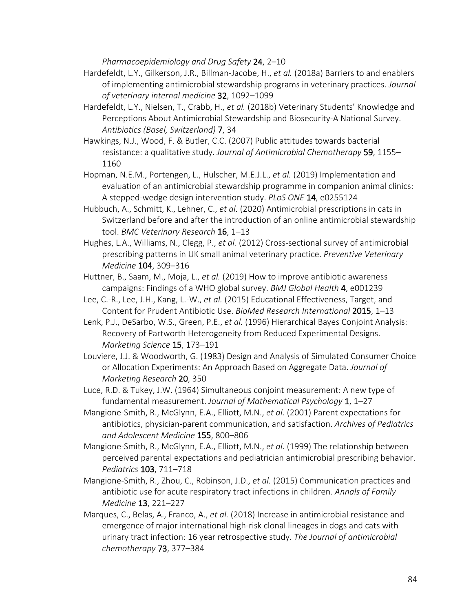*Pharmacoepidemiology and Drug Safety* 24, 2–10

- Hardefeldt, L.Y., Gilkerson, J.R., Billman-Jacobe, H., *et al.* (2018a) Barriers to and enablers of implementing antimicrobial stewardship programs in veterinary practices. *Journal of veterinary internal medicine* 32, 1092–1099
- Hardefeldt, L.Y., Nielsen, T., Crabb, H., *et al.* (2018b) Veterinary Students' Knowledge and Perceptions About Antimicrobial Stewardship and Biosecurity-A National Survey. *Antibiotics (Basel, Switzerland)* 7, 34
- Hawkings, N.J., Wood, F. & Butler, C.C. (2007) Public attitudes towards bacterial resistance: a qualitative study. *Journal of Antimicrobial Chemotherapy* 59, 1155– 1160
- Hopman, N.E.M., Portengen, L., Hulscher, M.E.J.L., *et al.* (2019) Implementation and evaluation of an antimicrobial stewardship programme in companion animal clinics: A stepped-wedge design intervention study. *PLoS ONE* 14, e0255124
- Hubbuch, A., Schmitt, K., Lehner, C., *et al.* (2020) Antimicrobial prescriptions in cats in Switzerland before and after the introduction of an online antimicrobial stewardship tool. *BMC Veterinary Research* 16, 1–13
- Hughes, L.A., Williams, N., Clegg, P., *et al.* (2012) Cross-sectional survey of antimicrobial prescribing patterns in UK small animal veterinary practice. *Preventive Veterinary Medicine* 104, 309–316
- Huttner, B., Saam, M., Moja, L., *et al.* (2019) How to improve antibiotic awareness campaigns: Findings of a WHO global survey. *BMJ Global Health* 4, e001239
- Lee, C.-R., Lee, J.H., Kang, L.-W., *et al.* (2015) Educational Effectiveness, Target, and Content for Prudent Antibiotic Use. *BioMed Research International* 2015, 1–13
- Lenk, P.J., DeSarbo, W.S., Green, P.E., *et al.* (1996) Hierarchical Bayes Conjoint Analysis: Recovery of Partworth Heterogeneity from Reduced Experimental Designs. *Marketing Science* 15, 173–191
- Louviere, J.J. & Woodworth, G. (1983) Design and Analysis of Simulated Consumer Choice or Allocation Experiments: An Approach Based on Aggregate Data. *Journal of Marketing Research* 20, 350
- Luce, R.D. & Tukey, J.W. (1964) Simultaneous conjoint measurement: A new type of fundamental measurement. *Journal of Mathematical Psychology* 1, 1–27
- Mangione-Smith, R., McGlynn, E.A., Elliott, M.N., *et al.* (2001) Parent expectations for antibiotics, physician-parent communication, and satisfaction. *Archives of Pediatrics and Adolescent Medicine* 155, 800–806
- Mangione-Smith, R., McGlynn, E.A., Elliott, M.N., *et al.* (1999) The relationship between perceived parental expectations and pediatrician antimicrobial prescribing behavior. *Pediatrics* 103, 711–718
- Mangione-Smith, R., Zhou, C., Robinson, J.D., *et al.* (2015) Communication practices and antibiotic use for acute respiratory tract infections in children. *Annals of Family Medicine* 13, 221–227
- Marques, C., Belas, A., Franco, A., *et al.* (2018) Increase in antimicrobial resistance and emergence of major international high-risk clonal lineages in dogs and cats with urinary tract infection: 16 year retrospective study. *The Journal of antimicrobial chemotherapy* 73, 377–384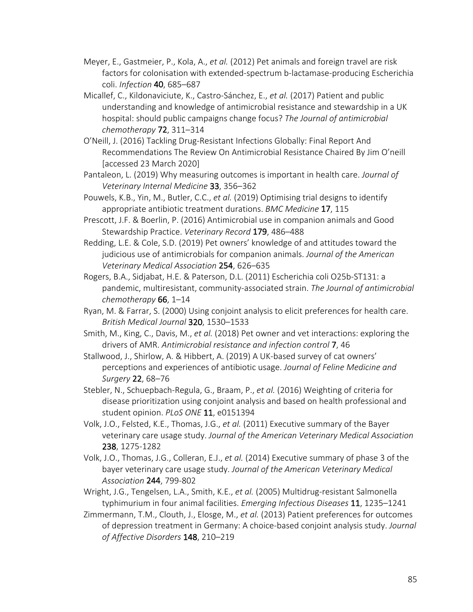- Meyer, E., Gastmeier, P., Kola, A., *et al.* (2012) Pet animals and foreign travel are risk factors for colonisation with extended-spectrum b-lactamase-producing Escherichia coli. *Infection* 40, 685–687
- Micallef, C., Kildonaviciute, K., Castro-Sánchez, E., *et al.* (2017) Patient and public understanding and knowledge of antimicrobial resistance and stewardship in a UK hospital: should public campaigns change focus? *The Journal of antimicrobial chemotherapy* 72, 311–314
- O'Neill, J. (2016) Tackling Drug-Resistant Infections Globally: Final Report And Recommendations The Review On Antimicrobial Resistance Chaired By Jim O'neill [accessed 23 March 2020]
- Pantaleon, L. (2019) Why measuring outcomes is important in health care. *Journal of Veterinary Internal Medicine* 33, 356–362
- Pouwels, K.B., Yin, M., Butler, C.C., *et al.* (2019) Optimising trial designs to identify appropriate antibiotic treatment durations. *BMC Medicine* 17, 115
- Prescott, J.F. & Boerlin, P. (2016) Antimicrobial use in companion animals and Good Stewardship Practice. *Veterinary Record* 179, 486–488
- Redding, L.E. & Cole, S.D. (2019) Pet owners' knowledge of and attitudes toward the judicious use of antimicrobials for companion animals. *Journal of the American Veterinary Medical Association* 254, 626–635
- Rogers, B.A., Sidjabat, H.E. & Paterson, D.L. (2011) Escherichia coli O25b-ST131: a pandemic, multiresistant, community-associated strain. *The Journal of antimicrobial chemotherapy* 66, 1–14
- Ryan, M. & Farrar, S. (2000) Using conjoint analysis to elicit preferences for health care. *British Medical Journal* 320, 1530–1533
- Smith, M., King, C., Davis, M., *et al.* (2018) Pet owner and vet interactions: exploring the drivers of AMR. *Antimicrobial resistance and infection control* 7, 46
- Stallwood, J., Shirlow, A. & Hibbert, A. (2019) A UK-based survey of cat owners' perceptions and experiences of antibiotic usage. *Journal of Feline Medicine and Surgery* 22, 68–76
- Stebler, N., Schuepbach-Regula, G., Braam, P., *et al.* (2016) Weighting of criteria for disease prioritization using conjoint analysis and based on health professional and student opinion. *PLoS ONE* 11, e0151394
- Volk, J.O., Felsted, K.E., Thomas, J.G., *et al.* (2011) Executive summary of the Bayer veterinary care usage study. *Journal of the American Veterinary Medical Association* 238, 1275-1282
- Volk, J.O., Thomas, J.G., Colleran, E.J., *et al.* (2014) Executive summary of phase 3 of the bayer veterinary care usage study. *Journal of the American Veterinary Medical Association* 244, 799-802
- Wright, J.G., Tengelsen, L.A., Smith, K.E., *et al.* (2005) Multidrug-resistant Salmonella typhimurium in four animal facilities. *Emerging Infectious Diseases* 11, 1235–1241
- Zimmermann, T.M., Clouth, J., Elosge, M., *et al.* (2013) Patient preferences for outcomes of depression treatment in Germany: A choice-based conjoint analysis study. *Journal of Affective Disorders* 148, 210–219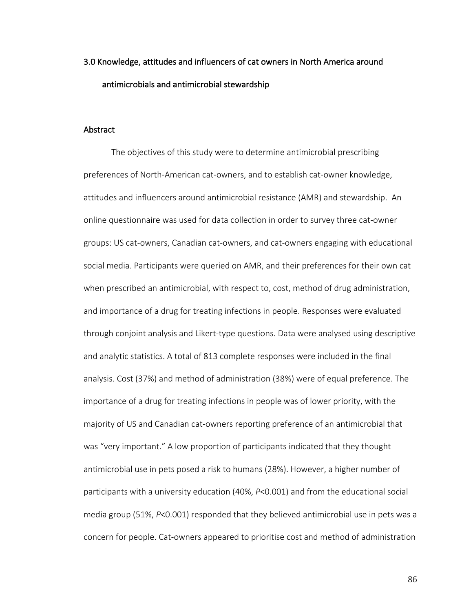# 3.0 Knowledge, attitudes and influencers of cat owners in North America around antimicrobials and antimicrobial stewardship

## Abstract

The objectives of this study were to determine antimicrobial prescribing preferences of North-American cat-owners, and to establish cat-owner knowledge, attitudes and influencers around antimicrobial resistance (AMR) and stewardship. An online questionnaire was used for data collection in order to survey three cat-owner groups: US cat-owners, Canadian cat-owners, and cat-owners engaging with educational social media. Participants were queried on AMR, and their preferences for their own cat when prescribed an antimicrobial, with respect to, cost, method of drug administration, and importance of a drug for treating infections in people. Responses were evaluated through conjoint analysis and Likert-type questions. Data were analysed using descriptive and analytic statistics. A total of 813 complete responses were included in the final analysis. Cost (37%) and method of administration (38%) were of equal preference. The importance of a drug for treating infections in people was of lower priority, with the majority of US and Canadian cat-owners reporting preference of an antimicrobial that was "very important." A low proportion of participants indicated that they thought antimicrobial use in pets posed a risk to humans (28%). However, a higher number of participants with a university education (40%, *P*<0.001) and from the educational social media group (51%, *P*<0.001) responded that they believed antimicrobial use in pets was a concern for people. Cat-owners appeared to prioritise cost and method of administration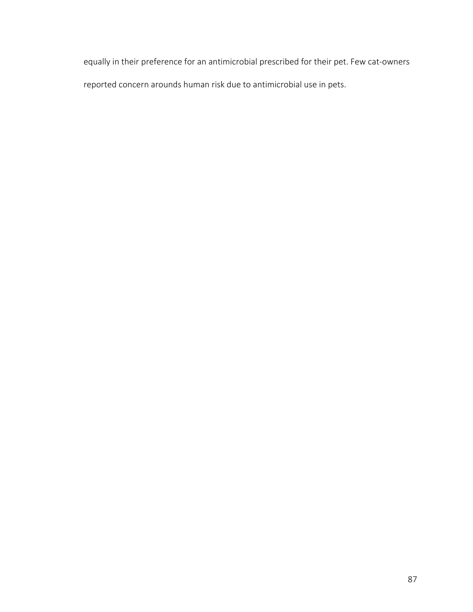equally in their preference for an antimicrobial prescribed for their pet. Few cat-owners reported concern arounds human risk due to antimicrobial use in pets.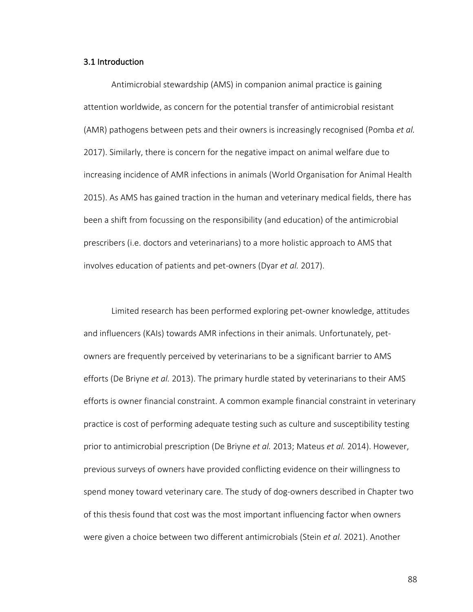## 3.1 Introduction

Antimicrobial stewardship (AMS) in companion animal practice is gaining attention worldwide, as concern for the potential transfer of antimicrobial resistant (AMR) pathogens between pets and their owners is increasingly recognised (Pomba *et al.* 2017). Similarly, there is concern for the negative impact on animal welfare due to increasing incidence of AMR infections in animals (World Organisation for Animal Health 2015). As AMS has gained traction in the human and veterinary medical fields, there has been a shift from focussing on the responsibility (and education) of the antimicrobial prescribers (i.e. doctors and veterinarians) to a more holistic approach to AMS that involves education of patients and pet-owners (Dyar *et al.* 2017).

Limited research has been performed exploring pet-owner knowledge, attitudes and influencers (KAIs) towards AMR infections in their animals. Unfortunately, petowners are frequently perceived by veterinarians to be a significant barrier to AMS efforts (De Briyne *et al.* 2013). The primary hurdle stated by veterinarians to their AMS efforts is owner financial constraint. A common example financial constraint in veterinary practice is cost of performing adequate testing such as culture and susceptibility testing prior to antimicrobial prescription (De Briyne *et al.* 2013; Mateus *et al.* 2014). However, previous surveys of owners have provided conflicting evidence on their willingness to spend money toward veterinary care. The study of dog-owners described in Chapter two of this thesis found that cost was the most important influencing factor when owners were given a choice between two different antimicrobials (Stein *et al.* 2021). Another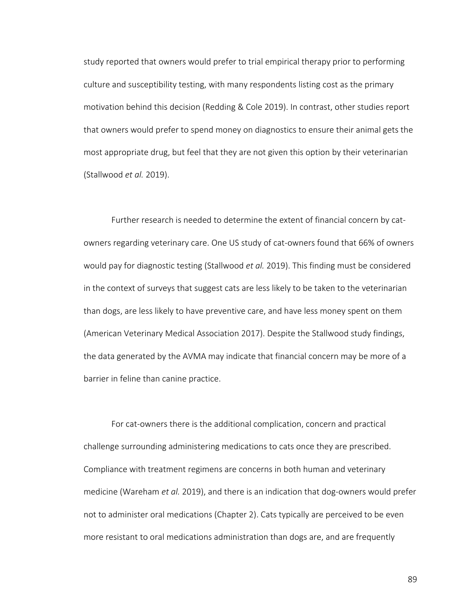study reported that owners would prefer to trial empirical therapy prior to performing culture and susceptibility testing, with many respondents listing cost as the primary motivation behind this decision (Redding & Cole 2019). In contrast, other studies report that owners would prefer to spend money on diagnostics to ensure their animal gets the most appropriate drug, but feel that they are not given this option by their veterinarian (Stallwood *et al.* 2019).

Further research is needed to determine the extent of financial concern by catowners regarding veterinary care. One US study of cat-owners found that 66% of owners would pay for diagnostic testing (Stallwood *et al.* 2019). This finding must be considered in the context of surveys that suggest cats are less likely to be taken to the veterinarian than dogs, are less likely to have preventive care, and have less money spent on them (American Veterinary Medical Association 2017). Despite the Stallwood study findings, the data generated by the AVMA may indicate that financial concern may be more of a barrier in feline than canine practice.

For cat-owners there is the additional complication, concern and practical challenge surrounding administering medications to cats once they are prescribed. Compliance with treatment regimens are concerns in both human and veterinary medicine (Wareham *et al.* 2019), and there is an indication that dog-owners would prefer not to administer oral medications (Chapter 2). Cats typically are perceived to be even more resistant to oral medications administration than dogs are, and are frequently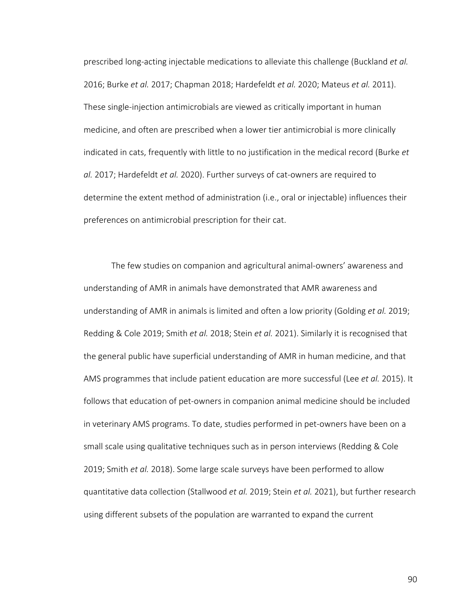prescribed long-acting injectable medications to alleviate this challenge (Buckland *et al.* 2016; Burke *et al.* 2017; Chapman 2018; Hardefeldt *et al.* 2020; Mateus *et al.* 2011). These single-injection antimicrobials are viewed as critically important in human medicine, and often are prescribed when a lower tier antimicrobial is more clinically indicated in cats, frequently with little to no justification in the medical record (Burke *et al.* 2017; Hardefeldt *et al.* 2020). Further surveys of cat-owners are required to determine the extent method of administration (i.e., oral or injectable) influences their preferences on antimicrobial prescription for their cat.

The few studies on companion and agricultural animal-owners' awareness and understanding of AMR in animals have demonstrated that AMR awareness and understanding of AMR in animals is limited and often a low priority (Golding *et al.* 2019; Redding & Cole 2019; Smith *et al.* 2018; Stein *et al.* 2021). Similarly it is recognised that the general public have superficial understanding of AMR in human medicine, and that AMS programmes that include patient education are more successful (Lee *et al.* 2015). It follows that education of pet-owners in companion animal medicine should be included in veterinary AMS programs. To date, studies performed in pet-owners have been on a small scale using qualitative techniques such as in person interviews (Redding & Cole 2019; Smith *et al.* 2018). Some large scale surveys have been performed to allow quantitative data collection (Stallwood *et al.* 2019; Stein *et al.* 2021), but further research using different subsets of the population are warranted to expand the current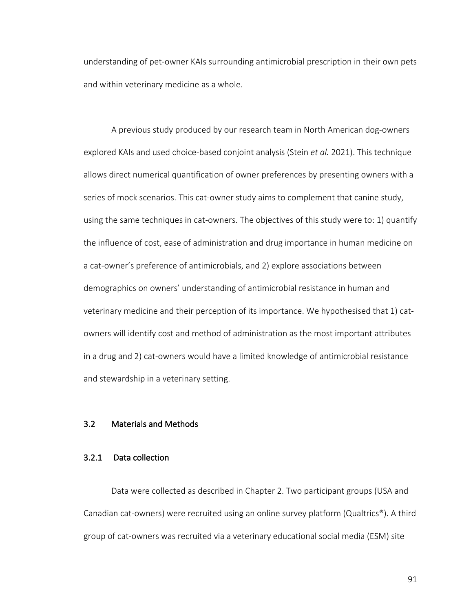understanding of pet-owner KAIs surrounding antimicrobial prescription in their own pets and within veterinary medicine as a whole.

A previous study produced by our research team in North American dog-owners explored KAIs and used choice-based conjoint analysis (Stein *et al.* 2021). This technique allows direct numerical quantification of owner preferences by presenting owners with a series of mock scenarios. This cat-owner study aims to complement that canine study, using the same techniques in cat-owners. The objectives of this study were to: 1) quantify the influence of cost, ease of administration and drug importance in human medicine on a cat-owner's preference of antimicrobials, and 2) explore associations between demographics on owners' understanding of antimicrobial resistance in human and veterinary medicine and their perception of its importance. We hypothesised that 1) catowners will identify cost and method of administration as the most important attributes in a drug and 2) cat-owners would have a limited knowledge of antimicrobial resistance and stewardship in a veterinary setting.

# 3.2 Materials and Methods

## 3.2.1 Data collection

Data were collected as described in Chapter 2. Two participant groups (USA and Canadian cat-owners) were recruited using an online survey platform (Qualtrics®). A third group of cat-owners was recruited via a veterinary educational social media (ESM) site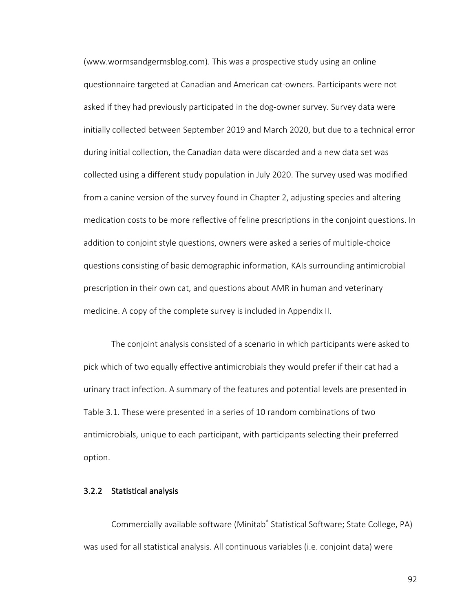(www.wormsandgermsblog.com). This was a prospective study using an online questionnaire targeted at Canadian and American cat-owners. Participants were not asked if they had previously participated in the dog-owner survey. Survey data were initially collected between September 2019 and March 2020, but due to a technical error during initial collection, the Canadian data were discarded and a new data set was collected using a different study population in July 2020. The survey used was modified from a canine version of the survey found in Chapter 2, adjusting species and altering medication costs to be more reflective of feline prescriptions in the conjoint questions. In addition to conjoint style questions, owners were asked a series of multiple-choice questions consisting of basic demographic information, KAIs surrounding antimicrobial prescription in their own cat, and questions about AMR in human and veterinary medicine. A copy of the complete survey is included in Appendix II.

The conjoint analysis consisted of a scenario in which participants were asked to pick which of two equally effective antimicrobials they would prefer if their cat had a urinary tract infection. A summary of the features and potential levels are presented in Table 3.1. These were presented in a series of 10 random combinations of two antimicrobials, unique to each participant, with participants selecting their preferred option.

# 3.2.2 Statistical analysis

Commercially available software (Minitab® Statistical Software; State College, PA) was used for all statistical analysis. All continuous variables (i.e. conjoint data) were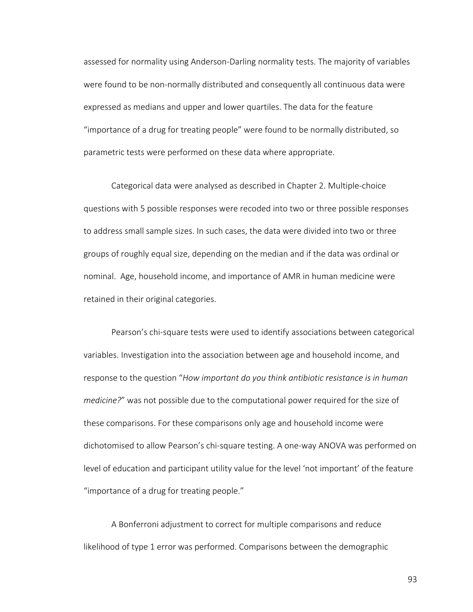assessed for normality using Anderson-Darling normality tests. The majority of variables were found to be non-normally distributed and consequently all continuous data were expressed as medians and upper and lower quartiles. The data for the feature "importance of a drug for treating people" were found to be normally distributed, so parametric tests were performed on these data where appropriate.

Categorical data were analysed as described in Chapter 2. Multiple-choice questions with 5 possible responses were recoded into two or three possible responses to address small sample sizes. In such cases, the data were divided into two or three groups of roughly equal size, depending on the median and if the data was ordinal or nominal. Age, household income, and importance of AMR in human medicine were retained in their original categories.

Pearson's chi-square tests were used to identify associations between categorical variables. Investigation into the association between age and household income, and response to the question "*How important do you think antibiotic resistance is in human medicine?*" was not possible due to the computational power required for the size of these comparisons. For these comparisons only age and household income were dichotomised to allow Pearson's chi-square testing. A one-way ANOVA was performed on level of education and participant utility value for the level 'not important' of the feature "importance of a drug for treating people."

A Bonferroni adjustment to correct for multiple comparisons and reduce likelihood of type 1 error was performed. Comparisons between the demographic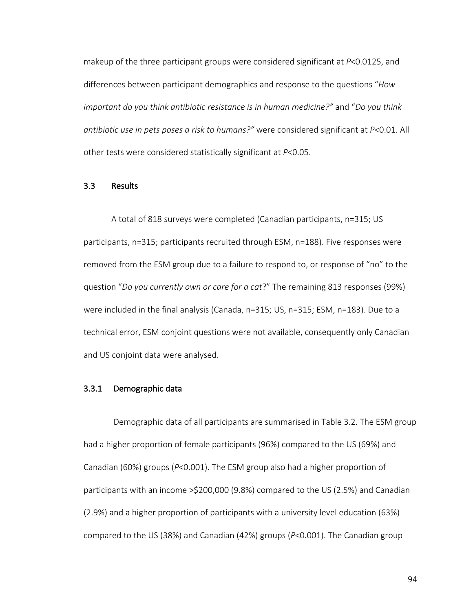makeup of the three participant groups were considered significant at *P*<0.0125, and differences between participant demographics and response to the questions "*How important do you think antibiotic resistance is in human medicine?"* and "*Do you think antibiotic use in pets poses a risk to humans?"* were considered significant at *P<*0.01. All other tests were considered statistically significant at *P*<0.05.

#### 3.3 Results

A total of 818 surveys were completed (Canadian participants, n=315; US participants, n=315; participants recruited through ESM, n=188). Five responses were removed from the ESM group due to a failure to respond to, or response of "no" to the question "*Do you currently own or care for a cat*?" The remaining 813 responses (99%) were included in the final analysis (Canada, n=315; US, n=315; ESM, n=183). Due to a technical error, ESM conjoint questions were not available, consequently only Canadian and US conjoint data were analysed.

# 3.3.1 Demographic data

Demographic data of all participants are summarised in Table 3.2. The ESM group had a higher proportion of female participants (96%) compared to the US (69%) and Canadian (60%) groups (*P*<0.001). The ESM group also had a higher proportion of participants with an income >\$200,000 (9.8%) compared to the US (2.5%) and Canadian (2.9%) and a higher proportion of participants with a university level education (63%) compared to the US (38%) and Canadian (42%) groups (*P*<0.001). The Canadian group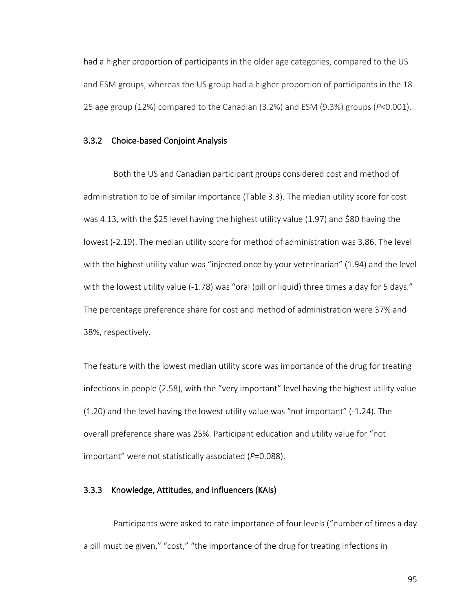had a higher proportion of participants in the older age categories, compared to the US and ESM groups, whereas the US group had a higher proportion of participants in the 18- 25 age group (12%) compared to the Canadian (3.2%) and ESM (9.3%) groups (*P*<0.001).

#### 3.3.2 Choice-based Conjoint Analysis

Both the US and Canadian participant groups considered cost and method of administration to be of similar importance (Table 3.3). The median utility score for cost was 4.13, with the \$25 level having the highest utility value (1.97) and \$80 having the lowest (-2.19). The median utility score for method of administration was 3.86. The level with the highest utility value was "injected once by your veterinarian" (1.94) and the level with the lowest utility value (-1.78) was "oral (pill or liquid) three times a day for 5 days." The percentage preference share for cost and method of administration were 37% and 38%, respectively.

The feature with the lowest median utility score was importance of the drug for treating infections in people (2.58), with the "very important" level having the highest utility value (1.20) and the level having the lowest utility value was "not important" (-1.24). The overall preference share was 25%. Participant education and utility value for "not important" were not statistically associated (*P*=0.088).

#### 3.3.3 Knowledge, Attitudes, and Influencers (KAIs)

Participants were asked to rate importance of four levels ("number of times a day a pill must be given," "cost," "the importance of the drug for treating infections in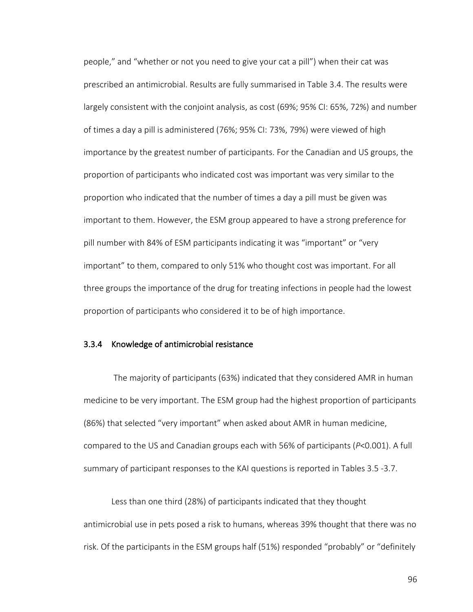people," and "whether or not you need to give your cat a pill") when their cat was prescribed an antimicrobial. Results are fully summarised in Table 3.4. The results were largely consistent with the conjoint analysis, as cost (69%; 95% CI: 65%, 72%) and number of times a day a pill is administered (76%; 95% CI: 73%, 79%) were viewed of high importance by the greatest number of participants. For the Canadian and US groups, the proportion of participants who indicated cost was important was very similar to the proportion who indicated that the number of times a day a pill must be given was important to them. However, the ESM group appeared to have a strong preference for pill number with 84% of ESM participants indicating it was "important" or "very important" to them, compared to only 51% who thought cost was important. For all three groups the importance of the drug for treating infections in people had the lowest proportion of participants who considered it to be of high importance.

### 3.3.4 Knowledge of antimicrobial resistance

 The majority of participants (63%) indicated that they considered AMR in human medicine to be very important. The ESM group had the highest proportion of participants (86%) that selected "very important" when asked about AMR in human medicine, compared to the US and Canadian groups each with 56% of participants (*P*<0.001). A full summary of participant responses to the KAI questions is reported in Tables 3.5 -3.7.

Less than one third (28%) of participants indicated that they thought antimicrobial use in pets posed a risk to humans, whereas 39% thought that there was no risk. Of the participants in the ESM groups half (51%) responded "probably" or "definitely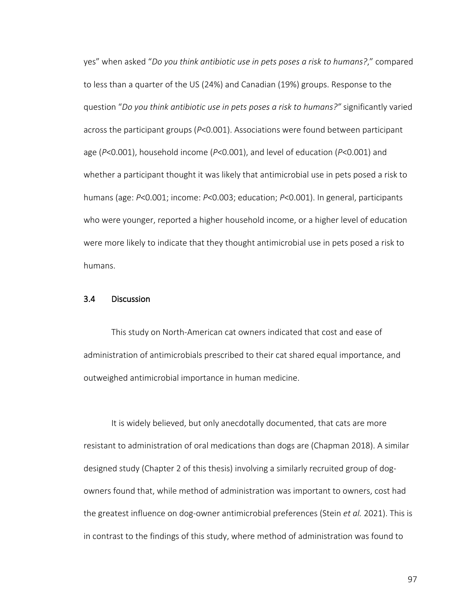yes" when asked "*Do you think antibiotic use in pets poses a risk to humans?*," compared to less than a quarter of the US (24%) and Canadian (19%) groups. Response to the question "*Do you think antibiotic use in pets poses a risk to humans?"* significantly varied across the participant groups (*P*<0.001). Associations were found between participant age (*P*<0.001), household income (*P*<0.001), and level of education (*P*<0.001) and whether a participant thought it was likely that antimicrobial use in pets posed a risk to humans (age: *P*<0.001; income: *P*<0.003; education; *P*<0.001). In general, participants who were younger, reported a higher household income, or a higher level of education were more likely to indicate that they thought antimicrobial use in pets posed a risk to humans.

### 3.4 Discussion

This study on North-American cat owners indicated that cost and ease of administration of antimicrobials prescribed to their cat shared equal importance, and outweighed antimicrobial importance in human medicine.

It is widely believed, but only anecdotally documented, that cats are more resistant to administration of oral medications than dogs are (Chapman 2018). A similar designed study (Chapter 2 of this thesis) involving a similarly recruited group of dogowners found that, while method of administration was important to owners, cost had the greatest influence on dog-owner antimicrobial preferences (Stein *et al.* 2021). This is in contrast to the findings of this study, where method of administration was found to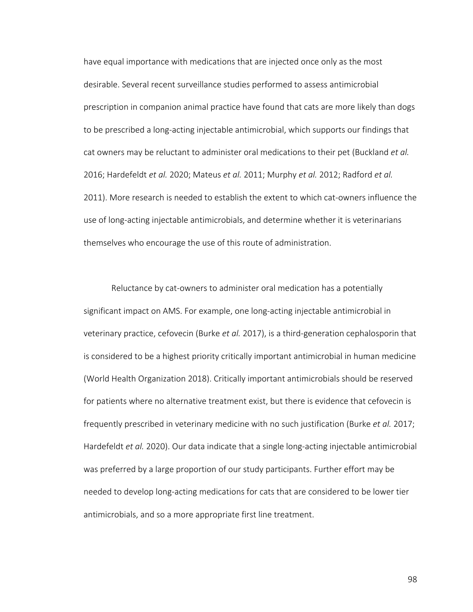have equal importance with medications that are injected once only as the most desirable. Several recent surveillance studies performed to assess antimicrobial prescription in companion animal practice have found that cats are more likely than dogs to be prescribed a long-acting injectable antimicrobial, which supports our findings that cat owners may be reluctant to administer oral medications to their pet (Buckland *et al.* 2016; Hardefeldt *et al.* 2020; Mateus *et al.* 2011; Murphy *et al.* 2012; Radford *et al.* 2011). More research is needed to establish the extent to which cat-owners influence the use of long-acting injectable antimicrobials, and determine whether it is veterinarians themselves who encourage the use of this route of administration.

Reluctance by cat-owners to administer oral medication has a potentially significant impact on AMS. For example, one long-acting injectable antimicrobial in veterinary practice, cefovecin (Burke *et al.* 2017), is a third-generation cephalosporin that is considered to be a highest priority critically important antimicrobial in human medicine (World Health Organization 2018). Critically important antimicrobials should be reserved for patients where no alternative treatment exist, but there is evidence that cefovecin is frequently prescribed in veterinary medicine with no such justification (Burke *et al.* 2017; Hardefeldt *et al.* 2020). Our data indicate that a single long-acting injectable antimicrobial was preferred by a large proportion of our study participants. Further effort may be needed to develop long-acting medications for cats that are considered to be lower tier antimicrobials, and so a more appropriate first line treatment.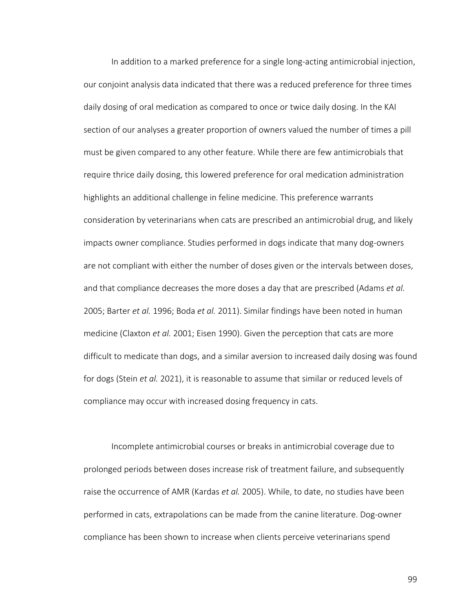In addition to a marked preference for a single long-acting antimicrobial injection, our conjoint analysis data indicated that there was a reduced preference for three times daily dosing of oral medication as compared to once or twice daily dosing. In the KAI section of our analyses a greater proportion of owners valued the number of times a pill must be given compared to any other feature. While there are few antimicrobials that require thrice daily dosing, this lowered preference for oral medication administration highlights an additional challenge in feline medicine. This preference warrants consideration by veterinarians when cats are prescribed an antimicrobial drug, and likely impacts owner compliance. Studies performed in dogs indicate that many dog-owners are not compliant with either the number of doses given or the intervals between doses, and that compliance decreases the more doses a day that are prescribed (Adams *et al.* 2005; Barter *et al.* 1996; Boda *et al.* 2011). Similar findings have been noted in human medicine (Claxton *et al.* 2001; Eisen 1990). Given the perception that cats are more difficult to medicate than dogs, and a similar aversion to increased daily dosing was found for dogs (Stein *et al.* 2021), it is reasonable to assume that similar or reduced levels of compliance may occur with increased dosing frequency in cats.

Incomplete antimicrobial courses or breaks in antimicrobial coverage due to prolonged periods between doses increase risk of treatment failure, and subsequently raise the occurrence of AMR (Kardas *et al.* 2005). While, to date, no studies have been performed in cats, extrapolations can be made from the canine literature. Dog-owner compliance has been shown to increase when clients perceive veterinarians spend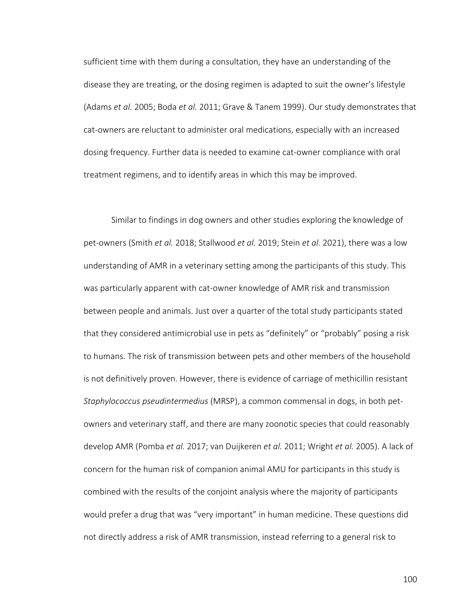sufficient time with them during a consultation, they have an understanding of the disease they are treating, or the dosing regimen is adapted to suit the owner's lifestyle (Adams *et al.* 2005; Boda *et al.* 2011; Grave & Tanem 1999). Our study demonstrates that cat-owners are reluctant to administer oral medications, especially with an increased dosing frequency. Further data is needed to examine cat-owner compliance with oral treatment regimens, and to identify areas in which this may be improved.

Similar to findings in dog owners and other studies exploring the knowledge of pet-owners (Smith *et al.* 2018; Stallwood *et al.* 2019; Stein *et al.* 2021), there was a low understanding of AMR in a veterinary setting among the participants of this study. This was particularly apparent with cat-owner knowledge of AMR risk and transmission between people and animals. Just over a quarter of the total study participants stated that they considered antimicrobial use in pets as "definitely" or "probably" posing a risk to humans. The risk of transmission between pets and other members of the household is not definitively proven. However, there is evidence of carriage of methicillin resistant *Staphylococcus pseudintermedius* (MRSP), a common commensal in dogs, in both petowners and veterinary staff, and there are many zoonotic species that could reasonably develop AMR (Pomba *et al.* 2017; van Duijkeren *et al.* 2011; Wright *et al.* 2005). A lack of concern for the human risk of companion animal AMU for participants in this study is combined with the results of the conjoint analysis where the majority of participants would prefer a drug that was "very important" in human medicine. These questions did not directly address a risk of AMR transmission, instead referring to a general risk to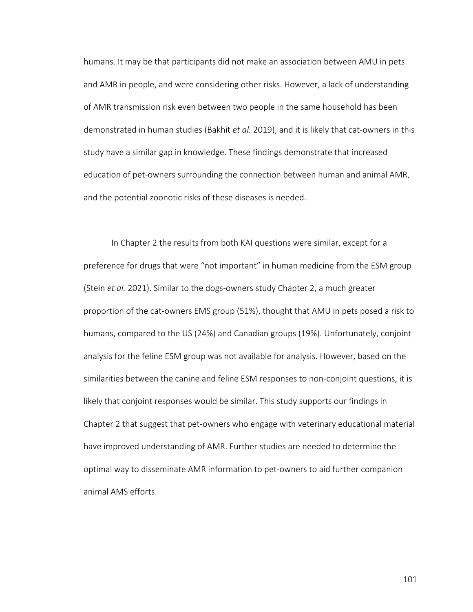humans. It may be that participants did not make an association between AMU in pets and AMR in people, and were considering other risks. However, a lack of understanding of AMR transmission risk even between two people in the same household has been demonstrated in human studies (Bakhit *et al.* 2019), and it is likely that cat-owners in this study have a similar gap in knowledge. These findings demonstrate that increased education of pet-owners surrounding the connection between human and animal AMR, and the potential zoonotic risks of these diseases is needed.

In Chapter 2 the results from both KAI questions were similar, except for a preference for drugs that were "not important" in human medicine from the ESM group (Stein *et al.* 2021). Similar to the dogs-owners study Chapter 2, a much greater proportion of the cat-owners EMS group (51%), thought that AMU in pets posed a risk to humans, compared to the US (24%) and Canadian groups (19%). Unfortunately, conjoint analysis for the feline ESM group was not available for analysis. However, based on the similarities between the canine and feline ESM responses to non-conjoint questions, it is likely that conjoint responses would be similar. This study supports our findings in Chapter 2 that suggest that pet-owners who engage with veterinary educational material have improved understanding of AMR. Further studies are needed to determine the optimal way to disseminate AMR information to pet-owners to aid further companion animal AMS efforts.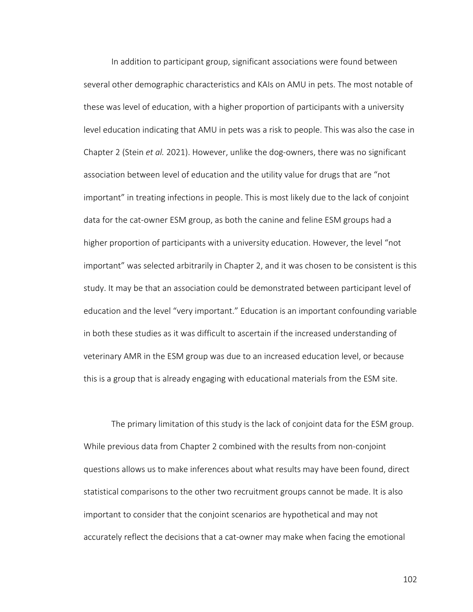In addition to participant group, significant associations were found between several other demographic characteristics and KAIs on AMU in pets. The most notable of these was level of education, with a higher proportion of participants with a university level education indicating that AMU in pets was a risk to people. This was also the case in Chapter 2 (Stein *et al.* 2021). However, unlike the dog-owners, there was no significant association between level of education and the utility value for drugs that are "not important" in treating infections in people. This is most likely due to the lack of conjoint data for the cat-owner ESM group, as both the canine and feline ESM groups had a higher proportion of participants with a university education. However, the level "not important" was selected arbitrarily in Chapter 2, and it was chosen to be consistent is this study. It may be that an association could be demonstrated between participant level of education and the level "very important." Education is an important confounding variable in both these studies as it was difficult to ascertain if the increased understanding of veterinary AMR in the ESM group was due to an increased education level, or because this is a group that is already engaging with educational materials from the ESM site.

The primary limitation of this study is the lack of conjoint data for the ESM group. While previous data from Chapter 2 combined with the results from non-conjoint questions allows us to make inferences about what results may have been found, direct statistical comparisons to the other two recruitment groups cannot be made. It is also important to consider that the conjoint scenarios are hypothetical and may not accurately reflect the decisions that a cat-owner may make when facing the emotional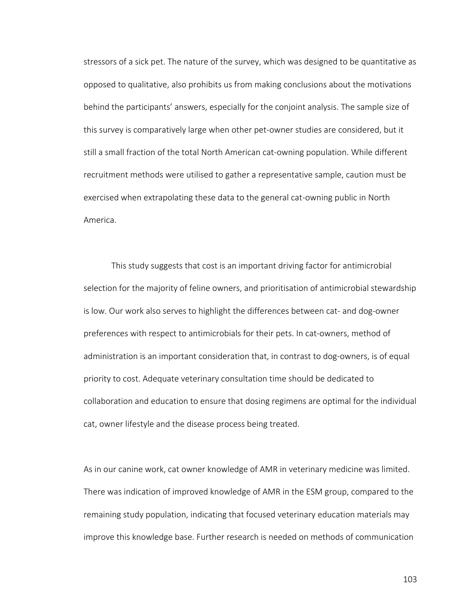stressors of a sick pet. The nature of the survey, which was designed to be quantitative as opposed to qualitative, also prohibits us from making conclusions about the motivations behind the participants' answers, especially for the conjoint analysis. The sample size of this survey is comparatively large when other pet-owner studies are considered, but it still a small fraction of the total North American cat-owning population. While different recruitment methods were utilised to gather a representative sample, caution must be exercised when extrapolating these data to the general cat-owning public in North America.

This study suggests that cost is an important driving factor for antimicrobial selection for the majority of feline owners, and prioritisation of antimicrobial stewardship is low. Our work also serves to highlight the differences between cat- and dog-owner preferences with respect to antimicrobials for their pets. In cat-owners, method of administration is an important consideration that, in contrast to dog-owners, is of equal priority to cost. Adequate veterinary consultation time should be dedicated to collaboration and education to ensure that dosing regimens are optimal for the individual cat, owner lifestyle and the disease process being treated.

As in our canine work, cat owner knowledge of AMR in veterinary medicine was limited. There was indication of improved knowledge of AMR in the ESM group, compared to the remaining study population, indicating that focused veterinary education materials may improve this knowledge base. Further research is needed on methods of communication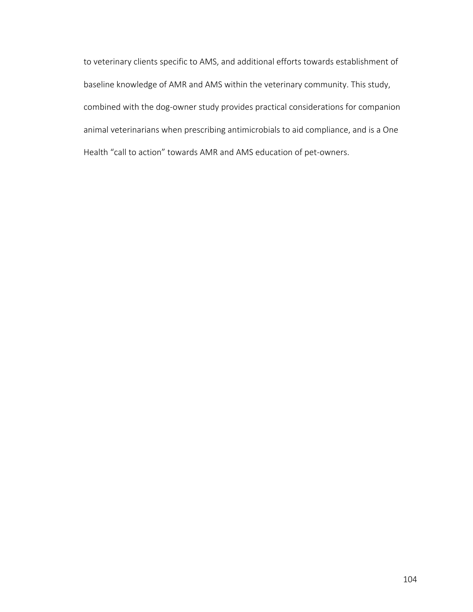to veterinary clients specific to AMS, and additional efforts towards establishment of baseline knowledge of AMR and AMS within the veterinary community. This study, combined with the dog-owner study provides practical considerations for companion animal veterinarians when prescribing antimicrobials to aid compliance, and is a One Health "call to action" towards AMR and AMS education of pet-owners.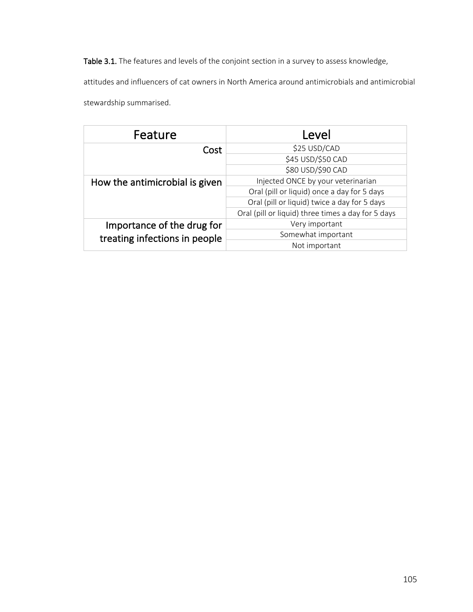Table 3.1. The features and levels of the conjoint section in a survey to assess knowledge,

attitudes and influencers of cat owners in North America around antimicrobials and antimicrobial

stewardship summarised.

| Feature                        | Level                                              |  |
|--------------------------------|----------------------------------------------------|--|
| Cost                           | \$25 USD/CAD                                       |  |
|                                | \$45 USD/\$50 CAD                                  |  |
|                                | \$80 USD/\$90 CAD                                  |  |
| How the antimicrobial is given | Injected ONCE by your veterinarian                 |  |
|                                | Oral (pill or liquid) once a day for 5 days        |  |
|                                | Oral (pill or liquid) twice a day for 5 days       |  |
|                                | Oral (pill or liquid) three times a day for 5 days |  |
| Importance of the drug for     | Very important                                     |  |
| treating infections in people  | Somewhat important                                 |  |
|                                | Not important                                      |  |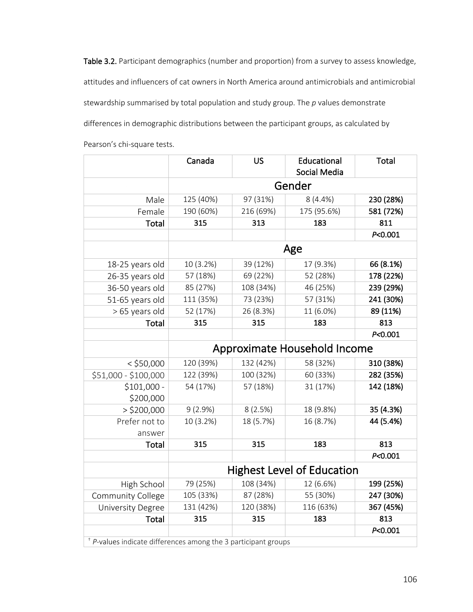Table 3.2. Participant demographics (number and proportion) from a survey to assess knowledge, attitudes and influencers of cat owners in North America around antimicrobials and antimicrobial stewardship summarised by total population and study group. The *p* values demonstrate differences in demographic distributions between the participant groups, as calculated by

|                                                                  | Canada                            | <b>US</b> | Educational<br>Social Media  | <b>Total</b> |  |  |
|------------------------------------------------------------------|-----------------------------------|-----------|------------------------------|--------------|--|--|
|                                                                  | Gender                            |           |                              |              |  |  |
| Male                                                             | 125 (40%)                         | 97 (31%)  | $8(4.4\%)$                   | 230 (28%)    |  |  |
| Female                                                           | 190 (60%)                         | 216 (69%) | 175 (95.6%)                  | 581 (72%)    |  |  |
| <b>Total</b>                                                     | 315                               | 313       | 183                          | 811          |  |  |
|                                                                  |                                   |           |                              | P<0.001      |  |  |
|                                                                  |                                   |           | Age                          |              |  |  |
| 18-25 years old                                                  | 10 (3.2%)                         | 39 (12%)  | 17 (9.3%)                    | 66 (8.1%)    |  |  |
| 26-35 years old                                                  | 57 (18%)                          | 69 (22%)  | 52 (28%)                     | 178 (22%)    |  |  |
| 36-50 years old                                                  | 85 (27%)                          | 108 (34%) | 46 (25%)                     | 239 (29%)    |  |  |
| 51-65 years old                                                  | 111 (35%)                         | 73 (23%)  | 57 (31%)                     | 241 (30%)    |  |  |
| > 65 years old                                                   | 52 (17%)                          | 26 (8.3%) | 11 (6.0%)                    | 89 (11%)     |  |  |
| Total                                                            | 315                               | 315       | 183                          | 813          |  |  |
|                                                                  |                                   |           |                              | P < 0.001    |  |  |
|                                                                  |                                   |           | Approximate Household Income |              |  |  |
| $<$ \$50,000                                                     | 120 (39%)                         | 132 (42%) | 58 (32%)                     | 310 (38%)    |  |  |
| \$51,000 - \$100,000                                             | 122 (39%)                         | 100 (32%) | 60 (33%)                     | 282 (35%)    |  |  |
| $$101,000 -$<br>\$200,000                                        | 54 (17%)                          | 57 (18%)  | 31 (17%)                     | 142 (18%)    |  |  |
| $>$ \$200,000                                                    | $9(2.9\%)$                        | 8(2.5%)   | 18 (9.8%)                    | 35 (4.3%)    |  |  |
| Prefer not to                                                    | 10 (3.2%)                         | 18 (5.7%) | 16 (8.7%)                    | 44 (5.4%)    |  |  |
| answer                                                           |                                   |           |                              |              |  |  |
| Total                                                            | 315                               | 315       | 183                          | 813          |  |  |
|                                                                  |                                   |           |                              | P < 0.001    |  |  |
|                                                                  | <b>Highest Level of Education</b> |           |                              |              |  |  |
| High School                                                      | 79 (25%)                          | 108 (34%) | 12 (6.6%)                    | 199 (25%)    |  |  |
| Community College                                                | 105 (33%)                         | 87 (28%)  | 55 (30%)                     | 247 (30%)    |  |  |
| <b>University Degree</b>                                         | 131 (42%)                         | 120 (38%) | 116 (63%)                    | 367 (45%)    |  |  |
| Total                                                            | 315                               | 315       | 183                          | 813          |  |  |
|                                                                  |                                   |           |                              | P<0.001      |  |  |
| $+$ P-values indicate differences among the 3 participant groups |                                   |           |                              |              |  |  |

Pearson's chi-square tests.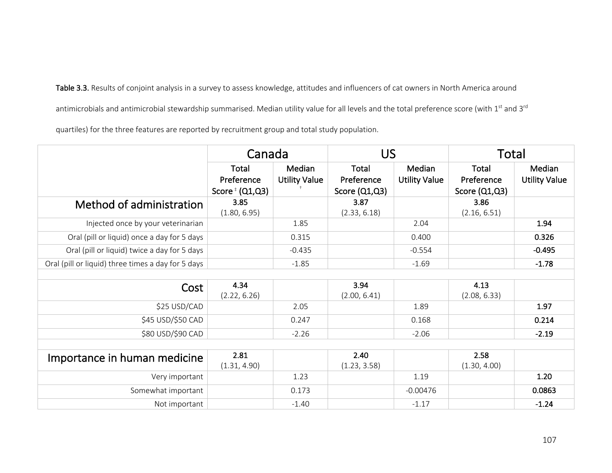Table 3.3. Results of conjoint analysis in a survey to assess knowledge, attitudes and influencers of cat owners in North America around antimicrobials and antimicrobial stewardship summarised. Median utility value for all levels and the total preference score (with 1<sup>st</sup> and 3<sup>rd</sup> quartiles) for the three features are reported by recruitment group and total study population.

CanadaUSTotalTotal Preference Score ${}^{\text{\tiny{\textup{\tiny{\textup{i}}}}}}$  (Q1,Q3) Median Utility Value † Total Preference Score (Q1,Q3) Median Utility Value **Total** Preference Score (Q1,Q3) Median Utility Value Method of administration  $\vert$  3.85 (1.80, 6.95) 3.87 (2.33, 6.18) 3.86 (2.16, 6.51) Injected once by your veterinarian  $\vert$  1.85  $\vert$  1.85  $\vert$  2.04  $\vert$  1.94 1.94 Oral (pill or liquid) once a day for 5 days **0.315** 0.315 0.400 0.400 **0.326** Oral (pill or liquid) twice a day for 5 days -0.435 -0.554 -0.495 Oral (pill or liquid) three times a day for 5 days  $-1.85$  -1.85 -1.69 -1.69 -1.78  $Cost$  4.34 (2.22, 6.26) 3.94 (2.00, 6.41) 4.13 (2.08, 6.33) \$25 USD/CAD 2.05 1.89 1.97 \$45 USD/\$50 CAD **0.247** 0.247 0.247 0.247 0.168 0.168 0.214  $$80$  USD/\$90 CAD  $$2.26$  -2.26  $$2.26$  -2.06  $$2.19$ Importance in human medicine  $\frac{2.81}{2.81}$ (1.31, 4.90) 2.40 (1.23, 3.58) 2.58 (1.30, 4.00) Very important 1.23 1.19 1.20 Somewhat important | 1 0.173 | 0.00476 | 0.00563 Not important  $-1.40$   $-1.17$   $-1.17$   $-1.24$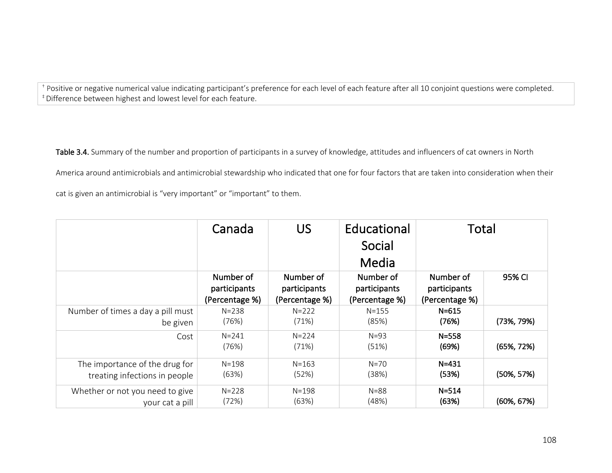<sup>†</sup> Positive or negative numerical value indicating participant's preference for each level of each feature after all 10 conjoint questions were completed. ‡ Difference between highest and lowest level for each feature.

Table 3.4. Summary of the number and proportion of participants in a survey of knowledge, attitudes and influencers of cat owners in North America around antimicrobials and antimicrobial stewardship who indicated that one for four factors that are taken into consideration when their cat is given an antimicrobial is "very important" or "important" to them.

|                                   | Canada                                      | <b>US</b>                                   | Educational<br>Social<br>Media              | Total                                       |                |
|-----------------------------------|---------------------------------------------|---------------------------------------------|---------------------------------------------|---------------------------------------------|----------------|
|                                   | Number of<br>participants<br>(Percentage %) | Number of<br>participants<br>(Percentage %) | Number of<br>participants<br>(Percentage %) | Number of<br>participants<br>(Percentage %) | 95% CI         |
| Number of times a day a pill must | $N = 238$                                   | $N = 222$                                   | $N = 155$                                   | $N = 615$                                   | $(73\%, 79\%)$ |
| be given                          | (76%)                                       | (71%)                                       | (85%)                                       | (76%)                                       |                |
| Cost                              | $N = 241$<br>(76%)                          | $N = 224$<br>(71%)                          | $N=93$<br>(51%)                             | $N = 558$<br>(69%)                          | $(65\%, 72\%)$ |
| The importance of the drug for    | $N = 198$                                   | $N = 163$                                   | $N = 70$                                    | $N = 431$                                   | $(50\%, 57\%)$ |
| treating infections in people     | (63%)                                       | (52%)                                       | (38%)                                       | (53%)                                       |                |
| Whether or not you need to give   | $N = 228$                                   | $N = 198$                                   | $N = 88$                                    | $N = 514$                                   | $(60\%, 67\%)$ |
| your cat a pill                   | (72%)                                       | (63%)                                       | (48%)                                       | (63%)                                       |                |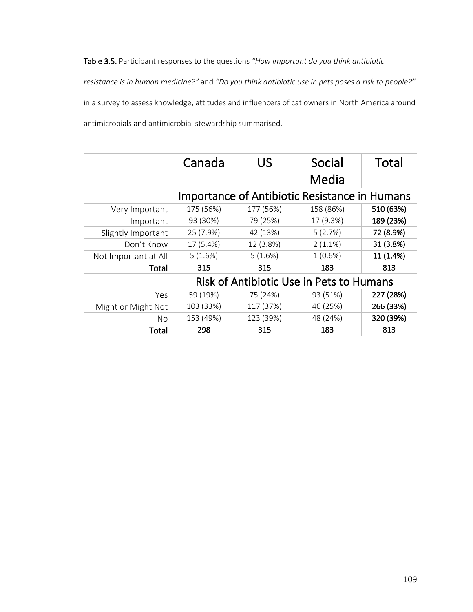Table 3.5. Participant responses to the questions *"How important do you think antibiotic* 

*resistance is in human medicine?"* and *"Do you think antibiotic use in pets poses a risk to people?"* in a survey to assess knowledge, attitudes and influencers of cat owners in North America around antimicrobials and antimicrobial stewardship summarised.

|                      | Canada    | US        | Social<br>Media                                      | Total     |
|----------------------|-----------|-----------|------------------------------------------------------|-----------|
|                      |           |           | <b>Importance of Antibiotic Resistance in Humans</b> |           |
| Very Important       | 175 (56%) | 177 (56%) | 158 (86%)                                            | 510 (63%) |
| Important            | 93 (30%)  | 79 (25%)  | 17 (9.3%)                                            | 189 (23%) |
| Slightly Important   | 25 (7.9%) | 42 (13%)  | 5(2.7%)                                              | 72 (8.9%) |
| Don't Know           | 17 (5.4%) | 12 (3.8%) | $2(1.1\%)$                                           | 31 (3.8%) |
| Not Important at All | 5(1.6%)   | 5(1.6%)   | 1(0.6%)                                              | 11 (1.4%) |
| Total                | 315       | 315       | 183                                                  | 813       |
|                      |           |           | Risk of Antibiotic Use in Pets to Humans             |           |
| Yes                  | 59 (19%)  | 75 (24%)  | 93 (51%)                                             | 227 (28%) |
| Might or Might Not   | 103 (33%) | 117 (37%) | 46 (25%)                                             | 266 (33%) |
| No                   | 153 (49%) | 123 (39%) | 48 (24%)                                             | 320 (39%) |
| Total                | 298       | 315       | 183                                                  | 813       |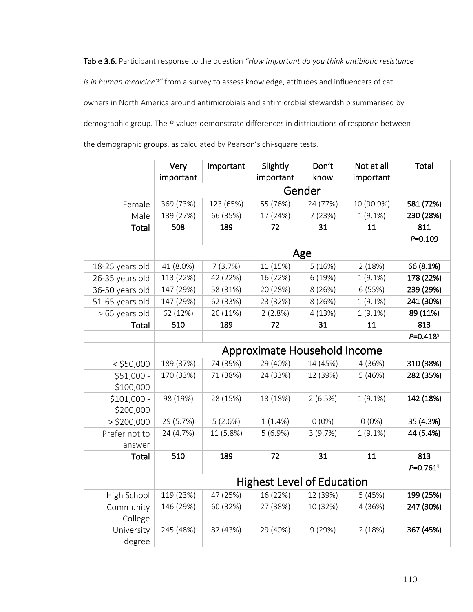Table 3.6. Participant response to the question *"How important do you think antibiotic resistance is in human medicine?"* from a survey to assess knowledge, attitudes and influencers of cat owners in North America around antimicrobials and antimicrobial stewardship summarised by demographic group. The *P*-values demonstrate differences in distributions of response between the demographic groups, as calculated by Pearson's chi-square tests.

|                      | Very<br>important                 | Important | Slightly<br>important        | Don't<br>know | Not at all<br>important | Total                    |
|----------------------|-----------------------------------|-----------|------------------------------|---------------|-------------------------|--------------------------|
|                      |                                   | Gender    |                              |               |                         |                          |
| Female               | 369 (73%)                         | 123 (65%) | 55 (76%)                     | 24 (77%)      | 10 (90.9%)              | 581 (72%)                |
| Male                 | 139 (27%)                         | 66 (35%)  | 17 (24%)                     | 7(23%)        | $1(9.1\%)$              | 230 (28%)                |
| Total                | 508                               | 189       | 72                           | 31            | 11                      | 811                      |
|                      |                                   |           |                              |               |                         | $P = 0.109$              |
|                      |                                   |           |                              | Age           |                         |                          |
| 18-25 years old      | 41 (8.0%)                         | 7(3.7%)   | 11 (15%)                     | 5(16%)        | 2(18%)                  | 66 (8.1%)                |
| 26-35 years old      | 113 (22%)                         | 42 (22%)  | 16 (22%)                     | 6 (19%)       | 1(9.1%)                 | 178 (22%)                |
| 36-50 years old      | 147 (29%)                         | 58 (31%)  | 20 (28%)                     | 8 (26%)       | 6(55%)                  | 239 (29%)                |
| 51-65 years old      | 147 (29%)                         | 62 (33%)  | 23 (32%)                     | 8 (26%)       | $1(9.1\%)$              | 241 (30%)                |
| > 65 years old       | 62 (12%)                          | 20 (11%)  | 2(2.8%)                      | 4(13%)        | $1(9.1\%)$              | 89 (11%)                 |
| Total                | 510                               | 189       | 72                           | 31            | 11                      | 813                      |
|                      |                                   |           |                              |               |                         | $P = 0.418$              |
|                      |                                   |           | Approximate Household Income |               |                         |                          |
| $<$ \$50,000         | 189 (37%)                         | 74 (39%)  | 29 (40%)                     | 14 (45%)      | 4 (36%)                 | 310 (38%)                |
| $$51,000 -$          | 170 (33%)                         | 71 (38%)  | 24 (33%)                     | 12 (39%)      | 5(46%)                  | 282 (35%)                |
| \$100,000            |                                   |           |                              |               |                         |                          |
| $$101,000 -$         | 98 (19%)                          | 28 (15%)  | 13 (18%)                     | 2(6.5%)       | $1(9.1\%)$              | 142 (18%)                |
| \$200,000            |                                   |           |                              |               |                         |                          |
| $>$ \$200,000        | 29 (5.7%)                         | 5(2.6%)   | 1(1.4%)                      | $0(0\%)$      | $0(0\%)$                | 35 (4.3%)                |
| Prefer not to        | 24 (4.7%)                         | 11 (5.8%) | 5(6.9%)                      | 3(9.7%)       | $1(9.1\%)$              | 44 (5.4%)                |
| answer               |                                   |           |                              |               |                         |                          |
| Total                | 510                               | 189       | 72                           | 31            | 11                      | 813                      |
|                      |                                   |           |                              |               |                         | $P = 0.761$ <sup>§</sup> |
|                      | <b>Highest Level of Education</b> |           |                              |               |                         |                          |
| High School          | 119 (23%)                         | 47 (25%)  | 16 (22%)                     | 12 (39%)      | 5(45%)                  | 199 (25%)                |
| Community<br>College | 146 (29%)                         | 60 (32%)  | 27 (38%)                     | 10 (32%)      | 4 (36%)                 | 247 (30%)                |
| University<br>degree | 245 (48%)                         | 82 (43%)  | 29 (40%)                     | 9(29%)        | 2(18%)                  | 367 (45%)                |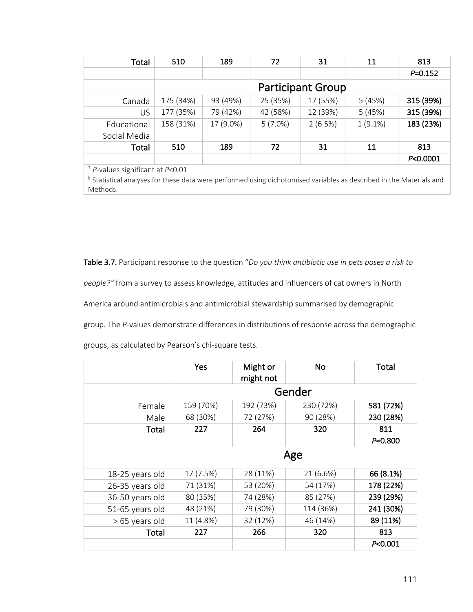| Total                       | 510       | 189                      | 72         | 31       | 11         | 813         |
|-----------------------------|-----------|--------------------------|------------|----------|------------|-------------|
|                             |           |                          |            |          |            | $P = 0.152$ |
|                             |           | <b>Participant Group</b> |            |          |            |             |
| Canada                      | 175 (34%) | 93 (49%)                 | 25 (35%)   | 17 (55%) | 5(45%)     | 315 (39%)   |
| US                          | 177 (35%) | 79 (42%)                 | 42 (58%)   | 12 (39%) | 5(45%)     | 315 (39%)   |
| Educational<br>Social Media | 158 (31%) | 17 (9.0%)                | $5(7.0\%)$ | 2(6.5%)  | $1(9.1\%)$ | 183 (23%)   |
| Total                       | 510       | 189                      | 72         | 31       | 11         | 813         |
|                             |           |                          |            |          |            | P<0.0001    |

† *P*-values significant at *P*<0.01

§ Statistical analyses for these data were performed using dichotomised variables as described in the Materials and Methods.

Table 3.7. Participant response to the question "*Do you think antibiotic use in pets poses a risk to people?"* from a survey to assess knowledge, attitudes and influencers of cat owners in North America around antimicrobials and antimicrobial stewardship summarised by demographic group. The *P*-values demonstrate differences in distributions of response across the demographic

groups, as calculated by Pearson's chi-square tests.

|                 | Yes       | Might or<br>might not | <b>No</b> | Total       |  |
|-----------------|-----------|-----------------------|-----------|-------------|--|
|                 |           |                       | Gender    |             |  |
| Female          | 159 (70%) | 192 (73%)             | 230 (72%) | 581 (72%)   |  |
| Male            | 68 (30%)  | 72 (27%)              | 90 (28%)  | 230 (28%)   |  |
| Total           | 227       | 264                   | 320       | 811         |  |
|                 |           |                       |           | $P = 0.800$ |  |
|                 |           | Age                   |           |             |  |
| 18-25 years old | 17 (7.5%) | 28 (11%)              | 21 (6.6%) | 66 (8.1%)   |  |
| 26-35 years old | 71 (31%)  | 53 (20%)              | 54 (17%)  | 178 (22%)   |  |
| 36-50 years old | 80 (35%)  | 74 (28%)              | 85 (27%)  | 239 (29%)   |  |
| 51-65 years old | 48 (21%)  | 79 (30%)              | 114 (36%) | 241 (30%)   |  |
| > 65 years old  | 11 (4.8%) | 32 (12%)              | 46 (14%)  | 89 (11%)    |  |
| Total           | 227       | 266                   | 320       | 813         |  |
|                 |           |                       |           | P < 0.001   |  |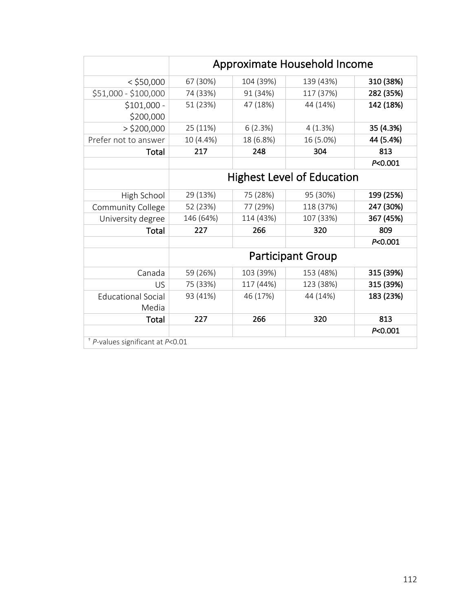|                                    | Approximate Household Income |           |                                   |           |
|------------------------------------|------------------------------|-----------|-----------------------------------|-----------|
| $<$ \$50,000                       | 67 (30%)                     | 104 (39%) | 139 (43%)                         | 310 (38%) |
| \$51,000 - \$100,000               | 74 (33%)                     | 91 (34%)  | 117 (37%)                         | 282 (35%) |
| $$101,000 -$                       | 51 (23%)                     | 47 (18%)  | 44 (14%)                          | 142 (18%) |
| \$200,000                          |                              |           |                                   |           |
| $>$ \$200,000                      | 25 (11%)                     | 6(2.3%)   | 4(1.3%)                           | 35 (4.3%) |
| Prefer not to answer               | 10 (4.4%)                    | 18 (6.8%) | 16 (5.0%)                         | 44 (5.4%) |
| Total                              | 217                          | 248       | 304                               | 813       |
|                                    |                              |           |                                   | P<0.001   |
|                                    |                              |           | <b>Highest Level of Education</b> |           |
| High School                        | 29 (13%)                     | 75 (28%)  | 95 (30%)                          | 199 (25%) |
| <b>Community College</b>           | 52 (23%)                     | 77 (29%)  | 118 (37%)                         | 247 (30%) |
| University degree                  | 146 (64%)                    | 114 (43%) | 107 (33%)                         | 367 (45%) |
| Total                              | 227                          | 266       | 320                               | 809       |
|                                    |                              |           |                                   | P<0.001   |
|                                    |                              |           | <b>Participant Group</b>          |           |
| Canada                             | 59 (26%)                     | 103 (39%) | 153 (48%)                         | 315 (39%) |
| US                                 | 75 (33%)                     | 117 (44%) | 123 (38%)                         | 315 (39%) |
| <b>Educational Social</b><br>Media | 93 (41%)                     | 46 (17%)  | 44 (14%)                          | 183 (23%) |
| <b>Total</b>                       | 227                          | 266       | 320                               | 813       |
|                                    |                              |           |                                   | P<0.001   |
| $+$ P-values significant at P<0.01 |                              |           |                                   |           |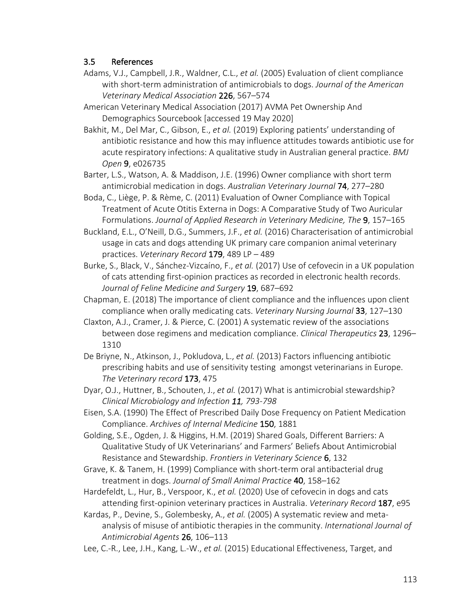## 3.5 References

- Adams, V.J., Campbell, J.R., Waldner, C.L., *et al.* (2005) Evaluation of client compliance with short-term administration of antimicrobials to dogs. *Journal of the American Veterinary Medical Association* 226, 567–574
- American Veterinary Medical Association (2017) AVMA Pet Ownership And Demographics Sourcebook [accessed 19 May 2020]

Bakhit, M., Del Mar, C., Gibson, E., *et al.* (2019) Exploring patients' understanding of antibiotic resistance and how this may influence attitudes towards antibiotic use for acute respiratory infections: A qualitative study in Australian general practice. *BMJ Open* 9, e026735

Barter, L.S., Watson, A. & Maddison, J.E. (1996) Owner compliance with short term antimicrobial medication in dogs. *Australian Veterinary Journal* 74, 277–280

Boda, C., Liège, P. & Rème, C. (2011) Evaluation of Owner Compliance with Topical Treatment of Acute Otitis Externa in Dogs: A Comparative Study of Two Auricular Formulations. *Journal of Applied Research in Veterinary Medicine, The* 9, 157–165

Buckland, E.L., O'Neill, D.G., Summers, J.F., *et al.* (2016) Characterisation of antimicrobial usage in cats and dogs attending UK primary care companion animal veterinary practices. *Veterinary Record* 179, 489 LP – 489

Burke, S., Black, V., Sánchez-Vizcaíno, F., *et al.* (2017) Use of cefovecin in a UK population of cats attending first-opinion practices as recorded in electronic health records. *Journal of Feline Medicine and Surgery* 19, 687–692

Chapman, E. (2018) The importance of client compliance and the influences upon client compliance when orally medicating cats. *Veterinary Nursing Journal* 33, 127–130

- Claxton, A.J., Cramer, J. & Pierce, C. (2001) A systematic review of the associations between dose regimens and medication compliance. *Clinical Therapeutics* 23, 1296– 1310
- De Briyne, N., Atkinson, J., Pokludova, L., *et al.* (2013) Factors influencing antibiotic prescribing habits and use of sensitivity testing amongst veterinarians in Europe. *The Veterinary record* 173, 475

Dyar, O.J., Huttner, B., Schouten, J., *et al.* (2017) What is antimicrobial stewardship? *Clinical Microbiology and Infection 11, 793-798*

Eisen, S.A. (1990) The Effect of Prescribed Daily Dose Frequency on Patient Medication Compliance. *Archives of Internal Medicine* 150, 1881

Golding, S.E., Ogden, J. & Higgins, H.M. (2019) Shared Goals, Different Barriers: A Qualitative Study of UK Veterinarians' and Farmers' Beliefs About Antimicrobial Resistance and Stewardship. *Frontiers in Veterinary Science* 6, 132

Grave, K. & Tanem, H. (1999) Compliance with short-term oral antibacterial drug treatment in dogs. *Journal of Small Animal Practice* 40, 158–162

Hardefeldt, L., Hur, B., Verspoor, K., *et al.* (2020) Use of cefovecin in dogs and cats attending first-opinion veterinary practices in Australia. *Veterinary Record* 187, e95

Kardas, P., Devine, S., Golembesky, A., *et al.* (2005) A systematic review and metaanalysis of misuse of antibiotic therapies in the community. *International Journal of Antimicrobial Agents* 26, 106–113

Lee, C.-R., Lee, J.H., Kang, L.-W., *et al.* (2015) Educational Effectiveness, Target, and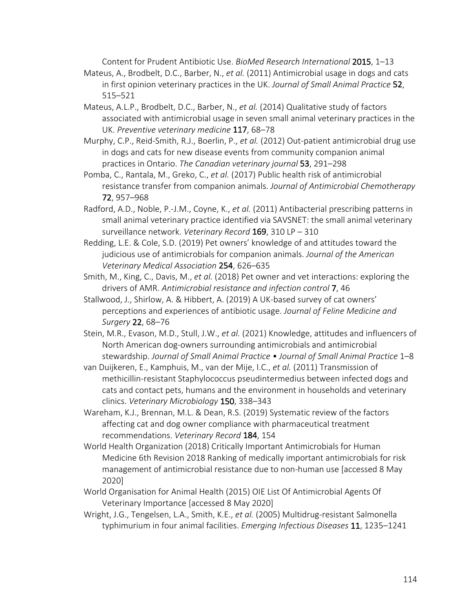Content for Prudent Antibiotic Use. *BioMed Research International* 2015, 1–13

- Mateus, A., Brodbelt, D.C., Barber, N., *et al.* (2011) Antimicrobial usage in dogs and cats in first opinion veterinary practices in the UK. *Journal of Small Animal Practice* 52, 515–521
- Mateus, A.L.P., Brodbelt, D.C., Barber, N., *et al.* (2014) Qualitative study of factors associated with antimicrobial usage in seven small animal veterinary practices in the UK. *Preventive veterinary medicine* 117, 68–78
- Murphy, C.P., Reid-Smith, R.J., Boerlin, P., *et al.* (2012) Out-patient antimicrobial drug use in dogs and cats for new disease events from community companion animal practices in Ontario. *The Canadian veterinary journal* 53, 291–298
- Pomba, C., Rantala, M., Greko, C., *et al.* (2017) Public health risk of antimicrobial resistance transfer from companion animals. *Journal of Antimicrobial Chemotherapy* 72, 957–968
- Radford, A.D., Noble, P.-J.M., Coyne, K., *et al.* (2011) Antibacterial prescribing patterns in small animal veterinary practice identified via SAVSNET: the small animal veterinary surveillance network. *Veterinary Record* 169, 310 LP – 310
- Redding, L.E. & Cole, S.D. (2019) Pet owners' knowledge of and attitudes toward the judicious use of antimicrobials for companion animals. *Journal of the American Veterinary Medical Association* 254, 626–635
- Smith, M., King, C., Davis, M., *et al.* (2018) Pet owner and vet interactions: exploring the drivers of AMR. *Antimicrobial resistance and infection control* 7, 46
- Stallwood, J., Shirlow, A. & Hibbert, A. (2019) A UK-based survey of cat owners' perceptions and experiences of antibiotic usage. *Journal of Feline Medicine and Surgery* 22, 68–76
- Stein, M.R., Evason, M.D., Stull, J.W., *et al.* (2021) Knowledge, attitudes and influencers of North American dog-owners surrounding antimicrobials and antimicrobial stewardship. *Journal of Small Animal Practice • Journal of Small Animal Practice* 1–8
- van Duijkeren, E., Kamphuis, M., van der Mije, I.C., *et al.* (2011) Transmission of methicillin-resistant Staphylococcus pseudintermedius between infected dogs and cats and contact pets, humans and the environment in households and veterinary clinics. *Veterinary Microbiology* 150, 338–343
- Wareham, K.J., Brennan, M.L. & Dean, R.S. (2019) Systematic review of the factors affecting cat and dog owner compliance with pharmaceutical treatment recommendations. *Veterinary Record* 184, 154
- World Health Organization (2018) Critically Important Antimicrobials for Human Medicine 6th Revision 2018 Ranking of medically important antimicrobials for risk management of antimicrobial resistance due to non-human use [accessed 8 May 2020]
- World Organisation for Animal Health (2015) OIE List Of Antimicrobial Agents Of Veterinary Importance [accessed 8 May 2020]
- Wright, J.G., Tengelsen, L.A., Smith, K.E., *et al.* (2005) Multidrug-resistant Salmonella typhimurium in four animal facilities. *Emerging Infectious Diseases* 11, 1235–1241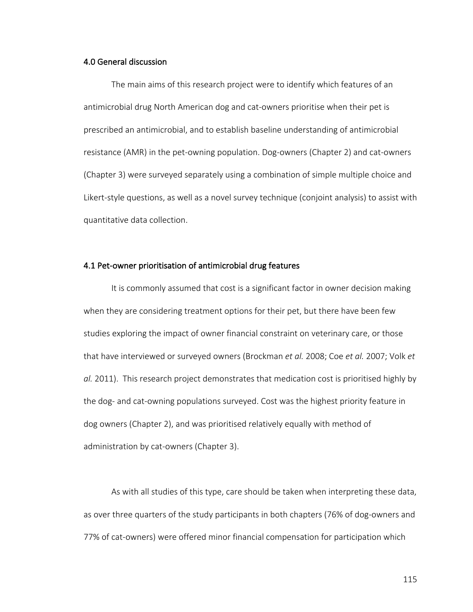### 4.0 General discussion

The main aims of this research project were to identify which features of an antimicrobial drug North American dog and cat-owners prioritise when their pet is prescribed an antimicrobial, and to establish baseline understanding of antimicrobial resistance (AMR) in the pet-owning population. Dog-owners (Chapter 2) and cat-owners (Chapter 3) were surveyed separately using a combination of simple multiple choice and Likert-style questions, as well as a novel survey technique (conjoint analysis) to assist with quantitative data collection.

#### 4.1 Pet-owner prioritisation of antimicrobial drug features

It is commonly assumed that cost is a significant factor in owner decision making when they are considering treatment options for their pet, but there have been few studies exploring the impact of owner financial constraint on veterinary care, or those that have interviewed or surveyed owners (Brockman *et al.* 2008; Coe *et al.* 2007; Volk *et al.* 2011). This research project demonstrates that medication cost is prioritised highly by the dog- and cat-owning populations surveyed. Cost was the highest priority feature in dog owners (Chapter 2), and was prioritised relatively equally with method of administration by cat-owners (Chapter 3).

As with all studies of this type, care should be taken when interpreting these data, as over three quarters of the study participants in both chapters (76% of dog-owners and 77% of cat-owners) were offered minor financial compensation for participation which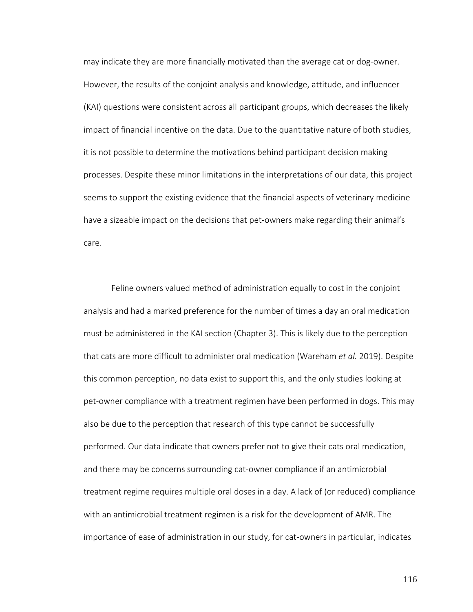may indicate they are more financially motivated than the average cat or dog-owner. However, the results of the conjoint analysis and knowledge, attitude, and influencer (KAI) questions were consistent across all participant groups, which decreases the likely impact of financial incentive on the data. Due to the quantitative nature of both studies, it is not possible to determine the motivations behind participant decision making processes. Despite these minor limitations in the interpretations of our data, this project seems to support the existing evidence that the financial aspects of veterinary medicine have a sizeable impact on the decisions that pet-owners make regarding their animal's care.

Feline owners valued method of administration equally to cost in the conjoint analysis and had a marked preference for the number of times a day an oral medication must be administered in the KAI section (Chapter 3). This is likely due to the perception that cats are more difficult to administer oral medication (Wareham *et al.* 2019). Despite this common perception, no data exist to support this, and the only studies looking at pet-owner compliance with a treatment regimen have been performed in dogs. This may also be due to the perception that research of this type cannot be successfully performed. Our data indicate that owners prefer not to give their cats oral medication, and there may be concerns surrounding cat-owner compliance if an antimicrobial treatment regime requires multiple oral doses in a day. A lack of (or reduced) compliance with an antimicrobial treatment regimen is a risk for the development of AMR. The importance of ease of administration in our study, for cat-owners in particular, indicates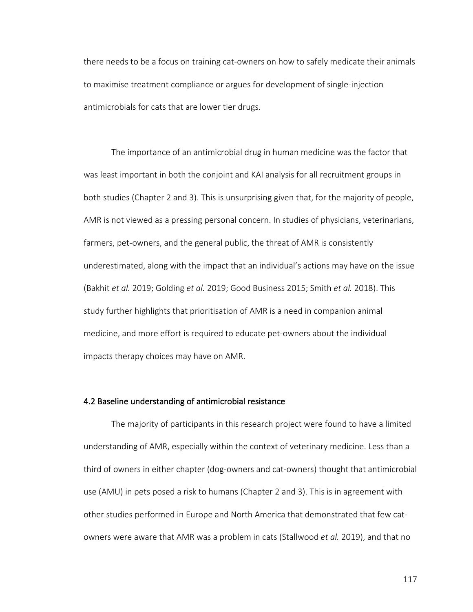there needs to be a focus on training cat-owners on how to safely medicate their animals to maximise treatment compliance or argues for development of single-injection antimicrobials for cats that are lower tier drugs.

The importance of an antimicrobial drug in human medicine was the factor that was least important in both the conjoint and KAI analysis for all recruitment groups in both studies (Chapter 2 and 3). This is unsurprising given that, for the majority of people, AMR is not viewed as a pressing personal concern. In studies of physicians, veterinarians, farmers, pet-owners, and the general public, the threat of AMR is consistently underestimated, along with the impact that an individual's actions may have on the issue (Bakhit *et al.* 2019; Golding *et al.* 2019; Good Business 2015; Smith *et al.* 2018). This study further highlights that prioritisation of AMR is a need in companion animal medicine, and more effort is required to educate pet-owners about the individual impacts therapy choices may have on AMR.

#### 4.2 Baseline understanding of antimicrobial resistance

The majority of participants in this research project were found to have a limited understanding of AMR, especially within the context of veterinary medicine. Less than a third of owners in either chapter (dog-owners and cat-owners) thought that antimicrobial use (AMU) in pets posed a risk to humans (Chapter 2 and 3). This is in agreement with other studies performed in Europe and North America that demonstrated that few catowners were aware that AMR was a problem in cats (Stallwood *et al.* 2019), and that no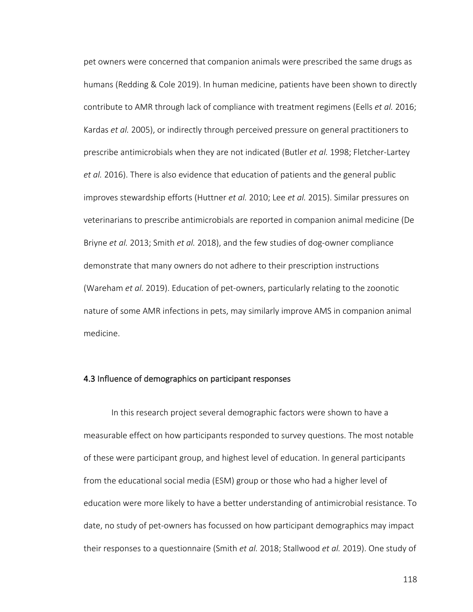pet owners were concerned that companion animals were prescribed the same drugs as humans (Redding & Cole 2019). In human medicine, patients have been shown to directly contribute to AMR through lack of compliance with treatment regimens (Eells *et al.* 2016; Kardas *et al.* 2005), or indirectly through perceived pressure on general practitioners to prescribe antimicrobials when they are not indicated (Butler *et al.* 1998; Fletcher-Lartey *et al.* 2016). There is also evidence that education of patients and the general public improves stewardship efforts (Huttner *et al.* 2010; Lee *et al.* 2015). Similar pressures on veterinarians to prescribe antimicrobials are reported in companion animal medicine (De Briyne *et al.* 2013; Smith *et al.* 2018), and the few studies of dog-owner compliance demonstrate that many owners do not adhere to their prescription instructions (Wareham *et al.* 2019). Education of pet-owners, particularly relating to the zoonotic nature of some AMR infections in pets, may similarly improve AMS in companion animal medicine.

#### 4.3 Influence of demographics on participant responses

In this research project several demographic factors were shown to have a measurable effect on how participants responded to survey questions. The most notable of these were participant group, and highest level of education. In general participants from the educational social media (ESM) group or those who had a higher level of education were more likely to have a better understanding of antimicrobial resistance. To date, no study of pet-owners has focussed on how participant demographics may impact their responses to a questionnaire (Smith *et al.* 2018; Stallwood *et al.* 2019). One study of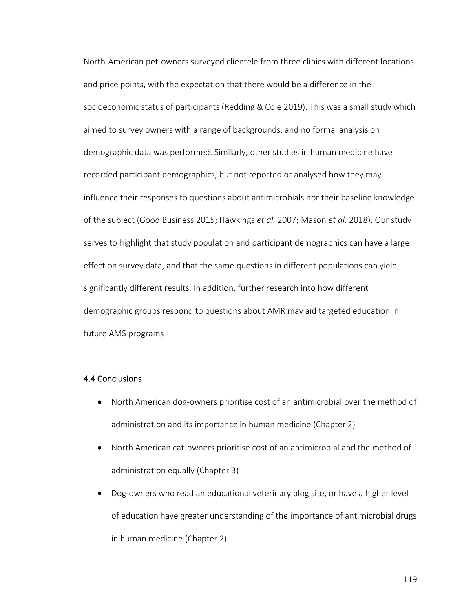North-American pet-owners surveyed clientele from three clinics with different locations and price points, with the expectation that there would be a difference in the socioeconomic status of participants (Redding & Cole 2019). This was a small study which aimed to survey owners with a range of backgrounds, and no formal analysis on demographic data was performed. Similarly, other studies in human medicine have recorded participant demographics, but not reported or analysed how they may influence their responses to questions about antimicrobials nor their baseline knowledge of the subject (Good Business 2015; Hawkings *et al.* 2007; Mason *et al.* 2018). Our study serves to highlight that study population and participant demographics can have a large effect on survey data, and that the same questions in different populations can yield significantly different results. In addition, further research into how different demographic groups respond to questions about AMR may aid targeted education in future AMS programs

## 4.4 Conclusions

- North American dog-owners prioritise cost of an antimicrobial over the method of administration and its importance in human medicine (Chapter 2)
- North American cat-owners prioritise cost of an antimicrobial and the method of administration equally (Chapter 3)
- Dog-owners who read an educational veterinary blog site, or have a higher level of education have greater understanding of the importance of antimicrobial drugs in human medicine (Chapter 2)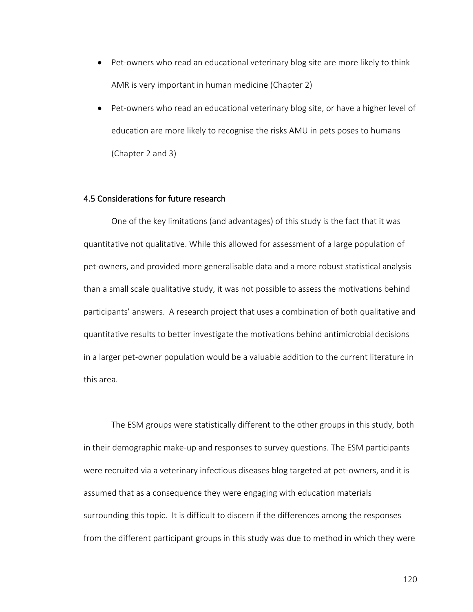- Pet-owners who read an educational veterinary blog site are more likely to think AMR is very important in human medicine (Chapter 2)
- Pet-owners who read an educational veterinary blog site, or have a higher level of education are more likely to recognise the risks AMU in pets poses to humans (Chapter 2 and 3)

#### 4.5 Considerations for future research

One of the key limitations (and advantages) of this study is the fact that it was quantitative not qualitative. While this allowed for assessment of a large population of pet-owners, and provided more generalisable data and a more robust statistical analysis than a small scale qualitative study, it was not possible to assess the motivations behind participants' answers. A research project that uses a combination of both qualitative and quantitative results to better investigate the motivations behind antimicrobial decisions in a larger pet-owner population would be a valuable addition to the current literature in this area.

The ESM groups were statistically different to the other groups in this study, both in their demographic make-up and responses to survey questions. The ESM participants were recruited via a veterinary infectious diseases blog targeted at pet-owners, and it is assumed that as a consequence they were engaging with education materials surrounding this topic. It is difficult to discern if the differences among the responses from the different participant groups in this study was due to method in which they were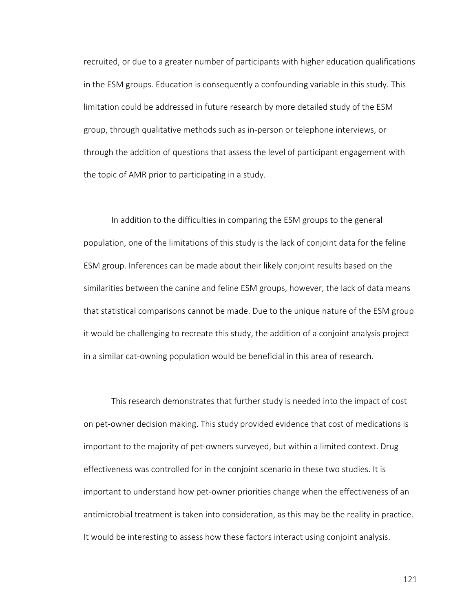recruited, or due to a greater number of participants with higher education qualifications in the ESM groups. Education is consequently a confounding variable in this study. This limitation could be addressed in future research by more detailed study of the ESM group, through qualitative methods such as in-person or telephone interviews, or through the addition of questions that assess the level of participant engagement with the topic of AMR prior to participating in a study.

In addition to the difficulties in comparing the ESM groups to the general population, one of the limitations of this study is the lack of conjoint data for the feline ESM group. Inferences can be made about their likely conjoint results based on the similarities between the canine and feline ESM groups, however, the lack of data means that statistical comparisons cannot be made. Due to the unique nature of the ESM group it would be challenging to recreate this study, the addition of a conjoint analysis project in a similar cat-owning population would be beneficial in this area of research.

This research demonstrates that further study is needed into the impact of cost on pet-owner decision making. This study provided evidence that cost of medications is important to the majority of pet-owners surveyed, but within a limited context. Drug effectiveness was controlled for in the conjoint scenario in these two studies. It is important to understand how pet-owner priorities change when the effectiveness of an antimicrobial treatment is taken into consideration, as this may be the reality in practice. It would be interesting to assess how these factors interact using conjoint analysis.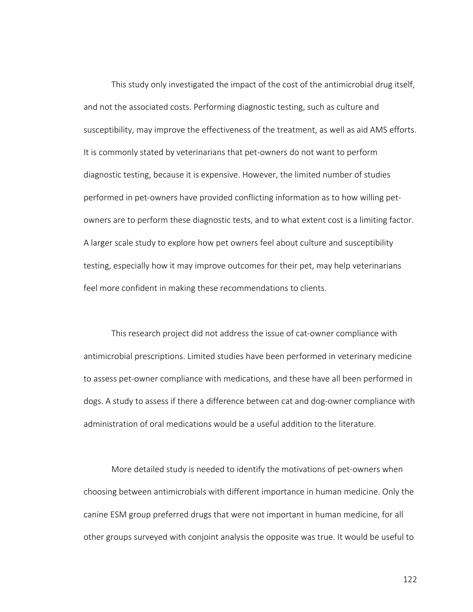This study only investigated the impact of the cost of the antimicrobial drug itself, and not the associated costs. Performing diagnostic testing, such as culture and susceptibility, may improve the effectiveness of the treatment, as well as aid AMS efforts. It is commonly stated by veterinarians that pet-owners do not want to perform diagnostic testing, because it is expensive. However, the limited number of studies performed in pet-owners have provided conflicting information as to how willing petowners are to perform these diagnostic tests, and to what extent cost is a limiting factor. A larger scale study to explore how pet owners feel about culture and susceptibility testing, especially how it may improve outcomes for their pet, may help veterinarians feel more confident in making these recommendations to clients.

This research project did not address the issue of cat-owner compliance with antimicrobial prescriptions. Limited studies have been performed in veterinary medicine to assess pet-owner compliance with medications, and these have all been performed in dogs. A study to assess if there a difference between cat and dog-owner compliance with administration of oral medications would be a useful addition to the literature.

More detailed study is needed to identify the motivations of pet-owners when choosing between antimicrobials with different importance in human medicine. Only the canine ESM group preferred drugs that were not important in human medicine, for all other groups surveyed with conjoint analysis the opposite was true. It would be useful to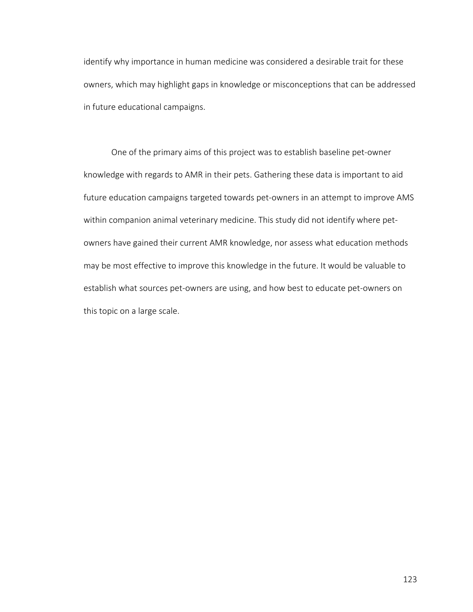identify why importance in human medicine was considered a desirable trait for these owners, which may highlight gaps in knowledge or misconceptions that can be addressed in future educational campaigns.

One of the primary aims of this project was to establish baseline pet-owner knowledge with regards to AMR in their pets. Gathering these data is important to aid future education campaigns targeted towards pet-owners in an attempt to improve AMS within companion animal veterinary medicine. This study did not identify where petowners have gained their current AMR knowledge, nor assess what education methods may be most effective to improve this knowledge in the future. It would be valuable to establish what sources pet-owners are using, and how best to educate pet-owners on this topic on a large scale.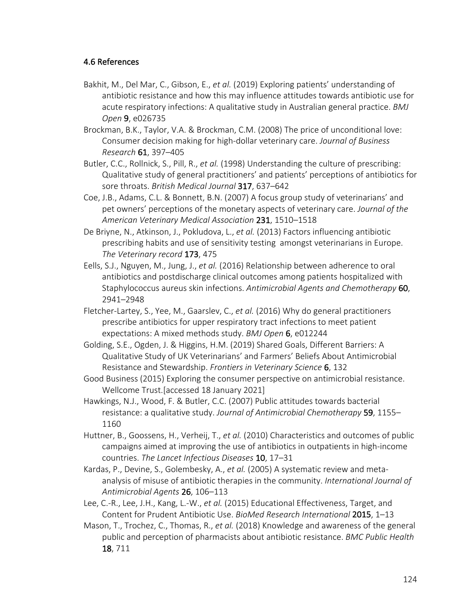## 4.6 References

- Bakhit, M., Del Mar, C., Gibson, E., *et al.* (2019) Exploring patients' understanding of antibiotic resistance and how this may influence attitudes towards antibiotic use for acute respiratory infections: A qualitative study in Australian general practice. *BMJ Open* 9, e026735
- Brockman, B.K., Taylor, V.A. & Brockman, C.M. (2008) The price of unconditional love: Consumer decision making for high-dollar veterinary care. *Journal of Business Research* 61, 397–405
- Butler, C.C., Rollnick, S., Pill, R., *et al.* (1998) Understanding the culture of prescribing: Qualitative study of general practitioners' and patients' perceptions of antibiotics for sore throats. *British Medical Journal* 317, 637–642
- Coe, J.B., Adams, C.L. & Bonnett, B.N. (2007) A focus group study of veterinarians' and pet owners' perceptions of the monetary aspects of veterinary care. *Journal of the American Veterinary Medical Association* 231, 1510–1518
- De Briyne, N., Atkinson, J., Pokludova, L., *et al.* (2013) Factors influencing antibiotic prescribing habits and use of sensitivity testing amongst veterinarians in Europe. *The Veterinary record* 173, 475
- Eells, S.J., Nguyen, M., Jung, J., *et al.* (2016) Relationship between adherence to oral antibiotics and postdischarge clinical outcomes among patients hospitalized with Staphylococcus aureus skin infections. *Antimicrobial Agents and Chemotherapy* 60, 2941–2948
- Fletcher-Lartey, S., Yee, M., Gaarslev, C., *et al.* (2016) Why do general practitioners prescribe antibiotics for upper respiratory tract infections to meet patient expectations: A mixed methods study. *BMJ Open* 6, e012244
- Golding, S.E., Ogden, J. & Higgins, H.M. (2019) Shared Goals, Different Barriers: A Qualitative Study of UK Veterinarians' and Farmers' Beliefs About Antimicrobial Resistance and Stewardship. *Frontiers in Veterinary Science* 6, 132
- Good Business (2015) Exploring the consumer perspective on antimicrobial resistance. Wellcome Trust.[accessed 18 January 2021]
- Hawkings, N.J., Wood, F. & Butler, C.C. (2007) Public attitudes towards bacterial resistance: a qualitative study. *Journal of Antimicrobial Chemotherapy* 59, 1155– 1160
- Huttner, B., Goossens, H., Verheij, T., *et al.* (2010) Characteristics and outcomes of public campaigns aimed at improving the use of antibiotics in outpatients in high-income countries. *The Lancet Infectious Diseases* 10, 17–31
- Kardas, P., Devine, S., Golembesky, A., *et al.* (2005) A systematic review and metaanalysis of misuse of antibiotic therapies in the community. *International Journal of Antimicrobial Agents* 26, 106–113
- Lee, C.-R., Lee, J.H., Kang, L.-W., *et al.* (2015) Educational Effectiveness, Target, and Content for Prudent Antibiotic Use. *BioMed Research International* 2015, 1–13
- Mason, T., Trochez, C., Thomas, R., *et al.* (2018) Knowledge and awareness of the general public and perception of pharmacists about antibiotic resistance. *BMC Public Health* 18, 711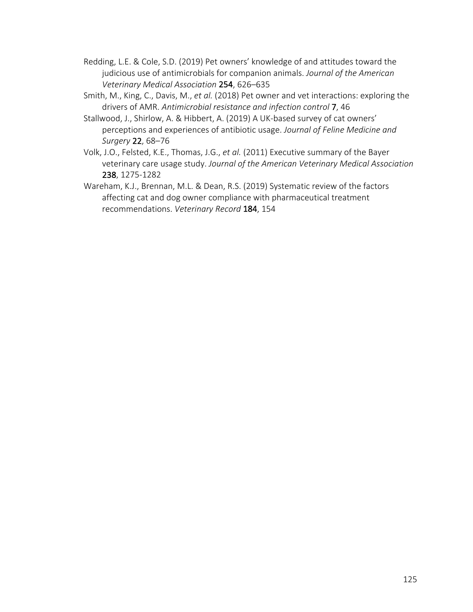- Redding, L.E. & Cole, S.D. (2019) Pet owners' knowledge of and attitudes toward the judicious use of antimicrobials for companion animals. *Journal of the American Veterinary Medical Association* 254, 626–635
- Smith, M., King, C., Davis, M., *et al.* (2018) Pet owner and vet interactions: exploring the drivers of AMR. *Antimicrobial resistance and infection control* 7, 46
- Stallwood, J., Shirlow, A. & Hibbert, A. (2019) A UK-based survey of cat owners' perceptions and experiences of antibiotic usage. *Journal of Feline Medicine and Surgery* 22, 68–76
- Volk, J.O., Felsted, K.E., Thomas, J.G., *et al.* (2011) Executive summary of the Bayer veterinary care usage study. *Journal of the American Veterinary Medical Association* 238, 1275-1282
- Wareham, K.J., Brennan, M.L. & Dean, R.S. (2019) Systematic review of the factors affecting cat and dog owner compliance with pharmaceutical treatment recommendations. *Veterinary Record* 184, 154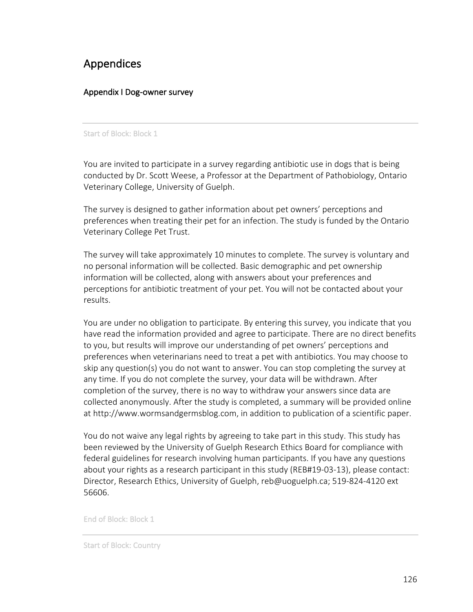# Appendices

## Appendix I Dog-owner survey

#### Start of Block: Block 1

You are invited to participate in a survey regarding antibiotic use in dogs that is being conducted by Dr. Scott Weese, a Professor at the Department of Pathobiology, Ontario Veterinary College, University of Guelph.

The survey is designed to gather information about pet owners' perceptions and preferences when treating their pet for an infection. The study is funded by the Ontario Veterinary College Pet Trust.

The survey will take approximately 10 minutes to complete. The survey is voluntary and no personal information will be collected. Basic demographic and pet ownership information will be collected, along with answers about your preferences and perceptions for antibiotic treatment of your pet. You will not be contacted about your results.

You are under no obligation to participate. By entering this survey, you indicate that you have read the information provided and agree to participate. There are no direct benefits to you, but results will improve our understanding of pet owners' perceptions and preferences when veterinarians need to treat a pet with antibiotics. You may choose to skip any question(s) you do not want to answer. You can stop completing the survey at any time. If you do not complete the survey, your data will be withdrawn. After completion of the survey, there is no way to withdraw your answers since data are collected anonymously. After the study is completed, a summary will be provided online at http://www.wormsandgermsblog.com, in addition to publication of a scientific paper.

You do not waive any legal rights by agreeing to take part in this study. This study has been reviewed by the University of Guelph Research Ethics Board for compliance with federal guidelines for research involving human participants. If you have any questions about your rights as a research participant in this study (REB#19-03-13), please contact: Director, Research Ethics, University of Guelph, reb@uoguelph.ca; 519-824-4120 ext 56606.

End of Block: Block 1

Start of Block: Country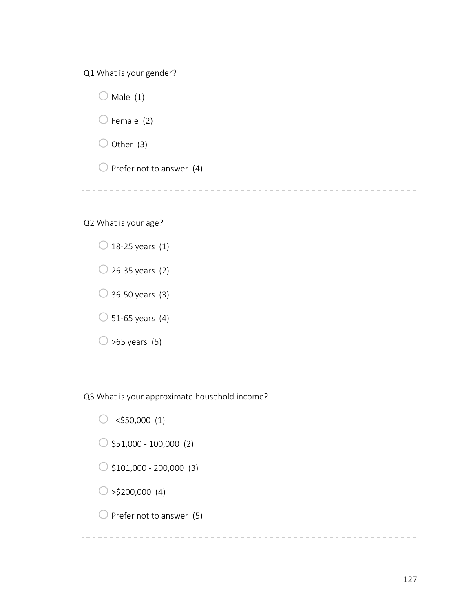Q1 What is your gender?



Q2 What is your age?



Q3 What is your approximate household income?

 $\circ$  <\$50,000 (1)  $\bigcirc$  \$51,000 - 100,000 (2)  $\bigcirc$  \$101,000 - 200,000 (3)  $\circ$  >\$200,000 (4)  $\bigcirc$  Prefer not to answer (5)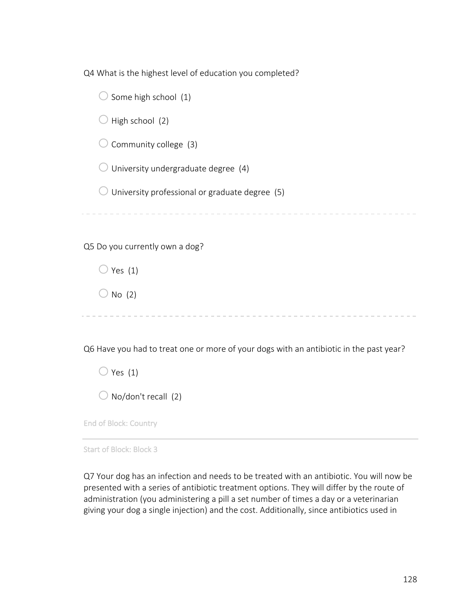Q4 What is the highest level of education you completed?

 $\bigcirc$  Some high school (1)

 $\bigcirc$  High school (2)

 $\bigcirc$  Community college (3)

 $\bigcirc$  University undergraduate degree (4)

 $\bigcirc$  University professional or graduate degree (5)

Q5 Do you currently own a dog?

 $\bigcirc$  Yes (1)

 $\bigcirc$  No (2)

----------------------------------

Q6 Have you had to treat one or more of your dogs with an antibiotic in the past year?

 $\bigcirc$  Yes (1)

 $\bigcirc$  No/don't recall (2)

End of Block: Country

Start of Block: Block 3

Q7 Your dog has an infection and needs to be treated with an antibiotic. You will now be presented with a series of antibiotic treatment options. They will differ by the route of administration (you administering a pill a set number of times a day or a veterinarian giving your dog a single injection) and the cost. Additionally, since antibiotics used in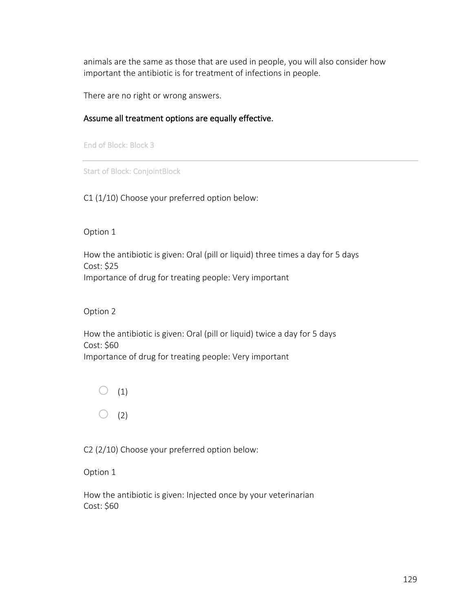animals are the same as those that are used in people, you will also consider how important the antibiotic is for treatment of infections in people.

There are no right or wrong answers.

## Assume all treatment options are equally effective.

End of Block: Block 3

Start of Block: ConjointBlock

C1 (1/10) Choose your preferred option below:

Option 1

How the antibiotic is given: Oral (pill or liquid) three times a day for 5 days Cost: \$25 Importance of drug for treating people: Very important

Option 2

How the antibiotic is given: Oral (pill or liquid) twice a day for 5 days Cost: \$60 Importance of drug for treating people: Very important

 $\bigcirc$  (1)  $\bigcirc$  (2)

C2 (2/10) Choose your preferred option below:

Option 1

How the antibiotic is given: Injected once by your veterinarian Cost: \$60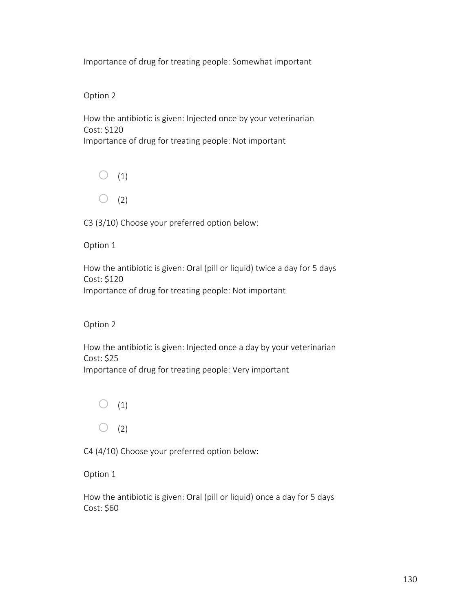Importance of drug for treating people: Somewhat important

Option 2

How the antibiotic is given: Injected once by your veterinarian Cost: \$120 Importance of drug for treating people: Not important



C3 (3/10) Choose your preferred option below:

Option 1

How the antibiotic is given: Oral (pill or liquid) twice a day for 5 days Cost: \$120 Importance of drug for treating people: Not important

Option 2

How the antibiotic is given: Injected once a day by your veterinarian Cost: \$25 Importance of drug for treating people: Very important



C4 (4/10) Choose your preferred option below:

Option 1

How the antibiotic is given: Oral (pill or liquid) once a day for 5 days Cost: \$60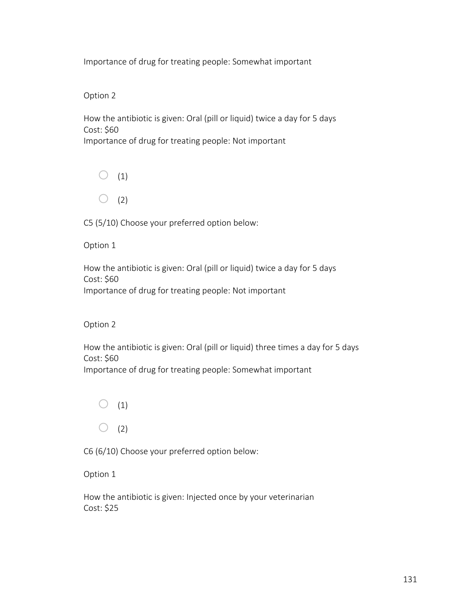## Option 2

How the antibiotic is given: Oral (pill or liquid) twice a day for 5 days Cost: \$60 Importance of drug for treating people: Not important



C5 (5/10) Choose your preferred option below:

Option 1

How the antibiotic is given: Oral (pill or liquid) twice a day for 5 days Cost: \$60 Importance of drug for treating people: Not important

Option 2

How the antibiotic is given: Oral (pill or liquid) three times a day for 5 days Cost: \$60 Importance of drug for treating people: Somewhat important



C6 (6/10) Choose your preferred option below:

Option 1

How the antibiotic is given: Injected once by your veterinarian Cost: \$25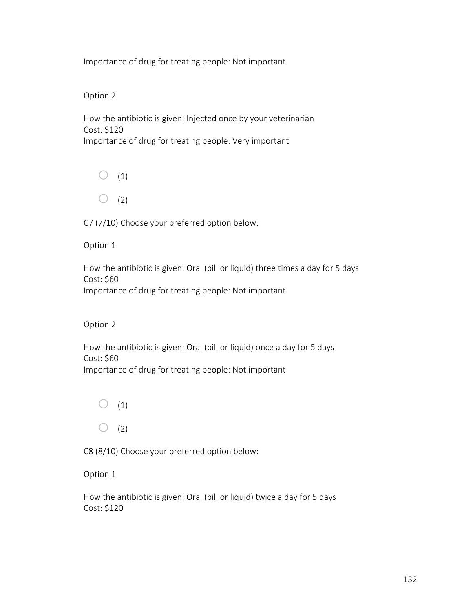Option 2

How the antibiotic is given: Injected once by your veterinarian Cost: \$120 Importance of drug for treating people: Very important



C7 (7/10) Choose your preferred option below:

Option 1

How the antibiotic is given: Oral (pill or liquid) three times a day for 5 days Cost: \$60 Importance of drug for treating people: Not important

Option 2

How the antibiotic is given: Oral (pill or liquid) once a day for 5 days Cost: \$60 Importance of drug for treating people: Not important



C8 (8/10) Choose your preferred option below:

Option 1

How the antibiotic is given: Oral (pill or liquid) twice a day for 5 days Cost: \$120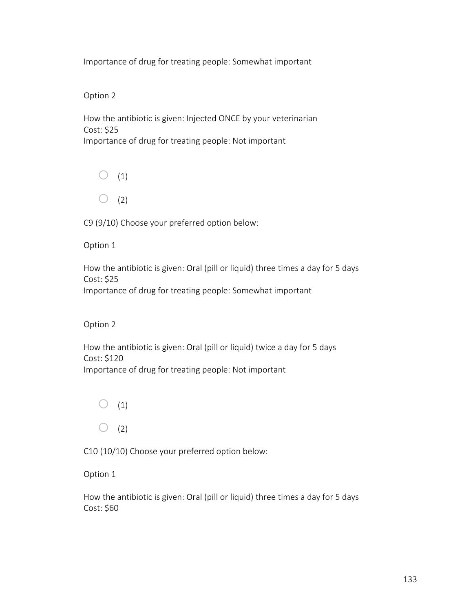Option 2

How the antibiotic is given: Injected ONCE by your veterinarian Cost: \$25 Importance of drug for treating people: Not important



C9 (9/10) Choose your preferred option below:

Option 1

How the antibiotic is given: Oral (pill or liquid) three times a day for 5 days Cost: \$25 Importance of drug for treating people: Somewhat important

Option 2

How the antibiotic is given: Oral (pill or liquid) twice a day for 5 days Cost: \$120 Importance of drug for treating people: Not important

 $\bigcirc$  (1)  $\bigcirc$  (2)

C10 (10/10) Choose your preferred option below:

Option 1

How the antibiotic is given: Oral (pill or liquid) three times a day for 5 days Cost: \$60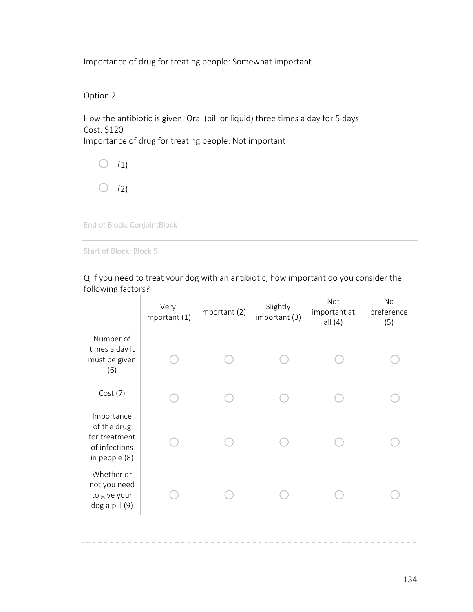Option 2

How the antibiotic is given: Oral (pill or liquid) three times a day for 5 days Cost: \$120 Importance of drug for treating people: Not important



End of Block: ConjointBlock

Start of Block: Block 5

Q If you need to treat your dog with an antibiotic, how important do you consider the following factors?

|                                                                              | Very<br>important (1) | Important (2) | Slightly<br>important (3) | <b>Not</b><br>important at<br>all $(4)$ | No<br>preference<br>(5) |
|------------------------------------------------------------------------------|-----------------------|---------------|---------------------------|-----------------------------------------|-------------------------|
| Number of<br>times a day it<br>must be given<br>(6)                          |                       |               |                           |                                         |                         |
| Cost(7)                                                                      |                       |               |                           |                                         |                         |
| Importance<br>of the drug<br>for treatment<br>of infections<br>in people (8) |                       |               |                           |                                         |                         |
| Whether or<br>not you need<br>to give your<br>dog a pill (9)                 |                       |               |                           |                                         |                         |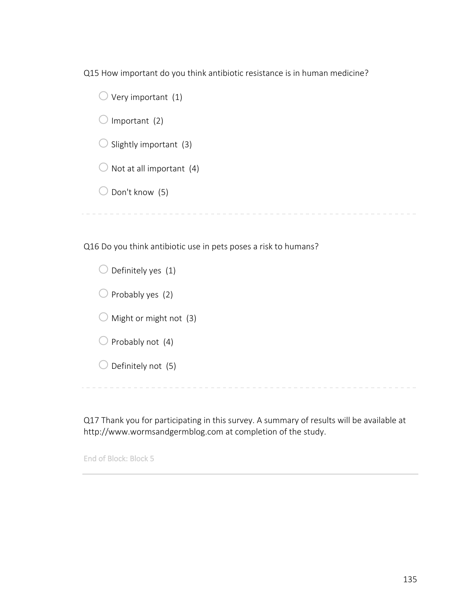Q15 How important do you think antibiotic resistance is in human medicine?

 $\bigcirc$  Very important (1)  $\bigcirc$  Important (2)  $\bigcirc$  Slightly important (3)  $\bigcirc$  Not at all important (4)  $\bigcirc$  Don't know (5) 

Q16 Do you think antibiotic use in pets poses a risk to humans?

 $\bigcirc$  Definitely yes (1)  $\bigcirc$  Probably yes (2)  $\bigcirc$  Might or might not (3)  $\bigcirc$  Probably not (4)  $\bigcirc$  Definitely not (5)

Q17 Thank you for participating in this survey. A summary of results will be available at http://www.wormsandgermblog.com at completion of the study.

End of Block: Block 5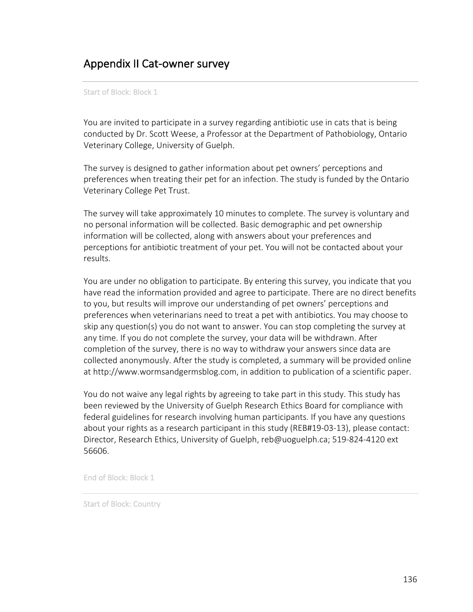# Appendix II Cat-owner survey

Start of Block: Block 1

You are invited to participate in a survey regarding antibiotic use in cats that is being conducted by Dr. Scott Weese, a Professor at the Department of Pathobiology, Ontario Veterinary College, University of Guelph.

The survey is designed to gather information about pet owners' perceptions and preferences when treating their pet for an infection. The study is funded by the Ontario Veterinary College Pet Trust.

The survey will take approximately 10 minutes to complete. The survey is voluntary and no personal information will be collected. Basic demographic and pet ownership information will be collected, along with answers about your preferences and perceptions for antibiotic treatment of your pet. You will not be contacted about your results.

You are under no obligation to participate. By entering this survey, you indicate that you have read the information provided and agree to participate. There are no direct benefits to you, but results will improve our understanding of pet owners' perceptions and preferences when veterinarians need to treat a pet with antibiotics. You may choose to skip any question(s) you do not want to answer. You can stop completing the survey at any time. If you do not complete the survey, your data will be withdrawn. After completion of the survey, there is no way to withdraw your answers since data are collected anonymously. After the study is completed, a summary will be provided online at http://www.wormsandgermsblog.com, in addition to publication of a scientific paper.

You do not waive any legal rights by agreeing to take part in this study. This study has been reviewed by the University of Guelph Research Ethics Board for compliance with federal guidelines for research involving human participants. If you have any questions about your rights as a research participant in this study (REB#19-03-13), please contact: Director, Research Ethics, University of Guelph, reb@uoguelph.ca; 519-824-4120 ext 56606.

End of Block: Block 1

Start of Block: Country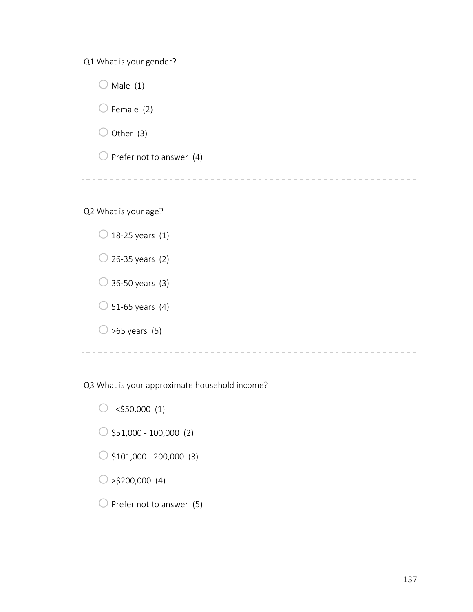Q1 What is your gender?

 $\bigcirc$  Male (1)  $\bigcirc$  Female (2)  $\bigcirc$  Other (3)  $\bigcirc$  Prefer not to answer (4) 

Q2 What is your age?



Q3 What is your approximate household income?

 $\circ$  <\$50,000 (1)

 $\circ$ \$51,000 - 100,000 (2)

 $\bigcirc$  \$101,000 - 200,000 (3)

 $\bigcirc$  >\$200,000 (4)

 $\bigcirc$  Prefer not to answer (5)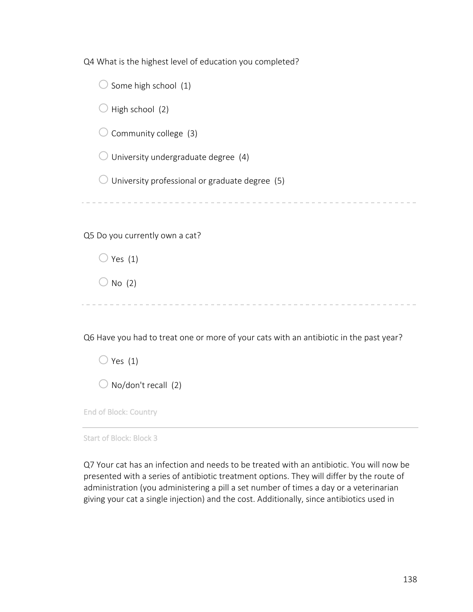Q4 What is the highest level of education you completed?

 $\bigcirc$  Some high school (1)

 $\bigcirc$  High school (2)

 $\bigcirc$  Community college (3)

 $\bigcirc$  University undergraduate degree (4)

 $\bigcirc$  University professional or graduate degree (5)

Q5 Do you currently own a cat?

 $\bigcirc$  Yes (1)

 $\bigcirc$  No (2)

Q6 Have you had to treat one or more of your cats with an antibiotic in the past year?

 $\bigcirc$  Yes (1)

 $\bigcirc$  No/don't recall (2)

End of Block: Country

Start of Block: Block 3

Q7 Your cat has an infection and needs to be treated with an antibiotic. You will now be presented with a series of antibiotic treatment options. They will differ by the route of administration (you administering a pill a set number of times a day or a veterinarian giving your cat a single injection) and the cost. Additionally, since antibiotics used in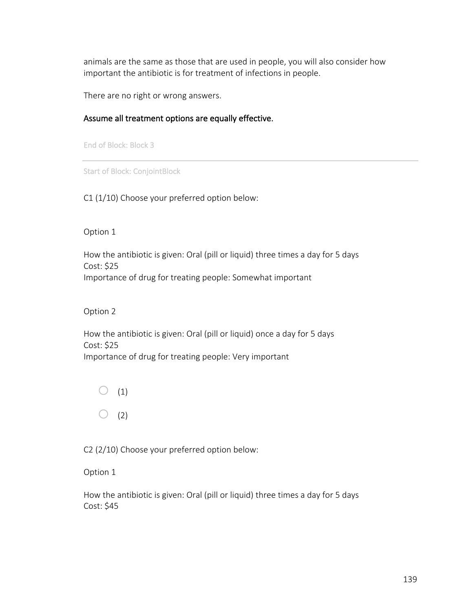animals are the same as those that are used in people, you will also consider how important the antibiotic is for treatment of infections in people.

There are no right or wrong answers.

#### Assume all treatment options are equally effective.

End of Block: Block 3

Start of Block: ConjointBlock

C1 (1/10) Choose your preferred option below:

Option 1

How the antibiotic is given: Oral (pill or liquid) three times a day for 5 days Cost: \$25 Importance of drug for treating people: Somewhat important

Option 2

How the antibiotic is given: Oral (pill or liquid) once a day for 5 days Cost: \$25 Importance of drug for treating people: Very important

 $\bigcirc$  (1)  $\bigcirc$  (2)

C2 (2/10) Choose your preferred option below:

Option 1

How the antibiotic is given: Oral (pill or liquid) three times a day for 5 days Cost: \$45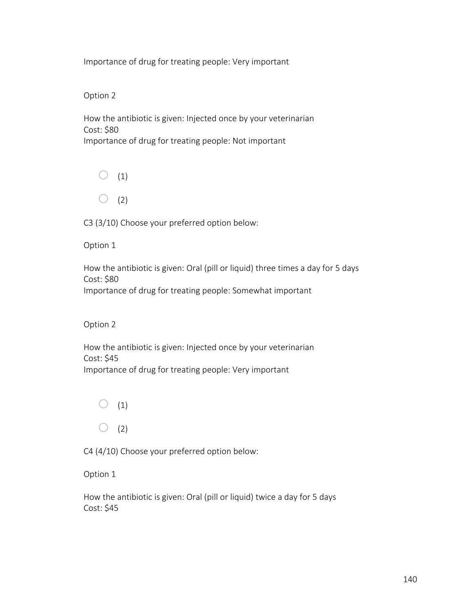### Option 2

How the antibiotic is given: Injected once by your veterinarian Cost: \$80 Importance of drug for treating people: Not important



C3 (3/10) Choose your preferred option below:

Option 1

How the antibiotic is given: Oral (pill or liquid) three times a day for 5 days Cost: \$80 Importance of drug for treating people: Somewhat important

Option 2

How the antibiotic is given: Injected once by your veterinarian Cost: \$45 Importance of drug for treating people: Very important



C4 (4/10) Choose your preferred option below:

Option 1

How the antibiotic is given: Oral (pill or liquid) twice a day for 5 days Cost: \$45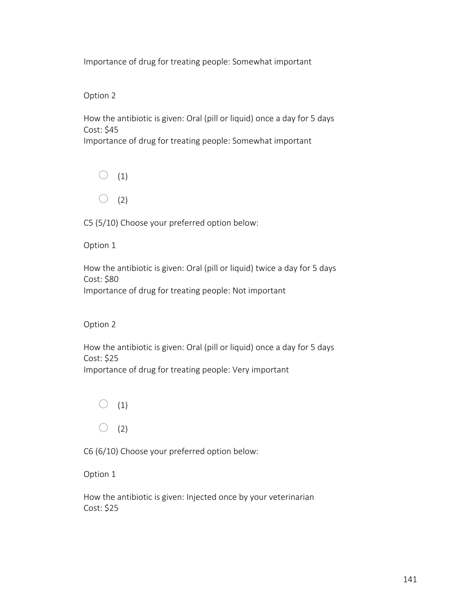Option 2

How the antibiotic is given: Oral (pill or liquid) once a day for 5 days Cost: \$45 Importance of drug for treating people: Somewhat important



C5 (5/10) Choose your preferred option below:

Option 1

How the antibiotic is given: Oral (pill or liquid) twice a day for 5 days Cost: \$80 Importance of drug for treating people: Not important

Option 2

How the antibiotic is given: Oral (pill or liquid) once a day for 5 days Cost: \$25 Importance of drug for treating people: Very important



C6 (6/10) Choose your preferred option below:

Option 1

How the antibiotic is given: Injected once by your veterinarian Cost: \$25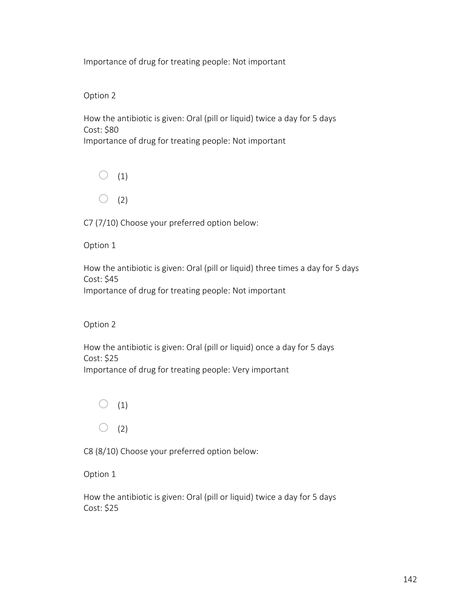# Option 2

How the antibiotic is given: Oral (pill or liquid) twice a day for 5 days Cost: \$80 Importance of drug for treating people: Not important



C7 (7/10) Choose your preferred option below:

Option 1

How the antibiotic is given: Oral (pill or liquid) three times a day for 5 days Cost: \$45 Importance of drug for treating people: Not important

Option 2

How the antibiotic is given: Oral (pill or liquid) once a day for 5 days Cost: \$25 Importance of drug for treating people: Very important



C8 (8/10) Choose your preferred option below:

Option 1

How the antibiotic is given: Oral (pill or liquid) twice a day for 5 days Cost: \$25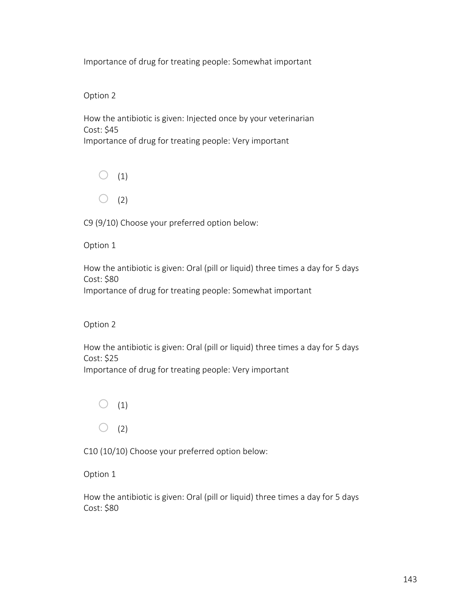Option 2

How the antibiotic is given: Injected once by your veterinarian Cost: \$45 Importance of drug for treating people: Very important



C9 (9/10) Choose your preferred option below:

Option 1

How the antibiotic is given: Oral (pill or liquid) three times a day for 5 days Cost: \$80 Importance of drug for treating people: Somewhat important

Option 2

How the antibiotic is given: Oral (pill or liquid) three times a day for 5 days Cost: \$25 Importance of drug for treating people: Very important



C10 (10/10) Choose your preferred option below:

Option 1

How the antibiotic is given: Oral (pill or liquid) three times a day for 5 days Cost: \$80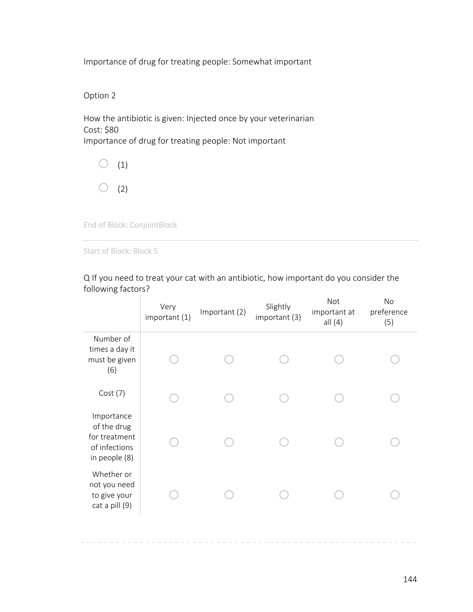Option 2

How the antibiotic is given: Injected once by your veterinarian Cost: \$80 Importance of drug for treating people: Not important



End of Block: ConjointBlock

Start of Block: Block 5

| TUITUWITIB TACLUI 3:                                                         | Very<br>important (1) | Important (2) | Slightly<br>important (3) | Not<br>important at<br>all $(4)$ | No<br>preference<br>(5) |
|------------------------------------------------------------------------------|-----------------------|---------------|---------------------------|----------------------------------|-------------------------|
| Number of<br>times a day it<br>must be given<br>(6)                          |                       |               |                           |                                  |                         |
| Cost(7)                                                                      |                       |               |                           |                                  |                         |
| Importance<br>of the drug<br>for treatment<br>of infections<br>in people (8) |                       |               |                           |                                  |                         |
| Whether or<br>not you need<br>to give your<br>cat a pill (9)                 |                       |               |                           |                                  |                         |
|                                                                              |                       |               |                           |                                  |                         |

Q If you need to treat your cat with an antibiotic, how important do you consider the following factors?